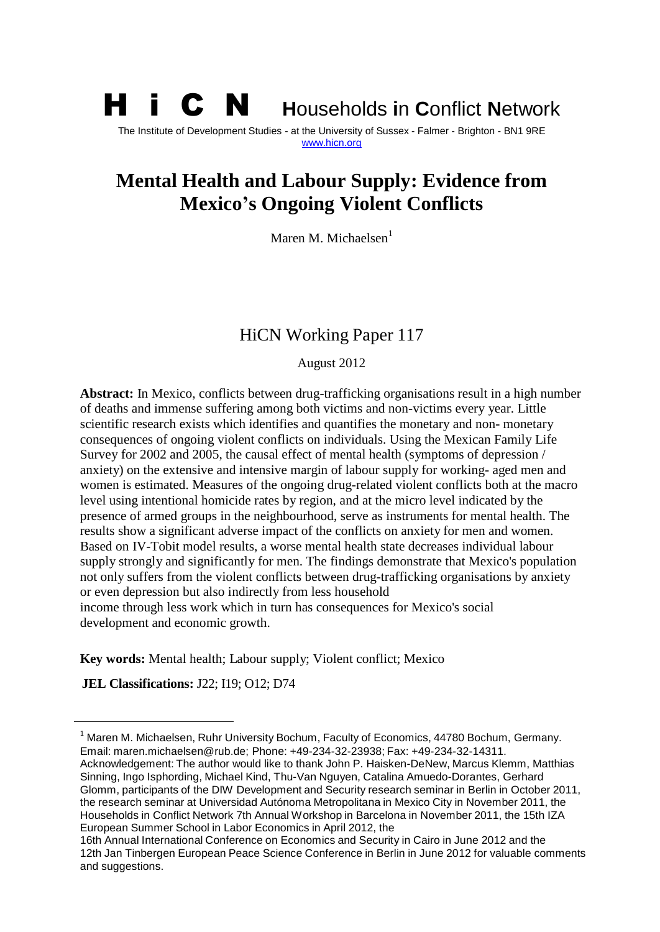# H i C N **<sup>H</sup>**ouseholds **i**n **C**onflict **<sup>N</sup>**etwork The Institute of Development Studies - at the University of Sussex - Falmer - Brighton - BN1 9RE [www.hicn.org](http://www.hicn.org/)

# **Mental Health and Labour Supply: Evidence from Mexico's Ongoing Violent Conflicts**

Maren M. Michaelsen<sup>1</sup>

# HiCN Working Paper 117

August 2012

**Abstract:** In Mexico, conflicts between drug-trafficking organisations result in a high number of deaths and immense suffering among both victims and non-victims every year. Little scientific research exists which identifies and quantifies the monetary and non- monetary consequences of ongoing violent conflicts on individuals. Using the Mexican Family Life Survey for 2002 and 2005, the causal effect of mental health (symptoms of depression / anxiety) on the extensive and intensive margin of labour supply for working- aged men and women is estimated. Measures of the ongoing drug-related violent conflicts both at the macro level using intentional homicide rates by region, and at the micro level indicated by the presence of armed groups in the neighbourhood, serve as instruments for mental health. The results show a significant adverse impact of the conflicts on anxiety for men and women. Based on IV-Tobit model results, a worse mental health state decreases individual labour supply strongly and significantly for men. The findings demonstrate that Mexico's population not only suffers from the violent conflicts between drug-trafficking organisations by anxiety or even depression but also indirectly from less household income through less work which in turn has consequences for Mexico's social development and economic growth.

**Key words:** Mental health; Labour supply; Violent conflict; Mexico

**JEL Classifications:** J22; I19; O12; D74

 $\ddot{\phantom{a}}$ 

 $1$  Maren M. Michaelsen, Ruhr University Bochum, Faculty of Economics, 44780 Bochum, Germany. Email: maren.michaelsen@rub.de; Phone: +49-234-32-23938; Fax: +49-234-32-14311.

Acknowledgement: The author would like to thank John P. Haisken-DeNew, Marcus Klemm, Matthias Sinning, Ingo Isphording, Michael Kind, Thu-Van Nguyen, Catalina Amuedo-Dorantes, Gerhard Glomm, participants of the DIW Development and Security research seminar in Berlin in October 2011, the research seminar at Universidad Autónoma Metropolitana in Mexico City in November 2011, the Households in Conflict Network 7th Annual Workshop in Barcelona in November 2011, the 15th IZA European Summer School in Labor Economics in April 2012, the

<sup>16</sup>th Annual International Conference on Economics and Security in Cairo in June 2012 and the 12th Jan Tinbergen European Peace Science Conference in Berlin in June 2012 for valuable comments and suggestions.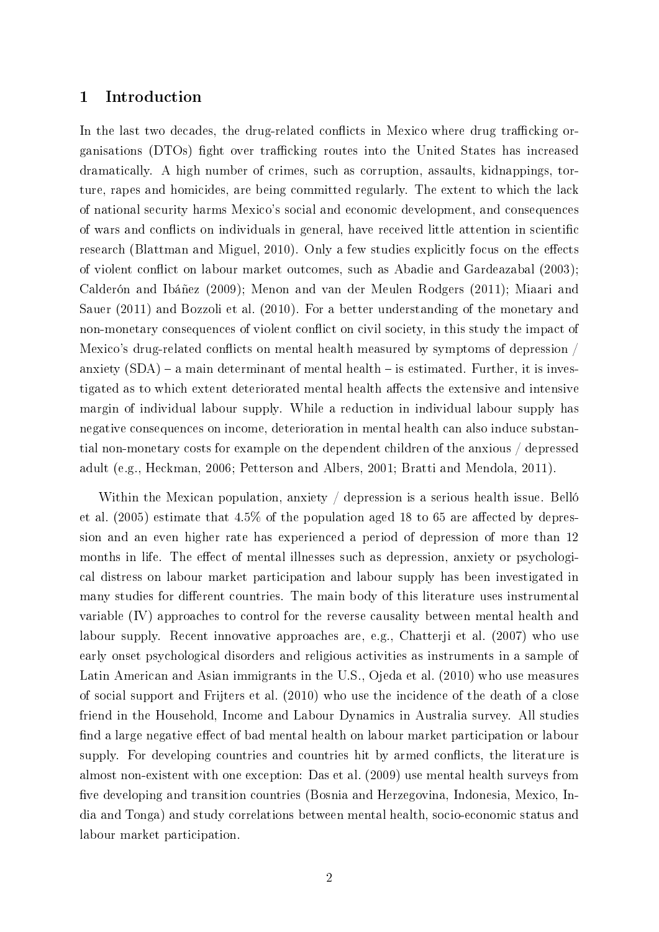## 1 Introduction

In the last two decades, the drug-related conflicts in Mexico where drug trafficking organisations (DTOs) fight over trafficking routes into the United States has increased dramatically. A high number of crimes, such as corruption, assaults, kidnappings, torture, rapes and homicides, are being committed regularly. The extent to which the lack of national security harms Mexico's social and economic development, and consequences of wars and conflicts on individuals in general, have received little attention in scientific research [\(Blattman and Miguel, 2010\)](#page-25-0). Only a few studies explicitly focus on the effects of violent conflict on labour market outcomes, such as [Abadie and Gardeazabal](#page-24-0) [\(2003\)](#page-24-0); [Calderón and Ibáñez](#page-25-1) [\(2009\)](#page-25-1); [Menon and van der Meulen Rodgers](#page-26-0) [\(2011\)](#page-26-0); [Miaari and](#page-26-1) [Sauer](#page-26-1) [\(2011\)](#page-26-1) and [Bozzoli et al.](#page-25-2) [\(2010\)](#page-25-2). For a better understanding of the monetary and non-monetary consequences of violent conflict on civil society, in this study the impact of Mexico's drug-related conflicts on mental health measured by symptoms of depression  $/$ anxiety  $(SDA)$  – a main determinant of mental health – is estimated. Further, it is investigated as to which extent deteriorated mental health affects the extensive and intensive margin of individual labour supply. While a reduction in individual labour supply has negative consequences on income, deterioration in mental health can also induce substantial non-monetary costs for example on the dependent children of the anxious / depressed adult (e.g., [Heckman, 2006;](#page-26-2) [Petterson and Albers, 2001;](#page-27-0) [Bratti and Mendola, 2011\)](#page-25-3).

Within the Mexican population, anxiety / depression is a serious health issue. [Belló](#page-25-4) [et al.](#page-25-4)  $(2005)$  estimate that  $4.5\%$  of the population aged 18 to 65 are affected by depression and an even higher rate has experienced a period of depression of more than 12 months in life. The effect of mental illnesses such as depression, anxiety or psychological distress on labour market participation and labour supply has been investigated in many studies for different countries. The main body of this literature uses instrumental variable (IV) approaches to control for the reverse causality between mental health and labour supply. Recent innovative approaches are, e.g., [Chatterji et al.](#page-25-5) [\(2007\)](#page-25-5) who use early onset psychological disorders and religious activities as instruments in a sample of Latin American and Asian immigrants in the U.S., [Ojeda et al.](#page-27-1) [\(2010\)](#page-27-1) who use measures of social support and [Frijters et al.](#page-26-3) [\(2010\)](#page-26-3) who use the incidence of the death of a close friend in the Household, Income and Labour Dynamics in Australia survey. All studies find a large negative effect of bad mental health on labour market participation or labour supply. For developing countries and countries hit by armed conflicts, the literature is almost non-existent with one exception: [Das et al.](#page-25-6) [\(2009\)](#page-25-6) use mental health surveys from five developing and transition countries (Bosnia and Herzegovina, Indonesia, Mexico, India and Tonga) and study correlations between mental health, socio-economic status and labour market participation.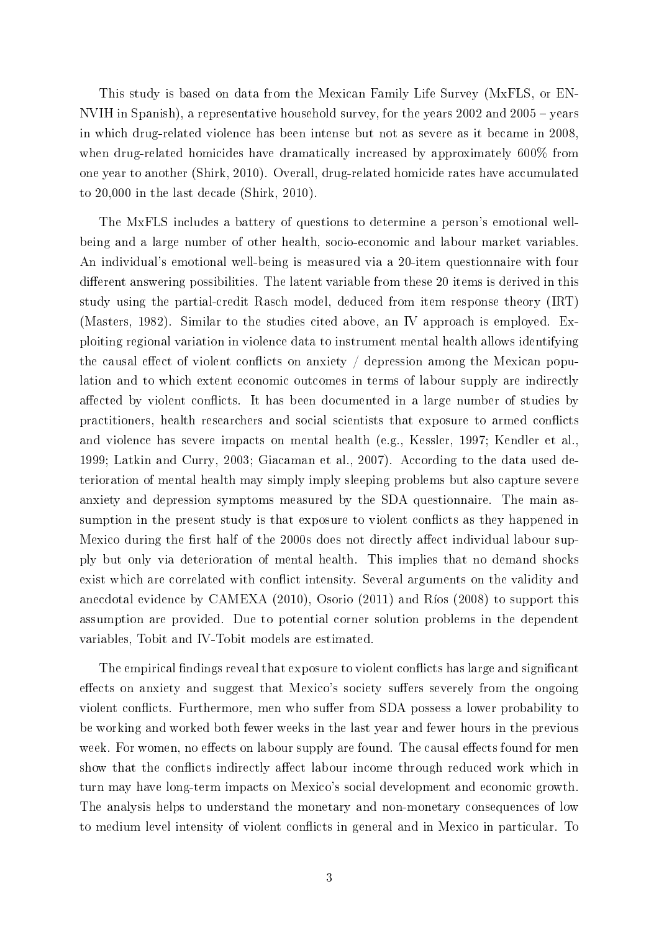This study is based on data from the Mexican Family Life Survey (MxFLS, or EN-NVIH in Spanish), a representative household survey, for the years  $2002$  and  $2005$  – years in which drug-related violence has been intense but not as severe as it became in 2008, when drug-related homicides have dramatically increased by approximately 600% from one year to another [\(Shirk, 2010\)](#page-27-2). Overall, drug-related homicide rates have accumulated to 20,000 in the last decade [\(Shirk, 2010\)](#page-27-2).

The MxFLS includes a battery of questions to determine a person's emotional wellbeing and a large number of other health, socio-economic and labour market variables. An individual's emotional well-being is measured via a 20-item questionnaire with four different answering possibilities. The latent variable from these 20 items is derived in this study using the partial-credit Rasch model, deduced from item response theory (IRT) [\(Masters, 1982\)](#page-26-4). Similar to the studies cited above, an IV approach is employed. Exploiting regional variation in violence data to instrument mental health allows identifying the causal effect of violent conflicts on anxiety  $\ell$  depression among the Mexican population and to which extent economic outcomes in terms of labour supply are indirectly affected by violent conflicts. It has been documented in a large number of studies by practitioners, health researchers and social scientists that exposure to armed conflicts and violence has severe impacts on mental health (e.g., [Kessler, 1997;](#page-26-5) [Kendler et al.,](#page-26-6) [1999;](#page-26-6) [Latkin and Curry, 2003;](#page-26-7) [Giacaman et al., 2007\)](#page-26-8). According to the data used deterioration of mental health may simply imply sleeping problems but also capture severe anxiety and depression symptoms measured by the SDA questionnaire. The main assumption in the present study is that exposure to violent conflicts as they happened in Mexico during the first half of the 2000s does not directly affect individual labour supply but only via deterioration of mental health. This implies that no demand shocks exist which are correlated with conflict intensity. Several arguments on the validity and anecdotal evidence by [CAMEXA](#page-25-7) [\(2010\)](#page-25-7), [Osorio](#page-27-3) [\(2011\)](#page-27-3) and [Ríos](#page-27-4) [\(2008\)](#page-27-4) to support this assumption are provided. Due to potential corner solution problems in the dependent variables, Tobit and IV-Tobit models are estimated.

The empirical findings reveal that exposure to violent conflicts has large and significant effects on anxiety and suggest that Mexico's society suffers severely from the ongoing violent conflicts. Furthermore, men who suffer from SDA possess a lower probability to be working and worked both fewer weeks in the last year and fewer hours in the previous week. For women, no effects on labour supply are found. The causal effects found for men show that the conflicts indirectly affect labour income through reduced work which in turn may have long-term impacts on Mexico's social development and economic growth. The analysis helps to understand the monetary and non-monetary consequences of low to medium level intensity of violent conflicts in general and in Mexico in particular. To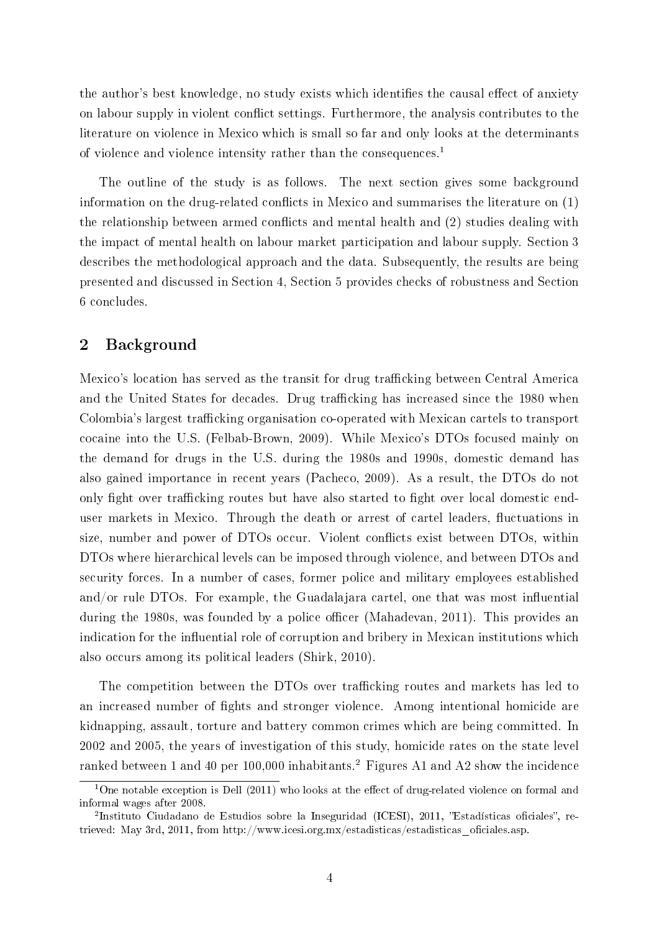the author's best knowledge, no study exists which identifies the causal effect of anxiety on labour supply in violent conflict settings. Furthermore, the analysis contributes to the literature on violence in Mexico which is small so far and only looks at the determinants of violence and violence intensity rather than the consequences.<sup>1</sup>

The outline of the study is as follows. The next section gives some background information on the drug-related conflicts in Mexico and summarises the literature on  $(1)$ the relationship between armed conflicts and mental health and  $(2)$  studies dealing with the impact of mental health on labour market participation and labour supply. Section 3 describes the methodological approach and the data. Subsequently, the results are being presented and discussed in Section 4, Section 5 provides checks of robustness and Section 6 concludes.

## 2 Background

Mexico's location has served as the transit for drug trafficking between Central America and the United States for decades. Drug trafficking has increased since the 1980 when Colombia's largest trafficking organisation co-operated with Mexican cartels to transport cocaine into the U.S. [\(Felbab-Brown, 2009\)](#page-26-9). While Mexico's DTOs focused mainly on the demand for drugs in the U.S. during the 1980s and 1990s, domestic demand has also gained importance in recent years [\(Pacheco, 2009\)](#page-27-5). As a result, the DTOs do not only fight over trafficking routes but have also started to fight over local domestic enduser markets in Mexico. Through the death or arrest of cartel leaders, fluctuations in size, number and power of DTOs occur. Violent conflicts exist between DTOs, within DTOs where hierarchical levels can be imposed through violence, and between DTOs and security forces. In a number of cases, former police and military employees established and/or rule DTOs. For example, the Guadalajara cartel, one that was most influential during the 1980s, was founded by a police officer [\(Mahadevan, 2011\)](#page-26-10). This provides an indication for the influential role of corruption and bribery in Mexican institutions which also occurs among its political leaders [\(Shirk, 2010\)](#page-27-2).

The competition between the DTOs over trafficking routes and markets has led to an increased number of fights and stronger violence. Among intentional homicide are kidnapping, assault, torture and battery common crimes which are being committed. In 2002 and 2005, the years of investigation of this study, homicide rates on the state level ranked between 1 and 40 per 100,000 inhabitants.<sup>2</sup> Figures [A1](#page-28-0) and [A2](#page-29-0) show the incidence

 $1$ One notable exception is [Dell](#page-26-11) [\(2011\)](#page-26-11) who looks at the effect of drug-related violence on formal and informal wages after 2008.

<sup>&</sup>lt;sup>2</sup>Instituto Ciudadano de Estudios sobre la Inseguridad (ICESI), 2011, "Estadísticas oficiales", retrieved: May 3rd, 2011, from http://www.icesi.org.mx/estadisticas/estadisticas\_oficiales.asp.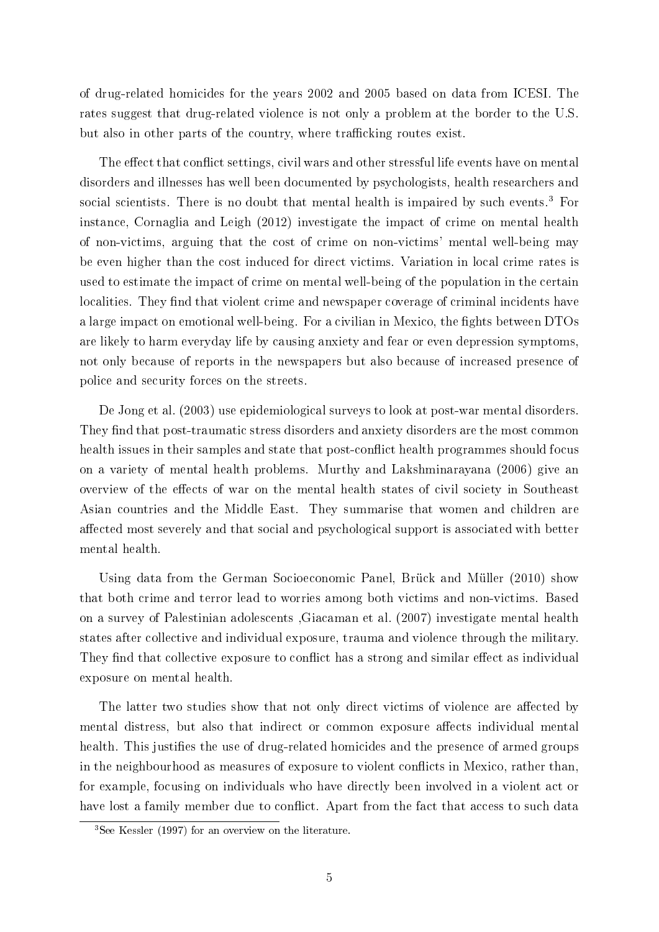of drug-related homicides for the years 2002 and 2005 based on data from ICESI. The rates suggest that drug-related violence is not only a problem at the border to the U.S. but also in other parts of the country, where trafficking routes exist.

The effect that conflict settings, civil wars and other stressful life events have on mental disorders and illnesses has well been documented by psychologists, health researchers and social scientists. There is no doubt that mental health is impaired by such events.<sup>3</sup> For instance, [Cornaglia and Leigh](#page-25-8) [\(2012\)](#page-25-8) investigate the impact of crime on mental health of non-victims, arguing that the cost of crime on non-victims' mental well-being may be even higher than the cost induced for direct victims. Variation in local crime rates is used to estimate the impact of crime on mental well-being of the population in the certain localities. They find that violent crime and newspaper coverage of criminal incidents have a large impact on emotional well-being. For a civilian in Mexico, the fights between DTOs are likely to harm everyday life by causing anxiety and fear or even depression symptoms, not only because of reports in the newspapers but also because of increased presence of police and security forces on the streets.

[De Jong et al.](#page-25-9) [\(2003\)](#page-25-9) use epidemiological surveys to look at post-war mental disorders. They find that post-traumatic stress disorders and anxiety disorders are the most common health issues in their samples and state that post-conflict health programmes should focus on a variety of mental health problems. [Murthy and Lakshminarayana](#page-27-6) [\(2006\)](#page-27-6) give an overview of the effects of war on the mental health states of civil society in Southeast Asian countries and the Middle East. They summarise that women and children are affected most severely and that social and psychological support is associated with better mental health.

Using data from the German Socioeconomic Panel, [Brück and Müller](#page-25-10) [\(2010\)](#page-25-10) show that both crime and terror lead to worries among both victims and non-victims. Based on a survey of Palestinian adolescents [,Giacaman et al.](#page-26-8) [\(2007\)](#page-26-8) investigate mental health states after collective and individual exposure, trauma and violence through the military. They find that collective exposure to conflict has a strong and similar effect as individual exposure on mental health.

The latter two studies show that not only direct victims of violence are affected by mental distress, but also that indirect or common exposure affects individual mental health. This justifies the use of drug-related homicides and the presence of armed groups in the neighbourhood as measures of exposure to violent conflicts in Mexico, rather than, for example, focusing on individuals who have directly been involved in a violent act or have lost a family member due to conflict. Apart from the fact that access to such data

<sup>3</sup>See [Kessler](#page-26-5) [\(1997\)](#page-26-5) for an overview on the literature.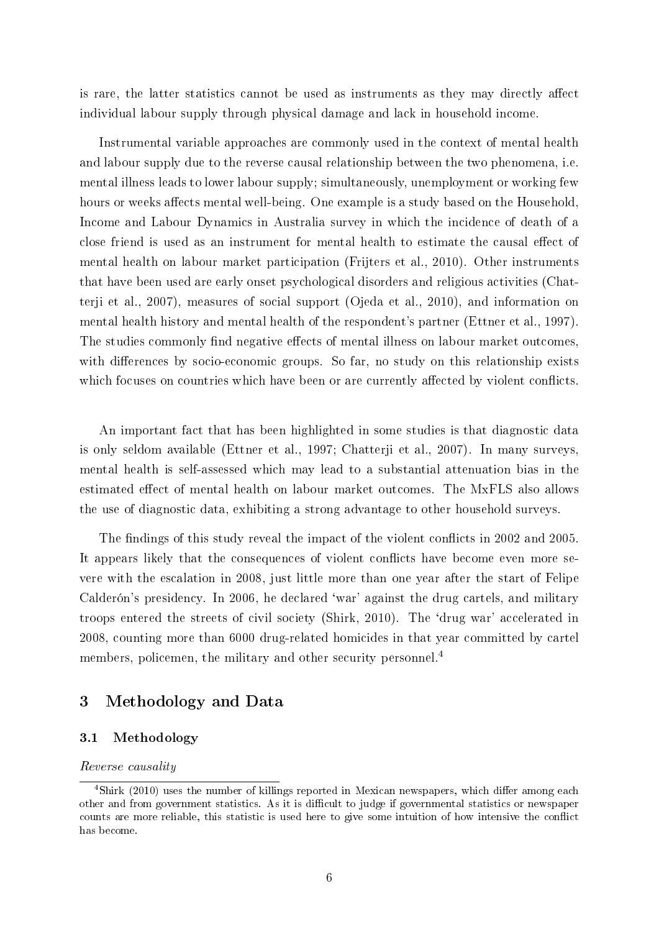is rare, the latter statistics cannot be used as instruments as they may directly affect individual labour supply through physical damage and lack in household income.

Instrumental variable approaches are commonly used in the context of mental health and labour supply due to the reverse causal relationship between the two phenomena, i.e. mental illness leads to lower labour supply; simultaneously, unemployment or working few hours or weeks affects mental well-being. One example is a study based on the Household, Income and Labour Dynamics in Australia survey in which the incidence of death of a close friend is used as an instrument for mental health to estimate the causal effect of mental health on labour market participation [\(Frijters et al., 2010\)](#page-26-3). Other instruments that have been used are early onset psychological disorders and religious activities [\(Chat](#page-25-5)[terji et al., 2007\)](#page-25-5), measures of social support [\(Ojeda et al., 2010\)](#page-27-1), and information on mental health history and mental health of the respondent's partner [\(Ettner et al., 1997\)](#page-26-12). The studies commonly find negative effects of mental illness on labour market outcomes, with differences by socio-economic groups. So far, no study on this relationship exists which focuses on countries which have been or are currently affected by violent conflicts.

An important fact that has been highlighted in some studies is that diagnostic data is only seldom available [\(Ettner et al., 1997;](#page-26-12) [Chatterji et al., 2007\)](#page-25-5). In many surveys, mental health is self-assessed which may lead to a substantial attenuation bias in the estimated effect of mental health on labour market outcomes. The MxFLS also allows the use of diagnostic data, exhibiting a strong advantage to other household surveys.

The findings of this study reveal the impact of the violent conflicts in 2002 and 2005. It appears likely that the consequences of violent conflicts have become even more severe with the escalation in 2008, just little more than one year after the start of Felipe Calderón's presidency. In 2006, he declared 'war' against the drug cartels, and military troops entered the streets of civil society [\(Shirk, 2010\)](#page-27-2). The `drug war' accelerated in 2008, counting more than 6000 drug-related homicides in that year committed by cartel members, policemen, the military and other security personnel.<sup>4</sup>

## 3 Methodology and Data

#### 3.1 Methodology

#### Reverse causality

 $4\text{Shirk}$  (2010) uses the number of killings reported in Mexican newspapers, which differ among each other and from government statistics. As it is difficult to judge if governmental statistics or newspaper counts are more reliable, this statistic is used here to give some intuition of how intensive the conflict has become.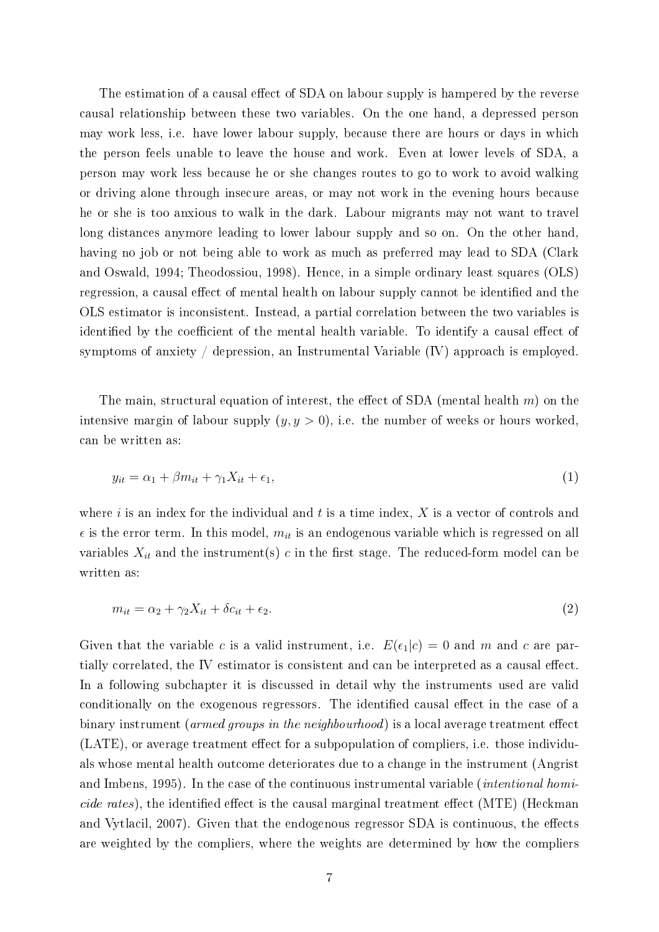The estimation of a causal effect of SDA on labour supply is hampered by the reverse causal relationship between these two variables. On the one hand, a depressed person may work less, i.e. have lower labour supply, because there are hours or days in which the person feels unable to leave the house and work. Even at lower levels of SDA, a person may work less because he or she changes routes to go to work to avoid walking or driving alone through insecure areas, or may not work in the evening hours because he or she is too anxious to walk in the dark. Labour migrants may not want to travel long distances anymore leading to lower labour supply and so on. On the other hand, having no job or not being able to work as much as preferred may lead to SDA [\(Clark](#page-25-11) [and Oswald, 1994;](#page-25-11) [Theodossiou, 1998\)](#page-28-1). Hence, in a simple ordinary least squares (OLS) regression, a causal effect of mental health on labour supply cannot be identified and the OLS estimator is inconsistent. Instead, a partial correlation between the two variables is identified by the coefficient of the mental health variable. To identify a causal effect of symptoms of anxiety / depression, an Instrumental Variable (IV) approach is employed.

The main, structural equation of interest, the effect of SDA (mental health  $m$ ) on the intensive margin of labour supply  $(y, y > 0)$ , i.e. the number of weeks or hours worked, can be written as:

$$
y_{it} = \alpha_1 + \beta m_{it} + \gamma_1 X_{it} + \epsilon_1,\tag{1}
$$

where i is an index for the individual and t is a time index,  $X$  is a vector of controls and  $\epsilon$  is the error term. In this model,  $m_{it}$  is an endogenous variable which is regressed on all variables  $X_{it}$  and the instrument(s) c in the first stage. The reduced-form model can be written as:

$$
m_{it} = \alpha_2 + \gamma_2 X_{it} + \delta c_{it} + \epsilon_2. \tag{2}
$$

Given that the variable c is a valid instrument, i.e.  $E(\epsilon_1|c) = 0$  and m and c are partially correlated, the IV estimator is consistent and can be interpreted as a causal effect. In a following subchapter it is discussed in detail why the instruments used are valid conditionally on the exogenous regressors. The identified causal effect in the case of a binary instrument (armed groups in the neighbourhood) is a local average treatment effect  $(LATE)$ , or average treatment effect for a subpopulation of compliers, i.e. those individuals whose mental health outcome deteriorates due to a change in the instrument [\(Angrist](#page-24-1) [and Imbens, 1995\)](#page-24-1). In the case of the continuous instrumental variable (intentional homi*cide rates*), the identified effect is the causal marginal treatment effect (MTE) [\(Heckman](#page-26-13) and Vytlacil,  $2007$ ). Given that the endogenous regressor SDA is continuous, the effects are weighted by the compliers, where the weights are determined by how the compliers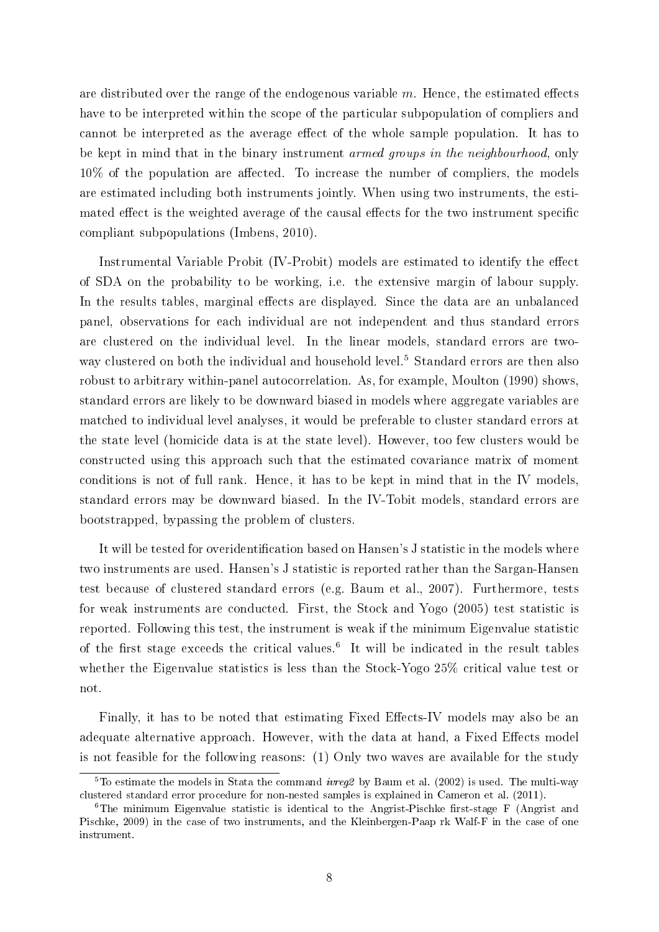are distributed over the range of the endogenous variable  $m$ . Hence, the estimated effects have to be interpreted within the scope of the particular subpopulation of compliers and cannot be interpreted as the average effect of the whole sample population. It has to be kept in mind that in the binary instrument armed groups in the neighbourhood, only  $10\%$  of the population are affected. To increase the number of compliers, the models are estimated including both instruments jointly. When using two instruments, the estimated effect is the weighted average of the causal effects for the two instrument specific compliant subpopulations [\(Imbens, 2010\)](#page-26-14).

Instrumental Variable Probit (IV-Probit) models are estimated to identify the effect of SDA on the probability to be working, i.e. the extensive margin of labour supply. In the results tables, marginal effects are displayed. Since the data are an unbalanced panel, observations for each individual are not independent and thus standard errors are clustered on the individual level. In the linear models, standard errors are twoway clustered on both the individual and household level.<sup>5</sup> Standard errors are then also robust to arbitrary within-panel autocorrelation. As, for example, [Moulton](#page-27-7) [\(1990\)](#page-27-7) shows, standard errors are likely to be downward biased in models where aggregate variables are matched to individual level analyses, it would be preferable to cluster standard errors at the state level (homicide data is at the state level). However, too few clusters would be constructed using this approach such that the estimated covariance matrix of moment conditions is not of full rank. Hence, it has to be kept in mind that in the IV models, standard errors may be downward biased. In the IV-Tobit models, standard errors are bootstrapped, bypassing the problem of clusters.

It will be tested for overidentification based on Hansen's J statistic in the models where two instruments are used. Hansen's J statistic is reported rather than the Sargan-Hansen test because of clustered standard errors (e.g. [Baum et al., 2007\)](#page-24-2). Furthermore, tests for weak instruments are conducted. First, the [Stock and Yogo](#page-27-8) [\(2005\)](#page-27-8) test statistic is reported. Following this test, the instrument is weak if the minimum Eigenvalue statistic of the first stage exceeds the critical values.<sup>6</sup> It will be indicated in the result tables whether the Eigenvalue statistics is less than the Stock-Yogo 25% critical value test or not.

Finally, it has to be noted that estimating Fixed Effects-IV models may also be an adequate alternative approach. However, with the data at hand, a Fixed Effects model is not feasible for the following reasons: (1) Only two waves are available for the study

 $5$ To estimate the models in Stata the command *ivreg2* by [Baum et al.](#page-24-3) [\(2002\)](#page-24-3) is used. The multi-way clustered standard error procedure for non-nested samples is explained in [Cameron et al.](#page-25-12) [\(2011\)](#page-25-12).

 $6$ The minimum Eigenvalue statistic is identical to the Angrist-Pischke first-stage F [\(Angrist and](#page-24-4) [Pischke, 2009\)](#page-24-4) in the case of two instruments, and the Kleinbergen-Paap rk Walf-F in the case of one instrument.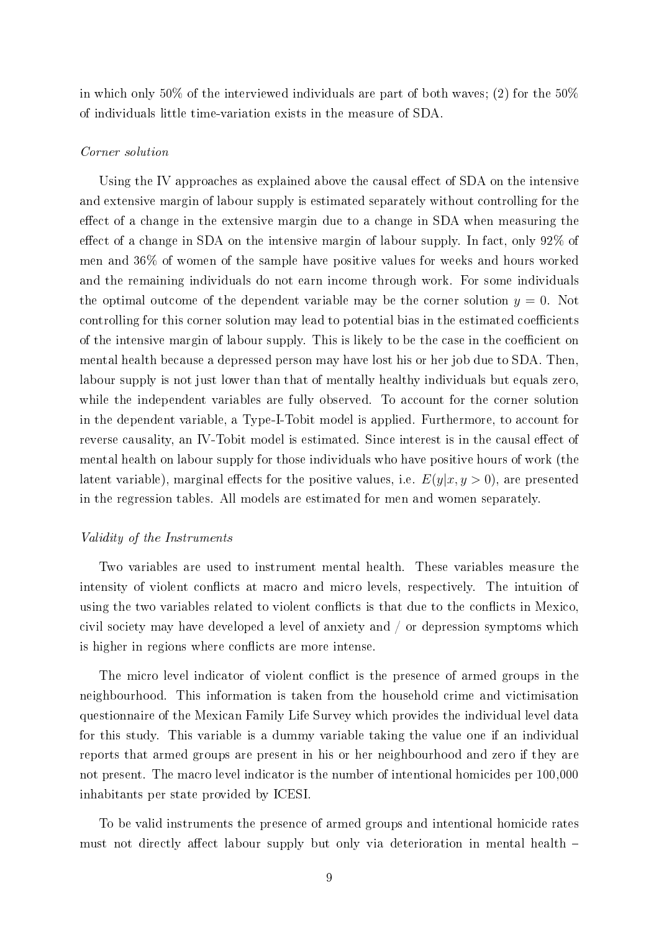in which only 50% of the interviewed individuals are part of both waves; (2) for the  $50\%$ of individuals little time-variation exists in the measure of SDA.

#### Corner solution

Using the IV approaches as explained above the causal effect of SDA on the intensive and extensive margin of labour supply is estimated separately without controlling for the effect of a change in the extensive margin due to a change in SDA when measuring the effect of a change in SDA on the intensive margin of labour supply. In fact, only  $92\%$  of men and 36% of women of the sample have positive values for weeks and hours worked and the remaining individuals do not earn income through work. For some individuals the optimal outcome of the dependent variable may be the corner solution  $y = 0$ . Not controlling for this corner solution may lead to potential bias in the estimated coefficients of the intensive margin of labour supply. This is likely to be the case in the coefficient on mental health because a depressed person may have lost his or her job due to SDA. Then, labour supply is not just lower than that of mentally healthy individuals but equals zero, while the independent variables are fully observed. To account for the corner solution in the dependent variable, a Type-I-Tobit model is applied. Furthermore, to account for reverse causality, an IV-Tobit model is estimated. Since interest is in the causal effect of mental health on labour supply for those individuals who have positive hours of work (the latent variable), marginal effects for the positive values, i.e.  $E(y|x, y > 0)$ , are presented in the regression tables. All models are estimated for men and women separately.

### Validity of the Instruments

Two variables are used to instrument mental health. These variables measure the intensity of violent conflicts at macro and micro levels, respectively. The intuition of using the two variables related to violent conflicts is that due to the conflicts in Mexico, civil society may have developed a level of anxiety and / or depression symptoms which is higher in regions where conflicts are more intense.

The micro level indicator of violent conflict is the presence of armed groups in the neighbourhood. This information is taken from the household crime and victimisation questionnaire of the Mexican Family Life Survey which provides the individual level data for this study. This variable is a dummy variable taking the value one if an individual reports that armed groups are present in his or her neighbourhood and zero if they are not present. The macro level indicator is the number of intentional homicides per 100,000 inhabitants per state provided by ICESI.

To be valid instruments the presence of armed groups and intentional homicide rates must not directly affect labour supply but only via deterioration in mental health  $-$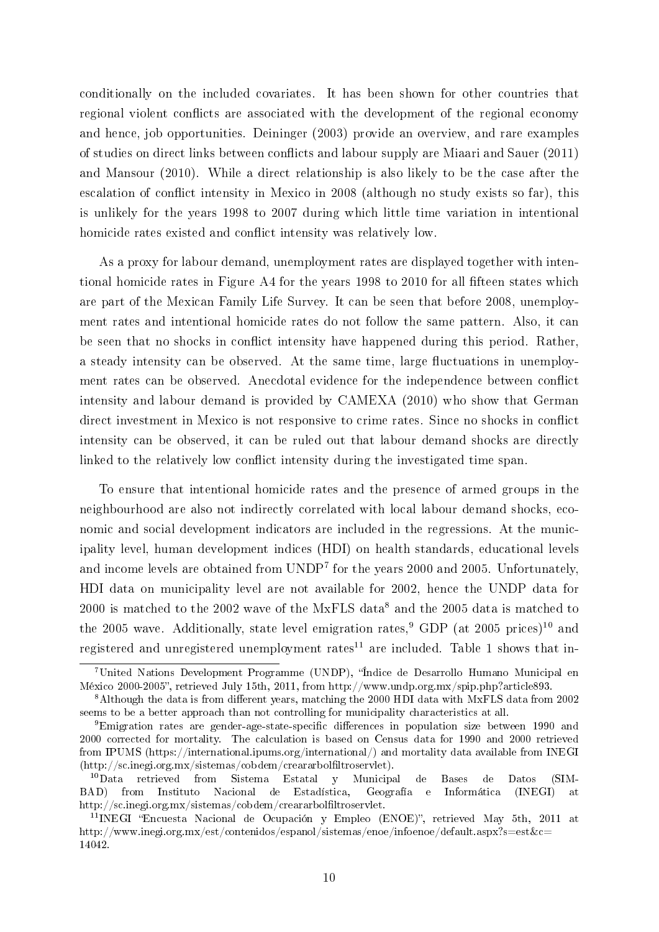conditionally on the included covariates. It has been shown for other countries that regional violent conflicts are associated with the development of the regional economy and hence, job opportunities. [Deininger](#page-25-13) [\(2003\)](#page-25-13) provide an overview, and rare examples of studies on direct links between conflicts and labour supply are [Miaari and Sauer](#page-26-1) [\(2011\)](#page-26-1) and [Mansour](#page-26-15) [\(2010\)](#page-26-15). While a direct relationship is also likely to be the case after the escalation of conflict intensity in Mexico in 2008 (although no study exists so far), this is unlikely for the years 1998 to 2007 during which little time variation in intentional homicide rates existed and conflict intensity was relatively low.

As a proxy for labour demand, unemployment rates are displayed together with inten-tional homicide rates in Figure [A4](#page-38-0) for the years 1998 to 2010 for all fifteen states which are part of the Mexican Family Life Survey. It can be seen that before 2008, unemployment rates and intentional homicide rates do not follow the same pattern. Also, it can be seen that no shocks in conflict intensity have happened during this period. Rather, a steady intensity can be observed. At the same time, large fluctuations in unemployment rates can be observed. Anecdotal evidence for the independence between conflict intensity and labour demand is provided by [CAMEXA](#page-25-7) [\(2010\)](#page-25-7) who show that German direct investment in Mexico is not responsive to crime rates. Since no shocks in conflict intensity can be observed, it can be ruled out that labour demand shocks are directly linked to the relatively low conflict intensity during the investigated time span.

To ensure that intentional homicide rates and the presence of armed groups in the neighbourhood are also not indirectly correlated with local labour demand shocks, economic and social development indicators are included in the regressions. At the municipality level, human development indices (HDI) on health standards, educational levels and income levels are obtained from UNDP<sup>7</sup> for the years 2000 and 2005. Unfortunately, HDI data on municipality level are not available for 2002, hence the UNDP data for  $2000$  is matched to the  $2002$  wave of the MxFLS data $^8$  and the  $2005$  data is matched to the 2005 wave. Additionally, state level emigration rates,<sup>9</sup> GDP (at 2005 prices)<sup>10</sup> and registered and unregistered unemployment rates<sup>11</sup> are included. Table [1](#page-11-0) shows that in-

<sup>&</sup>lt;sup>7</sup>United Nations Development Programme (UNDP), "Índice de Desarrollo Humano Municipal en México 2000-2005", retrieved July 15th, 2011, from http://www.undp.org.mx/spip.php?article893.

 $8$ Although the data is from different years, matching the 2000 HDI data with MxFLS data from 2002 seems to be a better approach than not controlling for municipality characteristics at all.

 $9$ Emigration rates are gender-age-state-specific differences in population size between 1990 and 2000 corrected for mortality. The calculation is based on Census data for 1990 and 2000 retrieved from IPUMS (https://international.ipums.org/international/) and mortality data available from INEGI (http://sc.inegi.org.mx/sistemas/cobdem/creararbolfiltroservlet).

<sup>10</sup>Data retrieved from Sistema Estatal y Municipal de Bases de Datos (SIM-BAD) from Instituto Nacional de Estadística, Geografía e Informática (INEGI) at http://sc.inegi.org.mx/sistemas/cobdem/creararbolfiltroservlet.

<sup>&</sup>lt;sup>11</sup>INEGI "Encuesta Nacional de Ocupación y Empleo (ENOE)", retrieved May 5th, 2011 at http://www.inegi.org.mx/est/contenidos/espanol/sistemas/enoe/infoenoe/default.aspx?s=est&c= 14042.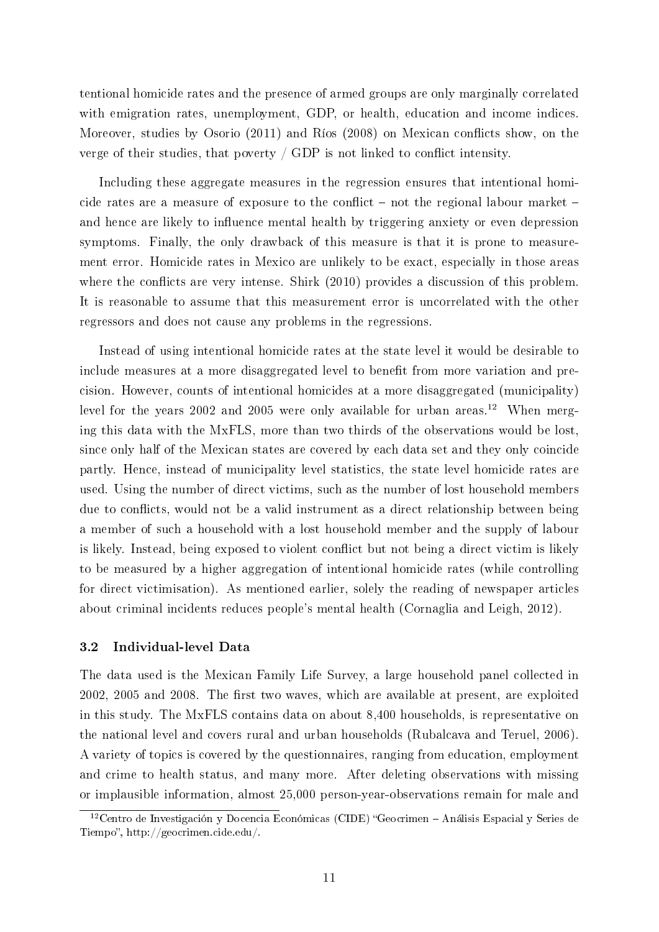tentional homicide rates and the presence of armed groups are only marginally correlated with emigration rates, unemployment, GDP, or health, education and income indices. Moreover, studies by [Osorio](#page-27-3) [\(2011\)](#page-27-3) and [Ríos](#page-27-4) [\(2008\)](#page-27-4) on Mexican conflicts show, on the verge of their studies, that poverty  $\ell$  GDP is not linked to conflict intensity.

Including these aggregate measures in the regression ensures that intentional homicide rates are a measure of exposure to the conflict  $-$  not the regional labour market  $$ and hence are likely to influence mental health by triggering anxiety or even depression symptoms. Finally, the only drawback of this measure is that it is prone to measurement error. Homicide rates in Mexico are unlikely to be exact, especially in those areas where the conflicts are very intense. [Shirk](#page-27-2)  $(2010)$  provides a discussion of this problem. It is reasonable to assume that this measurement error is uncorrelated with the other regressors and does not cause any problems in the regressions.

Instead of using intentional homicide rates at the state level it would be desirable to include measures at a more disaggregated level to benefit from more variation and precision. However, counts of intentional homicides at a more disaggregated (municipality) level for the years 2002 and 2005 were only available for urban areas.<sup>12</sup> When merging this data with the MxFLS, more than two thirds of the observations would be lost, since only half of the Mexican states are covered by each data set and they only coincide partly. Hence, instead of municipality level statistics, the state level homicide rates are used. Using the number of direct victims, such as the number of lost household members due to conflicts, would not be a valid instrument as a direct relationship between being a member of such a household with a lost household member and the supply of labour is likely. Instead, being exposed to violent conflict but not being a direct victim is likely to be measured by a higher aggregation of intentional homicide rates (while controlling for direct victimisation). As mentioned earlier, solely the reading of newspaper articles about criminal incidents reduces people's mental health [\(Cornaglia and Leigh, 2012\)](#page-25-8).

## 3.2 Individual-level Data

The data used is the Mexican Family Life Survey, a large household panel collected in 2002, 2005 and 2008. The first two waves, which are available at present, are exploited in this study. The MxFLS contains data on about 8,400 households, is representative on the national level and covers rural and urban households [\(Rubalcava and Teruel, 2006\)](#page-27-9). A variety of topics is covered by the questionnaires, ranging from education, employment and crime to health status, and many more. After deleting observations with missing or implausible information, almost 25,000 person-year-observations remain for male and

<sup>&</sup>lt;sup>12</sup>Centro de Investigación y Docencia Económicas (CIDE) "Geocrimen - Análisis Espacial y Series de Tiempo", http://geocrimen.cide.edu/.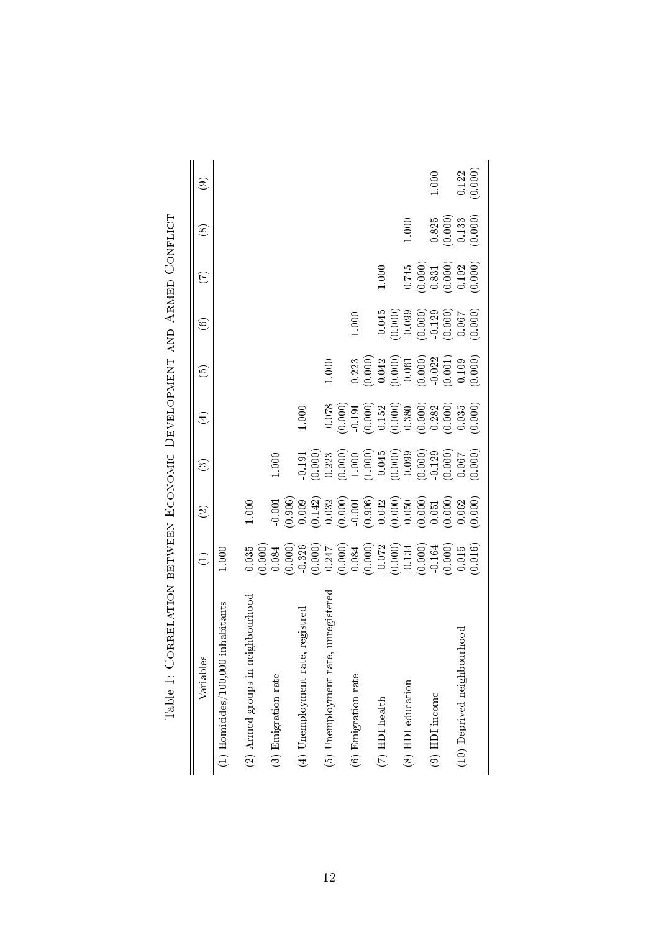<span id="page-11-0"></span>

| rrelation between Economic Development and Armed Conflict<br>Table 1: Co |                                                                                                                                                                                                                                                                   |                                                                                                                                                                                                                                                                                     |                                                                                                                                                                                                                                                                                               |                                                                                                                                                                                                                                                                                                                       |                                                                                                                                                                                                                                                                                                     |                                                                                                                     |                                                                                          |                                                                     |         |
|--------------------------------------------------------------------------|-------------------------------------------------------------------------------------------------------------------------------------------------------------------------------------------------------------------------------------------------------------------|-------------------------------------------------------------------------------------------------------------------------------------------------------------------------------------------------------------------------------------------------------------------------------------|-----------------------------------------------------------------------------------------------------------------------------------------------------------------------------------------------------------------------------------------------------------------------------------------------|-----------------------------------------------------------------------------------------------------------------------------------------------------------------------------------------------------------------------------------------------------------------------------------------------------------------------|-----------------------------------------------------------------------------------------------------------------------------------------------------------------------------------------------------------------------------------------------------------------------------------------------------|---------------------------------------------------------------------------------------------------------------------|------------------------------------------------------------------------------------------|---------------------------------------------------------------------|---------|
| Variables                                                                | $\ominus$                                                                                                                                                                                                                                                         | $\widehat{\mathfrak{D}}$                                                                                                                                                                                                                                                            | $\widehat{\mathcal{C}}$                                                                                                                                                                                                                                                                       | $\widehat{\mathcal{A}}$                                                                                                                                                                                                                                                                                               | قعَ                                                                                                                                                                                                                                                                                                 | $\widehat{\mathbf{e}}$                                                                                              | E                                                                                        | $\circledast$                                                       | ම       |
| inhabitants<br>$(1)$ Homicides/100,000                                   | 1.000                                                                                                                                                                                                                                                             |                                                                                                                                                                                                                                                                                     |                                                                                                                                                                                                                                                                                               |                                                                                                                                                                                                                                                                                                                       |                                                                                                                                                                                                                                                                                                     |                                                                                                                     |                                                                                          |                                                                     |         |
| $(2)$ Armed groups in neighbourhood                                      |                                                                                                                                                                                                                                                                   | $1.000\,$                                                                                                                                                                                                                                                                           |                                                                                                                                                                                                                                                                                               |                                                                                                                                                                                                                                                                                                                       |                                                                                                                                                                                                                                                                                                     |                                                                                                                     |                                                                                          |                                                                     |         |
| (3) Emigration rate                                                      |                                                                                                                                                                                                                                                                   |                                                                                                                                                                                                                                                                                     | $1.000\,$                                                                                                                                                                                                                                                                                     |                                                                                                                                                                                                                                                                                                                       |                                                                                                                                                                                                                                                                                                     |                                                                                                                     |                                                                                          |                                                                     |         |
| registred<br>$(4)$ Unemployment rate,                                    | $\begin{array}{l} 0.035\\ 0.0000\\ 0.0000\\ 0.0000\\ 0.0000\\ 0.0000\\ 0.0000\\ 0.0000\\ 0.0000\\ 0.0000\\ 0.0000\\ 0.0000\\ 0.0000\\ 0.0000\\ 0.0000\\ 0.0000\\ 0.0000\\ 0.0000\\ 0.0000\\ 0.0000\\ 0.0000\\ 0.0000\\ 0.0000\\ 0.0000\\ 0.0000\\ 0.0000\\ 0.000$ | $\begin{array}{l} 0.0000\\ -0.00000\\ 0.00000\\ -0.00000\\ 0.00000\\ -0.00000\\ -0.00000\\ -0.00000\\ -0.00000\\ -0.00000\\ -0.00000\\ -0.00000\\ -0.00000\\ -0.00000\\ -0.00000\\ -0.00000\\ -0.00000\\ -0.00000\\ -0.00000\\ -0.00000\\ -0.00000\\ -0.00000\\ -0.00000\\ -0.0000$ | $\begin{array}{l} 1111 \\ 71000 \\ 0.0000 \\ 0.0000 \\ 0.0000 \\ 0.0000 \\ 0.0000 \\ 0.0000 \\ 0.0000 \\ 0.0000 \\ 0.0000 \\ 0.0000 \\ 0.0000 \\ 0.0000 \\ 0.0000 \\ 0.0000 \\ 0.0000 \\ 0.0000 \\ 0.0000 \\ 0.0000 \\ 0.0000 \\ 0.0000 \\ 0.0000 \\ 0.0000 \\ 0.0000 \\ 0.0000 \\ 0.0000 \\$ | $1.000\,$                                                                                                                                                                                                                                                                                                             |                                                                                                                                                                                                                                                                                                     |                                                                                                                     |                                                                                          |                                                                     |         |
| unregistered<br>(5) Unemployment rate,                                   |                                                                                                                                                                                                                                                                   |                                                                                                                                                                                                                                                                                     |                                                                                                                                                                                                                                                                                               | $\begin{array}{l} 0.078 \\ -0.0000 \\ -0.1900 \\ -0.1900 \\ -0.0000 \\ -0.0000 \\ -0.0000 \\ -0.0000 \\ -0.0000 \\ -0.0000 \\ -0.0000 \\ -0.0000 \\ -0.0000 \\ -0.0000 \\ -0.0000 \\ -0.0000 \\ -0.0000 \\ -0.0000 \\ -0.0000 \\ -0.0000 \\ -0.0000 \\ -0.0000 \\ -0.0000 \\ -0.0000 \\ -0.0000 \\ -0.0000 \\ -0.000$ | $1.000\,$                                                                                                                                                                                                                                                                                           |                                                                                                                     |                                                                                          |                                                                     |         |
| (6) Emigration rate                                                      |                                                                                                                                                                                                                                                                   |                                                                                                                                                                                                                                                                                     |                                                                                                                                                                                                                                                                                               |                                                                                                                                                                                                                                                                                                                       |                                                                                                                                                                                                                                                                                                     | 1.000                                                                                                               |                                                                                          |                                                                     |         |
| $(7)$ HDI health                                                         |                                                                                                                                                                                                                                                                   |                                                                                                                                                                                                                                                                                     |                                                                                                                                                                                                                                                                                               |                                                                                                                                                                                                                                                                                                                       | $\begin{array}{l} 0.223 \\ 0.000 \\ 0.042 \\ 0.042 \\ 0.061 \\ 0.000 \\ 0.001 \\ 0.000 \\ 0.001 \\ 0.000 \\ 0.000 \\ 0.000 \\ 0.000 \\ 0.000 \\ 0.000 \\ 0.000 \\ 0.000 \\ 0.000 \\ 0.000 \\ 0.000 \\ 0.000 \\ 0.000 \\ 0.000 \\ 0.000 \\ 0.000 \\ 0.000 \\ 0.000 \\ 0.000 \\ 0.000 \\ 0.000 \\ 0.$ |                                                                                                                     | $1.000\,$                                                                                |                                                                     |         |
|                                                                          |                                                                                                                                                                                                                                                                   |                                                                                                                                                                                                                                                                                     |                                                                                                                                                                                                                                                                                               |                                                                                                                                                                                                                                                                                                                       |                                                                                                                                                                                                                                                                                                     | $\begin{array}{l} 0.045 \\ 0.000) \\ 0.099 \\ 0.000) \\ 0.000) \\ 0.000) \\ 0.067 \\ 0.000 \\ 0.000 \\ \end{array}$ |                                                                                          |                                                                     |         |
| (8) HDI education                                                        |                                                                                                                                                                                                                                                                   |                                                                                                                                                                                                                                                                                     |                                                                                                                                                                                                                                                                                               |                                                                                                                                                                                                                                                                                                                       |                                                                                                                                                                                                                                                                                                     |                                                                                                                     |                                                                                          | $1.000\,$                                                           |         |
|                                                                          |                                                                                                                                                                                                                                                                   |                                                                                                                                                                                                                                                                                     |                                                                                                                                                                                                                                                                                               |                                                                                                                                                                                                                                                                                                                       |                                                                                                                                                                                                                                                                                                     |                                                                                                                     | $\begin{array}{c} 0.745 \\ (0.000) \\ 0.831 \\ (0.000) \\ (0.102 \\ (0.000) \end{array}$ |                                                                     |         |
| $(9)$ HDI income                                                         |                                                                                                                                                                                                                                                                   |                                                                                                                                                                                                                                                                                     |                                                                                                                                                                                                                                                                                               |                                                                                                                                                                                                                                                                                                                       |                                                                                                                                                                                                                                                                                                     |                                                                                                                     |                                                                                          |                                                                     | $1.000$ |
|                                                                          |                                                                                                                                                                                                                                                                   |                                                                                                                                                                                                                                                                                     |                                                                                                                                                                                                                                                                                               |                                                                                                                                                                                                                                                                                                                       |                                                                                                                                                                                                                                                                                                     |                                                                                                                     |                                                                                          | $\begin{array}{c} 0.825 \\ (0.000) \\ 0.133 \\ (0.000) \end{array}$ |         |
| (10) Deprived neighbourhood                                              |                                                                                                                                                                                                                                                                   |                                                                                                                                                                                                                                                                                     |                                                                                                                                                                                                                                                                                               |                                                                                                                                                                                                                                                                                                                       |                                                                                                                                                                                                                                                                                                     |                                                                                                                     |                                                                                          |                                                                     |         |
|                                                                          |                                                                                                                                                                                                                                                                   |                                                                                                                                                                                                                                                                                     |                                                                                                                                                                                                                                                                                               |                                                                                                                                                                                                                                                                                                                       |                                                                                                                                                                                                                                                                                                     |                                                                                                                     |                                                                                          |                                                                     | (0.122) |

 $\zeta$ l, Ā  $\mathbf{r}$  $\vec{\zeta}$  $T_{\rm e}$ k $\sim 1$ .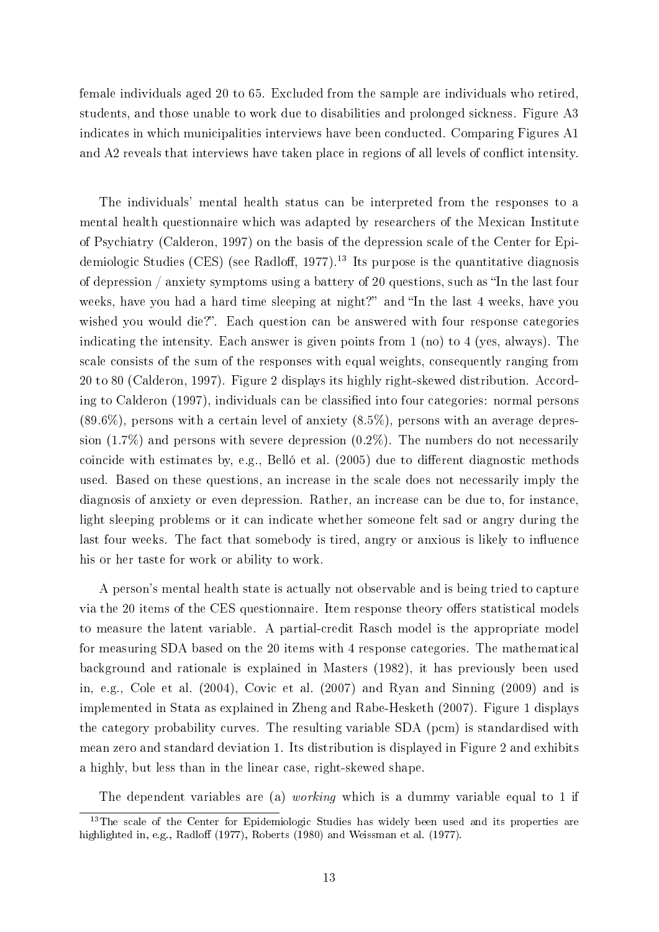female individuals aged 20 to 65. Excluded from the sample are individuals who retired, students, and those unable to work due to disabilities and prolonged sickness. Figure [A3](#page-29-1) indicates in which municipalities interviews have been conducted. Comparing Figures [A1](#page-28-0) and [A2](#page-29-0) reveals that interviews have taken place in regions of all levels of conflict intensity.

The individuals' mental health status can be interpreted from the responses to a mental health questionnaire which was adapted by researchers of the Mexican Institute of Psychiatry [\(Calderon, 1997\)](#page-25-14) on the basis of the depression scale of the Center for Epidemiologic Studies (CES) (see Radloff, 1977).<sup>13</sup> Its purpose is the quantitative diagnosis of depression / anxiety symptoms using a battery of 20 questions, such as "In the last four weeks, have you had a hard time sleeping at night?" and "In the last 4 weeks, have you wished you would die?". Each question can be answered with four response categories indicating the intensity. Each answer is given points from 1 (no) to 4 (yes, always). The scale consists of the sum of the responses with equal weights, consequently ranging from 20 to 80 [\(Calderon, 1997\)](#page-25-14). Figure [2](#page-13-0) displays its highly right-skewed distribution. Accord-ing to [Calderon](#page-25-14) [\(1997\)](#page-25-14), individuals can be classified into four categories: normal persons (89.6%), persons with a certain level of anxiety (8.5%), persons with an average depression (1.7%) and persons with severe depression (0.2%). The numbers do not necessarily coincide with estimates by, e.g., [Belló et al.](#page-25-4)  $(2005)$  due to different diagnostic methods used. Based on these questions, an increase in the scale does not necessarily imply the diagnosis of anxiety or even depression. Rather, an increase can be due to, for instance, light sleeping problems or it can indicate whether someone felt sad or angry during the last four weeks. The fact that somebody is tired, angry or anxious is likely to influence his or her taste for work or ability to work.

A person's mental health state is actually not observable and is being tried to capture via the 20 items of the CES questionnaire. Item response theory offers statistical models to measure the latent variable. A partial-credit Rasch model is the appropriate model for measuring SDA based on the 20 items with 4 response categories. The mathematical background and rationale is explained in [Masters](#page-26-4) [\(1982\)](#page-26-4), it has previously been used in, e.g., [Cole et al.](#page-25-15) [\(2004\)](#page-25-15), [Covic et al.](#page-25-16) [\(2007\)](#page-25-16) and [Ryan and Sinning](#page-27-11) [\(2009\)](#page-27-11) and is implemented in Stata as explained in [Zheng and Rabe-Hesketh](#page-28-2) [\(2007\)](#page-28-2). Figure [1](#page-13-1) displays the category probability curves. The resulting variable SDA (pcm) is standardised with mean zero and standard deviation 1. Its distribution is displayed in Figure [2](#page-13-0) and exhibits a highly, but less than in the linear case, right-skewed shape.

The dependent variables are (a) *working* which is a dummy variable equal to 1 if

<sup>&</sup>lt;sup>13</sup>The scale of the Center for Epidemiologic Studies has widely been used and its properties are highlighted in, e.g., [Radlo](#page-27-10)ff [\(1977\)](#page-28-3), [Roberts](#page-27-12) [\(1980\)](#page-27-12) and [Weissman et al.](#page-28-3) (1977).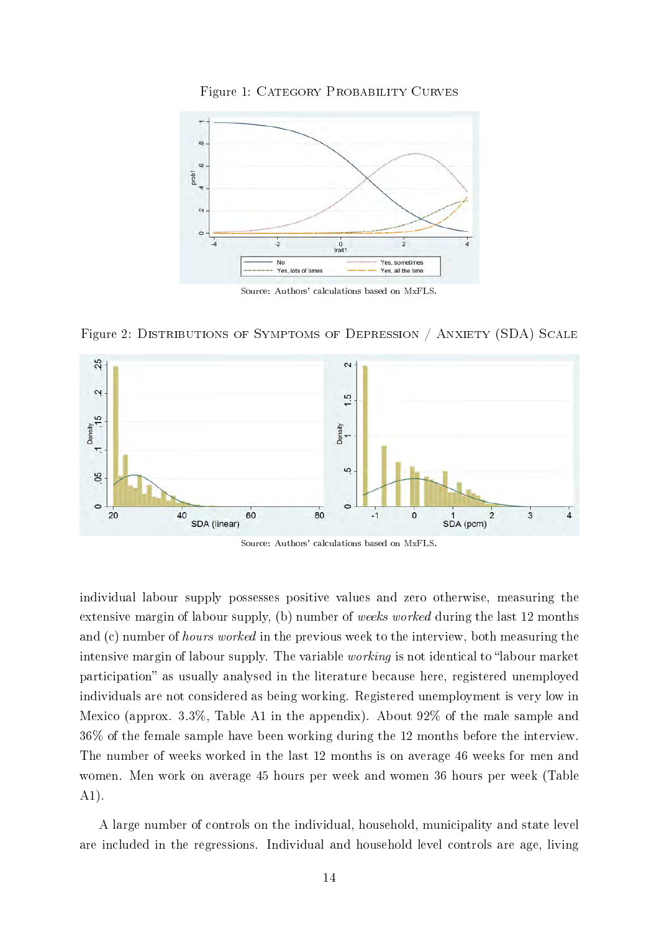<span id="page-13-1"></span>

Figure 1: CATEGORY PROBABILITY CURVES

Source: Authors' calculations based on MxFLS.

Figure 2: DISTRIBUTIONS OF SYMPTOMS OF DEPRESSION / ANXIETY (SDA) SCALE

<span id="page-13-0"></span>

Source: Authors' calculations based on MxFLS.

individual labour supply possesses positive values and zero otherwise, measuring the extensive margin of labour supply, (b) number of weeks worked during the last 12 months and (c) number of *hours worked* in the previous week to the interview, both measuring the intensive margin of labour supply. The variable *working* is not identical to "labour market" participation" as usually analysed in the literature because here, registered unemployed individuals are not considered as being working. Registered unemployment is very low in Mexico (approx. 3.3%, Table [A1](#page-30-0) in the appendix). About 92% of the male sample and 36% of the female sample have been working during the 12 months before the interview. The number of weeks worked in the last 12 months is on average 46 weeks for men and women. Men work on average 45 hours per week and women 36 hours per week (Table [A1\)](#page-30-0).

A large number of controls on the individual, household, municipality and state level are included in the regressions. Individual and household level controls are age, living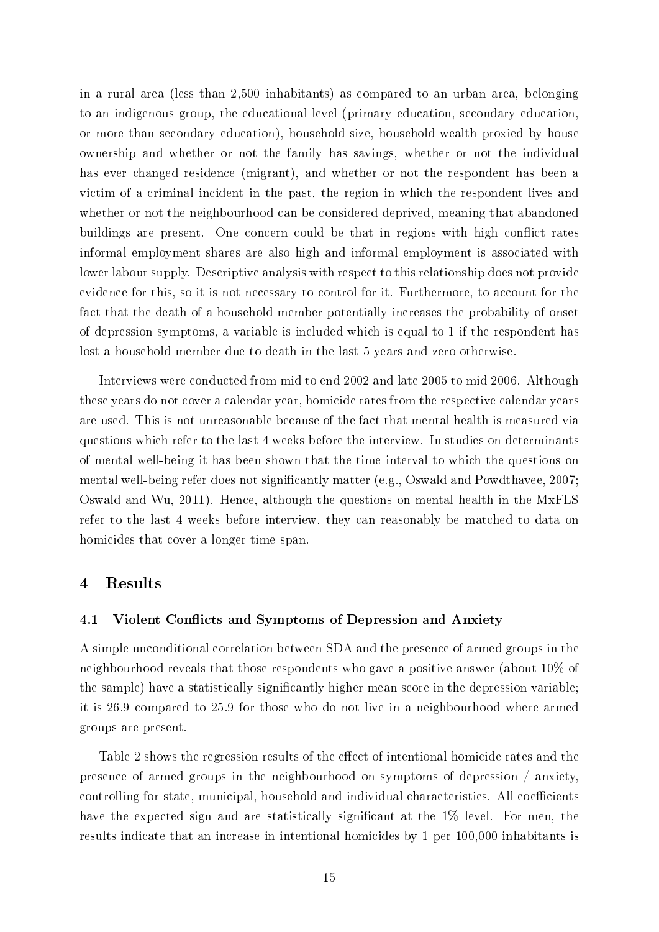in a rural area (less than 2,500 inhabitants) as compared to an urban area, belonging to an indigenous group, the educational level (primary education, secondary education, or more than secondary education), household size, household wealth proxied by house ownership and whether or not the family has savings, whether or not the individual has ever changed residence (migrant), and whether or not the respondent has been a victim of a criminal incident in the past, the region in which the respondent lives and whether or not the neighbourhood can be considered deprived, meaning that abandoned buildings are present. One concern could be that in regions with high conflict rates informal employment shares are also high and informal employment is associated with lower labour supply. Descriptive analysis with respect to this relationship does not provide evidence for this, so it is not necessary to control for it. Furthermore, to account for the fact that the death of a household member potentially increases the probability of onset of depression symptoms, a variable is included which is equal to 1 if the respondent has lost a household member due to death in the last 5 years and zero otherwise.

Interviews were conducted from mid to end 2002 and late 2005 to mid 2006. Although these years do not cover a calendar year, homicide rates from the respective calendar years are used. This is not unreasonable because of the fact that mental health is measured via questions which refer to the last 4 weeks before the interview. In studies on determinants of mental well-being it has been shown that the time interval to which the questions on mental well-being refer does not signicantly matter (e.g., [Oswald and Powdthavee, 2007;](#page-27-13) [Oswald and Wu, 2011\)](#page-27-14). Hence, although the questions on mental health in the MxFLS refer to the last 4 weeks before interview, they can reasonably be matched to data on homicides that cover a longer time span.

## 4 Results

#### 4.1 Violent Conflicts and Symptoms of Depression and Anxiety

A simple unconditional correlation between SDA and the presence of armed groups in the neighbourhood reveals that those respondents who gave a positive answer (about 10% of the sample) have a statistically signicantly higher mean score in the depression variable; it is 26.9 compared to 25.9 for those who do not live in a neighbourhood where armed groups are present.

Table [2](#page-15-0) shows the regression results of the effect of intentional homicide rates and the presence of armed groups in the neighbourhood on symptoms of depression / anxiety, controlling for state, municipal, household and individual characteristics. All coefficients have the expected sign and are statistically significant at the  $1\%$  level. For men, the results indicate that an increase in intentional homicides by 1 per 100,000 inhabitants is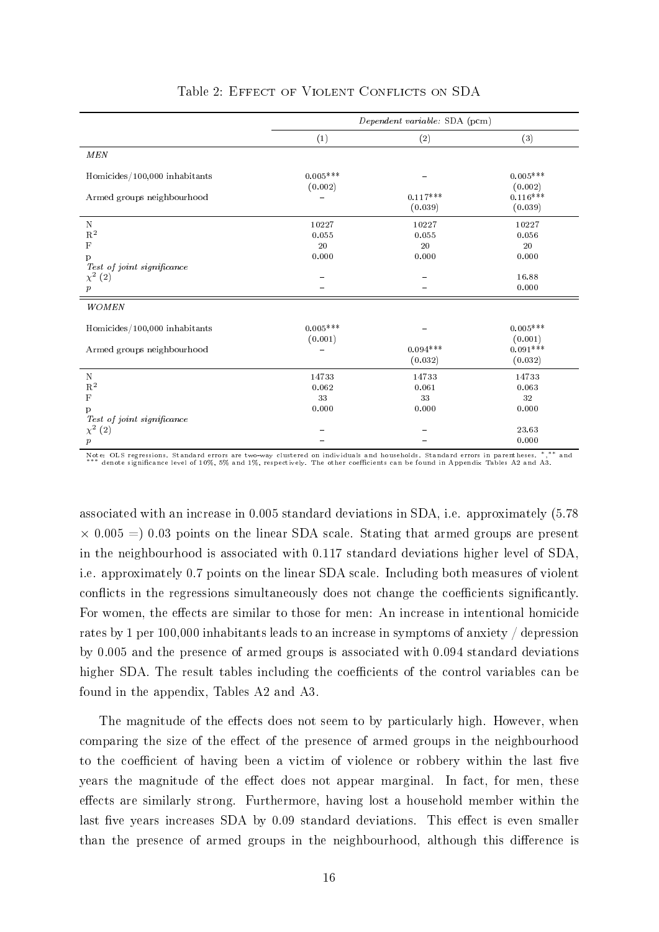<span id="page-15-0"></span>

|                                                                     |                                                   | Dependent variable: SDA (pcm) |                                          |
|---------------------------------------------------------------------|---------------------------------------------------|-------------------------------|------------------------------------------|
|                                                                     | (1)                                               | (2)                           | (3)                                      |
| MEN                                                                 |                                                   |                               |                                          |
| Homicides/100,000 inhabitants<br>Armed groups neighbourhood         | $0.005***$<br>(0.002)<br>$\overline{\phantom{0}}$ | $0.117***$                    | $0.005^{***}\;$<br>(0.002)<br>$0.116***$ |
|                                                                     |                                                   | (0.039)                       | (0.039)                                  |
| N<br>$\mathbf{R}^2$<br>$\mathbf F$<br>p                             | 10227<br>0.055<br>20<br>0.000                     | 10227<br>0.055<br>20<br>0.000 | 10227<br>0.056<br>20<br>0.000            |
| $Test\ of\ joint\ significance$<br>$\chi^2$ (2)<br>$\boldsymbol{p}$ |                                                   |                               | 16.88<br>0.000                           |
| WOMEN                                                               |                                                   |                               |                                          |
| Homicides/100,000 inhabitants                                       | $0.005***$<br>(0.001)                             |                               | $0.005***$<br>(0.001)                    |
| Armed groups neighbourhood                                          |                                                   | $0.094***$<br>(0.032)         | $0.091***$<br>(0.032)                    |
| ${\bf N}$<br>$\mathbf{R}^2$                                         | 14733<br>0.062                                    | 14733<br>0.061                | 14733<br>0.063                           |
| $\mathbf F$                                                         | 33                                                | 33                            | 32                                       |
| p<br>Test of joint significance                                     | 0.000                                             | 0.000                         | 0.000                                    |
| $\chi^2$<br>(2)                                                     |                                                   |                               | 23.63                                    |
| $\boldsymbol{p}$                                                    |                                                   |                               | 0.000                                    |

#### Table 2: EFFECT OF VIOLENT CONFLICTS ON SDA

.<br>Note: OLS regressions. Standard errors are two-way clustered on individuals and households. Standard errors in parentheses. \*,\*<br>\*\*\* denote significance level of 10%, 5% and 1%, respectively. The other coefficients can be ∗∗ and

associated with an increase in 0.005 standard deviations in SDA, i.e. approximately (5.78  $\times$  0.005 = 0.03 points on the linear SDA scale. Stating that armed groups are present in the neighbourhood is associated with 0.117 standard deviations higher level of SDA, i.e. approximately 0.7 points on the linear SDA scale. Including both measures of violent conflicts in the regressions simultaneously does not change the coefficients significantly. For women, the effects are similar to those for men: An increase in intentional homicide rates by 1 per 100,000 inhabitants leads to an increase in symptoms of anxiety / depression by 0.005 and the presence of armed groups is associated with 0.094 standard deviations higher SDA. The result tables including the coefficients of the control variables can be found in the appendix, Tables [A2](#page-31-0) and [A3.](#page-32-0)

The magnitude of the effects does not seem to by particularly high. However, when comparing the size of the effect of the presence of armed groups in the neighbourhood to the coefficient of having been a victim of violence or robbery within the last five years the magnitude of the effect does not appear marginal. In fact, for men, these effects are similarly strong. Furthermore, having lost a household member within the last five years increases SDA by 0.09 standard deviations. This effect is even smaller than the presence of armed groups in the neighbourhood, although this difference is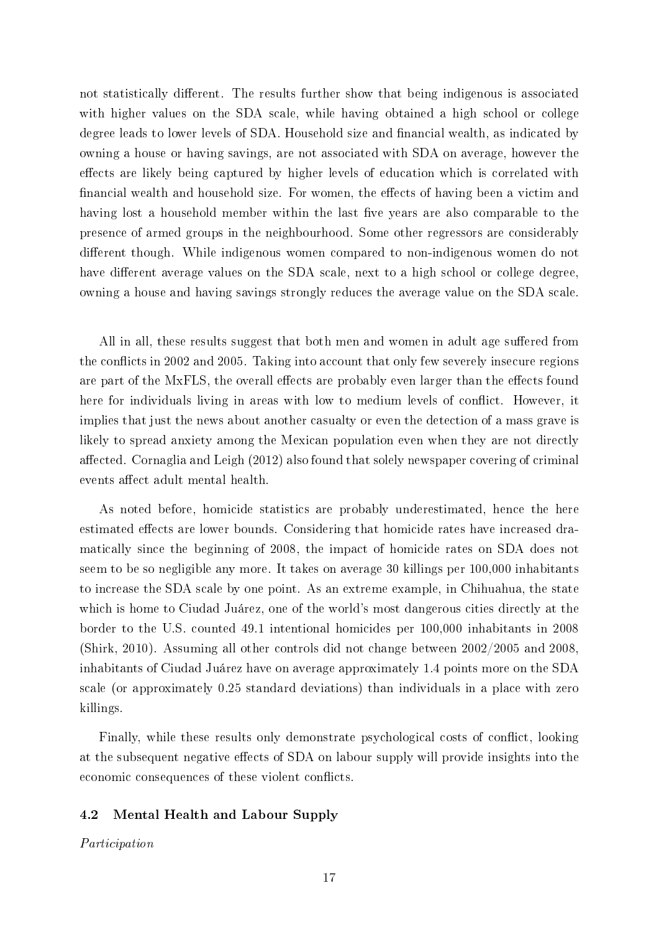not statistically different. The results further show that being indigenous is associated with higher values on the SDA scale, while having obtained a high school or college degree leads to lower levels of SDA. Household size and financial wealth, as indicated by owning a house or having savings, are not associated with SDA on average, however the effects are likely being captured by higher levels of education which is correlated with financial wealth and household size. For women, the effects of having been a victim and having lost a household member within the last five years are also comparable to the presence of armed groups in the neighbourhood. Some other regressors are considerably different though. While indigenous women compared to non-indigenous women do not have different average values on the SDA scale, next to a high school or college degree, owning a house and having savings strongly reduces the average value on the SDA scale.

All in all, these results suggest that both men and women in adult age suffered from the conflicts in 2002 and 2005. Taking into account that only few severely insecure regions are part of the MxFLS, the overall effects are probably even larger than the effects found here for individuals living in areas with low to medium levels of conflict. However, it implies that just the news about another casualty or even the detection of a mass grave is likely to spread anxiety among the Mexican population even when they are not directly affected. [Cornaglia and Leigh](#page-25-8)  $(2012)$  also found that solely newspaper covering of criminal events affect adult mental health.

As noted before, homicide statistics are probably underestimated, hence the here estimated effects are lower bounds. Considering that homicide rates have increased dramatically since the beginning of 2008, the impact of homicide rates on SDA does not seem to be so negligible any more. It takes on average 30 killings per 100,000 inhabitants to increase the SDA scale by one point. As an extreme example, in Chihuahua, the state which is home to Ciudad Juárez, one of the world's most dangerous cities directly at the border to the U.S. counted 49.1 intentional homicides per 100,000 inhabitants in 2008 [\(Shirk, 2010\)](#page-27-2). Assuming all other controls did not change between 2002/2005 and 2008, inhabitants of Ciudad Juárez have on average approximately 1.4 points more on the SDA scale (or approximately 0.25 standard deviations) than individuals in a place with zero killings.

Finally, while these results only demonstrate psychological costs of conflict, looking at the subsequent negative effects of SDA on labour supply will provide insights into the economic consequences of these violent conflicts.

### 4.2 Mental Health and Labour Supply

Participation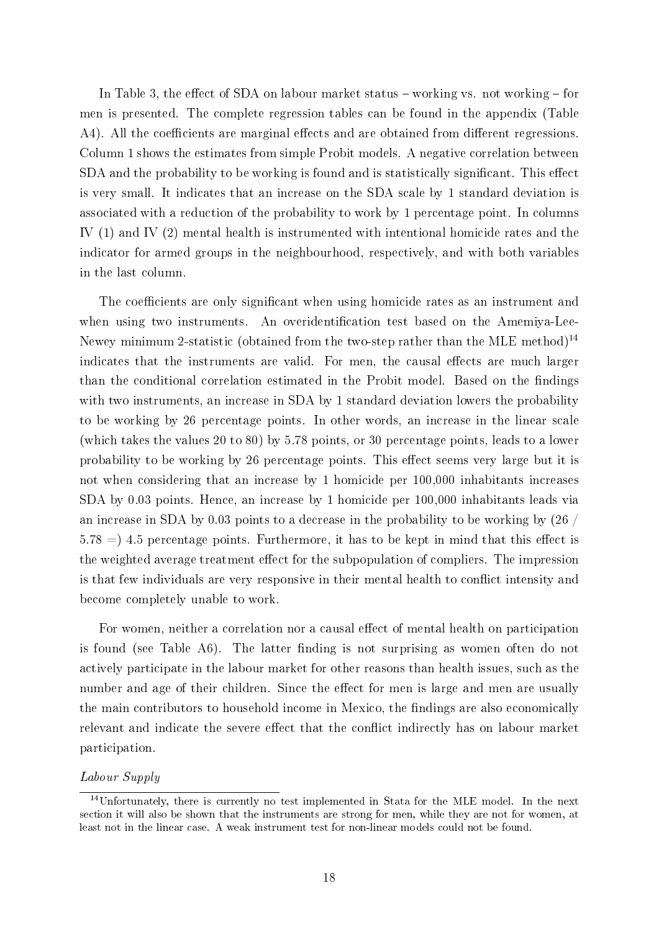In Table [3,](#page-18-0) the effect of SDA on labour market status  $-$  working vs. not working  $-$  for men is presented. The complete regression tables can be found in the appendix (Table [A4\)](#page-33-0). All the coefficients are marginal effects and are obtained from different regressions. Column 1 shows the estimates from simple Probit models. A negative correlation between SDA and the probability to be working is found and is statistically significant. This effect is very small. It indicates that an increase on the SDA scale by 1 standard deviation is associated with a reduction of the probability to work by 1 percentage point. In columns IV (1) and IV (2) mental health is instrumented with intentional homicide rates and the indicator for armed groups in the neighbourhood, respectively, and with both variables in the last column.

The coefficients are only significant when using homicide rates as an instrument and when using two instruments. An overidentification test based on the Amemiya-Lee-Newey minimum 2-statistic (obtained from the two-step rather than the MLE method)<sup>14</sup> indicates that the instruments are valid. For men, the causal effects are much larger than the conditional correlation estimated in the Probit model. Based on the findings with two instruments, an increase in SDA by 1 standard deviation lowers the probability to be working by 26 percentage points. In other words, an increase in the linear scale (which takes the values 20 to 80) by 5.78 points, or 30 percentage points, leads to a lower probability to be working by 26 percentage points. This effect seems very large but it is not when considering that an increase by 1 homicide per 100,000 inhabitants increases SDA by 0.03 points. Hence, an increase by 1 homicide per 100,000 inhabitants leads via an increase in SDA by 0.03 points to a decrease in the probability to be working by (26 /  $5.78 = 14.5$  percentage points. Furthermore, it has to be kept in mind that this effect is the weighted average treatment effect for the subpopulation of compliers. The impression is that few individuals are very responsive in their mental health to conflict intensity and become completely unable to work.

For women, neither a correlation nor a causal effect of mental health on participation is found (see Table [A6\)](#page-35-0). The latter finding is not surprising as women often do not actively participate in the labour market for other reasons than health issues, such as the number and age of their children. Since the effect for men is large and men are usually the main contributors to household income in Mexico, the findings are also economically relevant and indicate the severe effect that the conflict indirectly has on labour market participation.

#### Labour Supply

<sup>14</sup>Unfortunately, there is currently no test implemented in Stata for the MLE model. In the next section it will also be shown that the instruments are strong for men, while they are not for women, at least not in the linear case. A weak instrument test for non-linear models could not be found.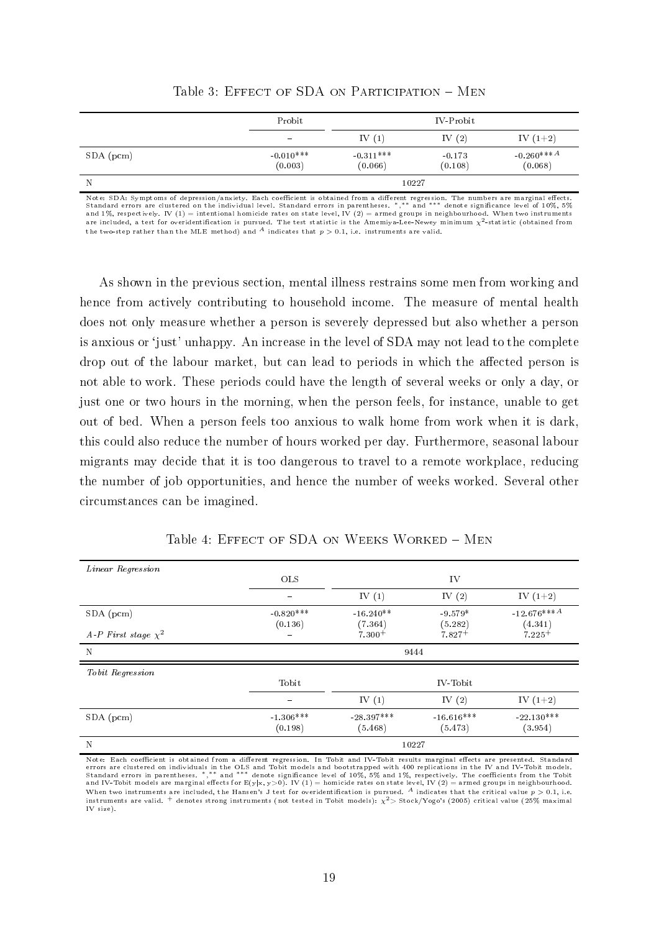<span id="page-18-0"></span>

|           | Probit                         |                        | IV-Probit           |                                     |  |  |
|-----------|--------------------------------|------------------------|---------------------|-------------------------------------|--|--|
|           | $\qquad \qquad \longleftarrow$ | IV $(1)$               | IV $(2)$            | IV $(1+2)$                          |  |  |
| SDA (pcm) | $-0.010***$<br>(0.003)         | $-0.311***$<br>(0.066) | $-0.173$<br>(0.108) | $-0.260***$ <sup>A</sup><br>(0.068) |  |  |
| N         |                                | 10227                  |                     |                                     |  |  |

Table 3: EFFECT OF SDA ON PARTICIPATION - MEN

Note: SDA: Symptoms of depression/anxiety. Each coefficient is obtained from a different regression. The numbers are marginal effects. Standard errors are clustered on the individual level. Standard errors in parentheses. \*,\*\* and \*\*\* denote significance level of 10%, 5%<br>and 1%, respectively. IV (1) = intentional homicide rates on state level, IV (2) = ar are included, a test for overidentification is pursued. The test statistic is the Amemiya-Lee-Newey minimum  $\chi^2$ -statistic (obtained from the two-step rather than the MLE method) and  $\overline{A}$  indicates that  $p > 0.1$ , i.e. instruments are valid.

As shown in the previous section, mental illness restrains some men from working and hence from actively contributing to household income. The measure of mental health does not only measure whether a person is severely depressed but also whether a person is anxious or 'just' unhappy. An increase in the level of SDA may not lead to the complete drop out of the labour market, but can lead to periods in which the affected person is not able to work. These periods could have the length of several weeks or only a day, or just one or two hours in the morning, when the person feels, for instance, unable to get out of bed. When a person feels too anxious to walk home from work when it is dark, this could also reduce the number of hours worked per day. Furthermore, seasonal labour migrants may decide that it is too dangerous to travel to a remote workplace, reducing the number of job opportunities, and hence the number of weeks worked. Several other circumstances can be imagined.

<span id="page-18-1"></span>

| Linear Regression        |                          |                         |                         |                          |  |  |  |  |
|--------------------------|--------------------------|-------------------------|-------------------------|--------------------------|--|--|--|--|
|                          | <b>OLS</b>               |                         | IV                      |                          |  |  |  |  |
|                          | $\overline{\phantom{0}}$ | IV $(1)$                | IV $(2)$                | IV $(1+2)$               |  |  |  |  |
| SDA (pcm)                | $-0.820***$<br>(0.136)   | $-16.240**$<br>(7.364)  | $-9.579*$<br>(5.282)    | $-12.676***A$<br>(4.341) |  |  |  |  |
| A-P First stage $\chi^2$ | $\equiv$                 | $7.300+$                | $7.827+$                | $7.225+$                 |  |  |  |  |
| N                        |                          | 9444                    |                         |                          |  |  |  |  |
| Tobit Regression         |                          |                         |                         |                          |  |  |  |  |
|                          | Tobit                    |                         | IV-Tobit                |                          |  |  |  |  |
|                          | $\overline{\phantom{0}}$ | IV $(1)$                | IV $(2)$                | IV $(1+2)$               |  |  |  |  |
| $SDA$ (pcm)              | $-1.306***$<br>(0.198)   | $-28.397***$<br>(5.468) | $-16.616***$<br>(5.473) | $-22.130***$<br>(3.954)  |  |  |  |  |
| N                        |                          |                         | 10227                   |                          |  |  |  |  |

Table 4: EFFECT OF SDA ON WEEKS WORKED - MEN

Note: Each coefficient is obtained from a different regression. In Tobit and IV-Tobit results marginal effects are presented. Standard errors are clustered on individuals in the OLS and Tobit models and bootstrapped with 400 replications in the IV and IV-Tobit models.<br>Standard errors in parentheses. \*,\*\* and \*\*\* denote significance level of 10%, 5% and 1% When two instruments are included, the Hansen's J test for overidentification is pursued. <sup>A</sup> indicates that the critical value  $p > 0.1$ , i.e. instruments are valid.  $^+$  denotes strong instruments (not tested in Tobit models):  $\chi^2$ > Stock/Yogo's (2005) critical value (25% maximal IV size).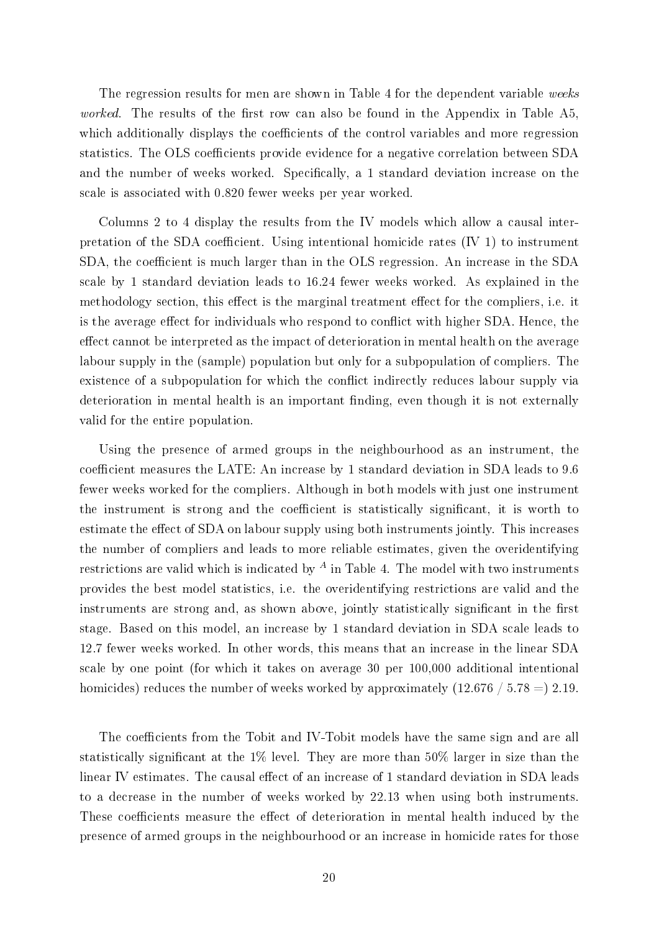The regression results for men are shown in Table [4](#page-18-1) for the dependent variable weeks worked. The results of the first row can also be found in the Appendix in Table [A5,](#page-34-0) which additionally displays the coefficients of the control variables and more regression statistics. The OLS coefficients provide evidence for a negative correlation between SDA and the number of weeks worked. Specifically, a 1 standard deviation increase on the scale is associated with 0.820 fewer weeks per year worked.

Columns 2 to 4 display the results from the IV models which allow a causal interpretation of the SDA coefficient. Using intentional homicide rates  $(V 1)$  to instrument SDA, the coefficient is much larger than in the OLS regression. An increase in the SDA scale by 1 standard deviation leads to 16.24 fewer weeks worked. As explained in the methodology section, this effect is the marginal treatment effect for the compliers, i.e. it is the average effect for individuals who respond to conflict with higher SDA. Hence, the effect cannot be interpreted as the impact of deterioration in mental health on the average labour supply in the (sample) population but only for a subpopulation of compliers. The existence of a subpopulation for which the conflict indirectly reduces labour supply via deterioration in mental health is an important finding, even though it is not externally valid for the entire population.

Using the presence of armed groups in the neighbourhood as an instrument, the coefficient measures the LATE: An increase by 1 standard deviation in SDA leads to 9.6 fewer weeks worked for the compliers. Although in both models with just one instrument the instrument is strong and the coefficient is statistically significant, it is worth to estimate the effect of SDA on labour supply using both instruments jointly. This increases the number of compliers and leads to more reliable estimates, given the overidentifying restrictions are valid which is indicated by  $^A$  in Table [4.](#page-18-1) The model with two instruments provides the best model statistics, i.e. the overidentifying restrictions are valid and the instruments are strong and, as shown above, jointly statistically significant in the first stage. Based on this model, an increase by 1 standard deviation in SDA scale leads to 12.7 fewer weeks worked. In other words, this means that an increase in the linear SDA scale by one point (for which it takes on average 30 per 100,000 additional intentional homicides) reduces the number of weeks worked by approximately  $(12.676 \div 5.78 = 2.19$ .

The coefficients from the Tobit and IV-Tobit models have the same sign and are all statistically significant at the 1% level. They are more than 50% larger in size than the linear IV estimates. The causal effect of an increase of 1 standard deviation in SDA leads to a decrease in the number of weeks worked by 22.13 when using both instruments. These coefficients measure the effect of deterioration in mental health induced by the presence of armed groups in the neighbourhood or an increase in homicide rates for those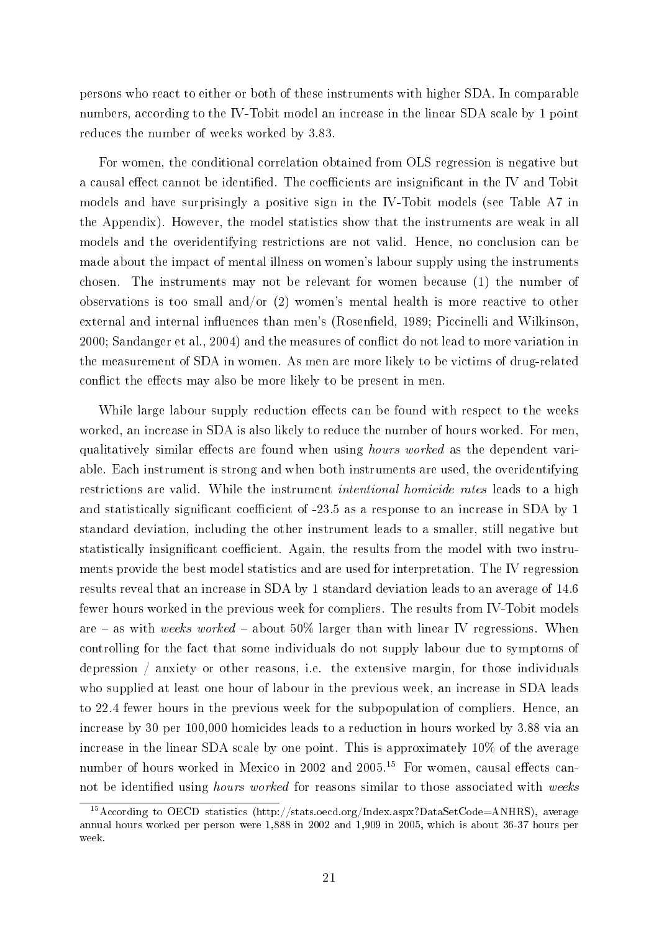persons who react to either or both of these instruments with higher SDA. In comparable numbers, according to the IV-Tobit model an increase in the linear SDA scale by 1 point reduces the number of weeks worked by 3.83.

For women, the conditional correlation obtained from OLS regression is negative but a causal effect cannot be identified. The coefficients are insignificant in the IV and Tobit models and have surprisingly a positive sign in the IV-Tobit models (see Table [A7](#page-35-1) in the Appendix). However, the model statistics show that the instruments are weak in all models and the overidentifying restrictions are not valid. Hence, no conclusion can be made about the impact of mental illness on women's labour supply using the instruments chosen. The instruments may not be relevant for women because (1) the number of observations is too small and/or (2) women's mental health is more reactive to other external and internal influences than men's (Rosenfield, 1989; [Piccinelli and Wilkinson,](#page-27-16) [2000;](#page-27-16) [Sandanger et al., 2004\)](#page-27-17) and the measures of conflict do not lead to more variation in the measurement of SDA in women. As men are more likely to be victims of drug-related conflict the effects may also be more likely to be present in men.

While large labour supply reduction effects can be found with respect to the weeks worked, an increase in SDA is also likely to reduce the number of hours worked. For men, qualitatively similar effects are found when using *hours worked* as the dependent variable. Each instrument is strong and when both instruments are used, the overidentifying restrictions are valid. While the instrument intentional homicide rates leads to a high and statistically significant coefficient of -23.5 as a response to an increase in SDA by 1 standard deviation, including the other instrument leads to a smaller, still negative but statistically insignificant coefficient. Again, the results from the model with two instruments provide the best model statistics and are used for interpretation. The IV regression results reveal that an increase in SDA by 1 standard deviation leads to an average of 14.6 fewer hours worked in the previous week for compliers. The results from IV-Tobit models are  $-$  as with weeks worked  $-$  about 50% larger than with linear IV regressions. When controlling for the fact that some individuals do not supply labour due to symptoms of depression / anxiety or other reasons, i.e. the extensive margin, for those individuals who supplied at least one hour of labour in the previous week, an increase in SDA leads to 22.4 fewer hours in the previous week for the subpopulation of compliers. Hence, an increase by 30 per 100,000 homicides leads to a reduction in hours worked by 3.88 via an increase in the linear SDA scale by one point. This is approximately 10% of the average number of hours worked in Mexico in 2002 and 2005.<sup>15</sup> For women, causal effects cannot be identified using *hours worked* for reasons similar to those associated with weeks

<sup>&</sup>lt;sup>15</sup>According to OECD statistics (http://stats.oecd.org/Index.aspx?DataSetCode=ANHRS), average annual hours worked per person were 1,888 in 2002 and 1,909 in 2005, which is about 36-37 hours per week.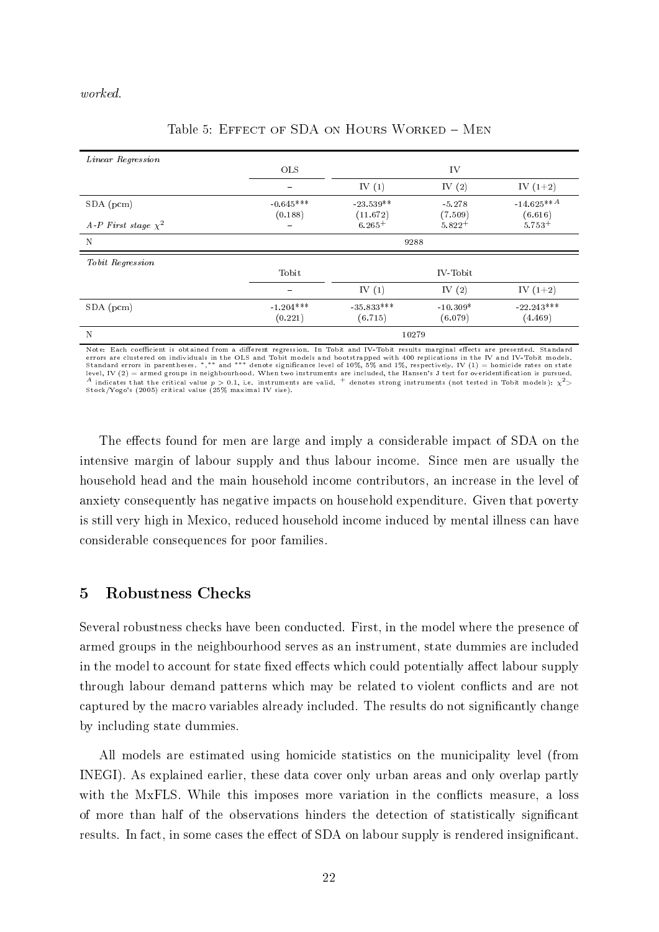#### worked.

| Linear Regression        |                        |              |            |              |  |  |
|--------------------------|------------------------|--------------|------------|--------------|--|--|
|                          | <b>OLS</b>             |              | IV         |              |  |  |
|                          |                        | IV $(1)$     | IV $(2)$   | IV $(1+2)$   |  |  |
| SDA (pcm)                | $-0.645***$            | $-23.539**$  | $-5.278$   | $-14.625**A$ |  |  |
|                          | (0.188)                | (11.672)     | (7.509)    | (6.616)      |  |  |
| A-P First stage $\chi^2$ |                        | $6.265+$     | $5.822+$   | $5.753+$     |  |  |
| $\mathbf N$              | 9288                   |              |            |              |  |  |
| Tobit Regression         |                        |              |            |              |  |  |
|                          | Tobit                  |              | IV-Tobit   |              |  |  |
|                          | $\qquad \qquad \qquad$ | IV $(1)$     | IV $(2)$   | IV $(1+2)$   |  |  |
| $SDA$ (pcm)              | $-1.204***$            | $-35.833***$ | $-10.309*$ | $-22.243***$ |  |  |
|                          | (0.221)                | (6.715)      | (6.079)    | (4.469)      |  |  |
| N                        |                        | 10279        |            |              |  |  |

#### Table 5: EFFECT OF SDA ON HOURS WORKED - MEN

Note: Each coefficient is obtained from a different regression. In Tobit and IV Tobit results marginal effects are presented. Standard errors are clustered on individuals in the OLS and Tobit models and bootstrapped with 400 replications in the IV and IV-Tobit models.<br>Standard errors in parentheses. \*,\*\* and \*\*\* denote significance level of 10%, 5% and 1%  $^A$  indicates that the critical value  $p>0.1$ , i.e. instruments are valid.  $^+$  denotes strong instruments (not tested in Tobit models):  $\chi^2$ > Stock/Yogo's (2005) critical value (25% maximal IV size).

The effects found for men are large and imply a considerable impact of SDA on the intensive margin of labour supply and thus labour income. Since men are usually the household head and the main household income contributors, an increase in the level of anxiety consequently has negative impacts on household expenditure. Given that poverty is still very high in Mexico, reduced household income induced by mental illness can have considerable consequences for poor families.

## 5 Robustness Checks

Several robustness checks have been conducted. First, in the model where the presence of armed groups in the neighbourhood serves as an instrument, state dummies are included in the model to account for state fixed effects which could potentially affect labour supply through labour demand patterns which may be related to violent conflicts and are not captured by the macro variables already included. The results do not signicantly change by including state dummies.

All models are estimated using homicide statistics on the municipality level (from INEGI). As explained earlier, these data cover only urban areas and only overlap partly with the MxFLS. While this imposes more variation in the conflicts measure, a loss of more than half of the observations hinders the detection of statistically signicant results. In fact, in some cases the effect of SDA on labour supply is rendered insignificant.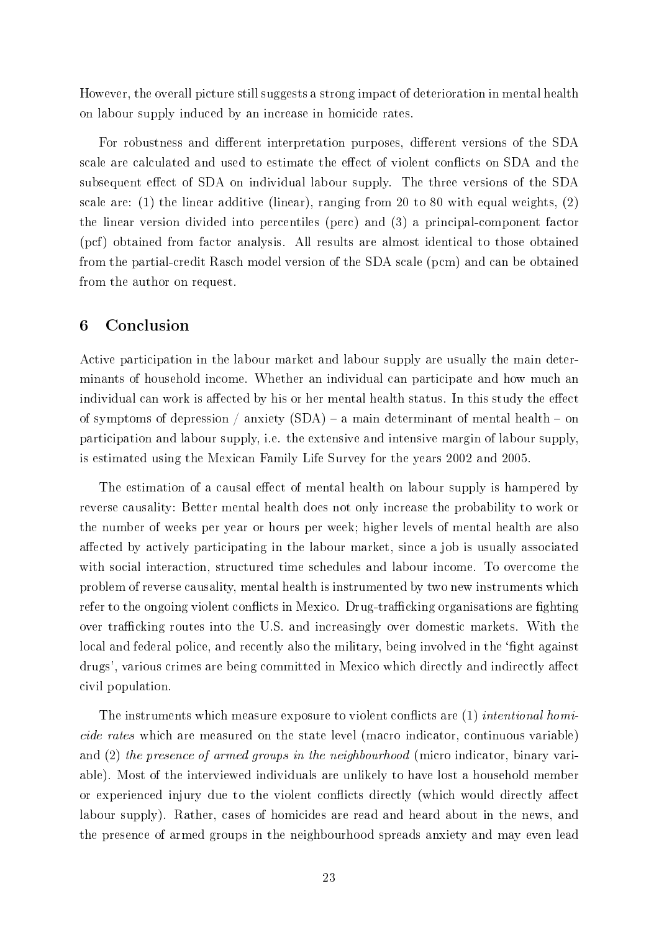However, the overall picture still suggests a strong impact of deterioration in mental health on labour supply induced by an increase in homicide rates.

For robustness and different interpretation purposes, different versions of the SDA scale are calculated and used to estimate the effect of violent conflicts on SDA and the subsequent effect of SDA on individual labour supply. The three versions of the SDA scale are: (1) the linear additive (linear), ranging from 20 to 80 with equal weights,  $(2)$ the linear version divided into percentiles (perc) and (3) a principal-component factor (pcf) obtained from factor analysis. All results are almost identical to those obtained from the partial-credit Rasch model version of the SDA scale (pcm) and can be obtained from the author on request.

## 6 Conclusion

Active participation in the labour market and labour supply are usually the main determinants of household income. Whether an individual can participate and how much an individual can work is affected by his or her mental health status. In this study the effect of symptoms of depression / anxiety  $(SDA)$  – a main determinant of mental health – on participation and labour supply, i.e. the extensive and intensive margin of labour supply, is estimated using the Mexican Family Life Survey for the years 2002 and 2005.

The estimation of a causal effect of mental health on labour supply is hampered by reverse causality: Better mental health does not only increase the probability to work or the number of weeks per year or hours per week; higher levels of mental health are also affected by actively participating in the labour market, since a job is usually associated with social interaction, structured time schedules and labour income. To overcome the problem of reverse causality, mental health is instrumented by two new instruments which refer to the ongoing violent conflicts in Mexico. Drug-trafficking organisations are fighting over trafficking routes into the U.S. and increasingly over domestic markets. With the local and federal police, and recently also the military, being involved in the 'fight against drugs', various crimes are being committed in Mexico which directly and indirectly affect civil population.

The instruments which measure exposure to violent conflicts are  $(1)$  intentional homicide rates which are measured on the state level (macro indicator, continuous variable) and (2) the presence of armed groups in the neighbourhood (micro indicator, binary variable). Most of the interviewed individuals are unlikely to have lost a household member or experienced injury due to the violent conflicts directly (which would directly affect labour supply). Rather, cases of homicides are read and heard about in the news, and the presence of armed groups in the neighbourhood spreads anxiety and may even lead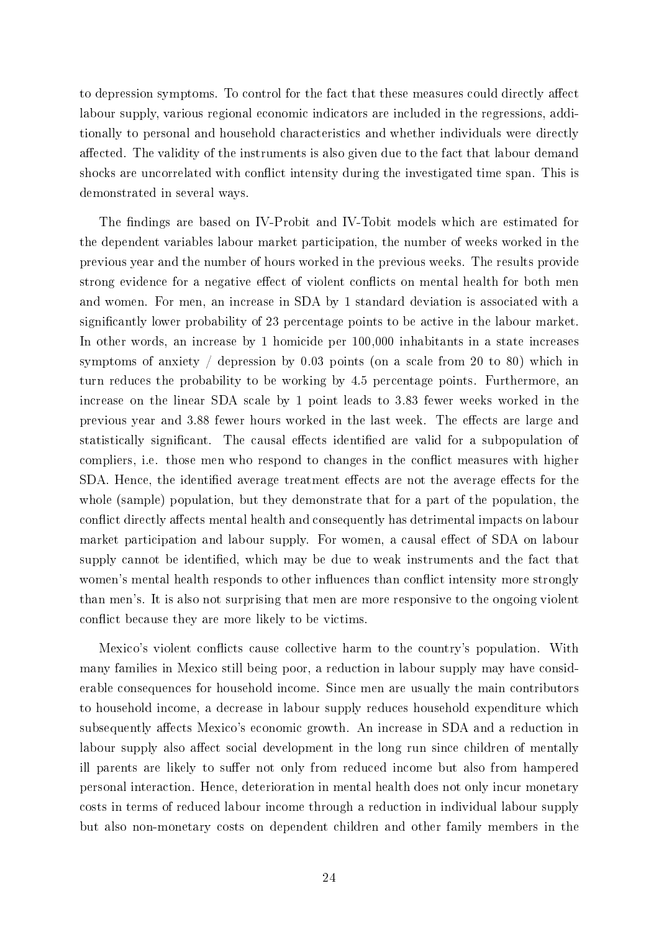to depression symptoms. To control for the fact that these measures could directly affect labour supply, various regional economic indicators are included in the regressions, additionally to personal and household characteristics and whether individuals were directly affected. The validity of the instruments is also given due to the fact that labour demand shocks are uncorrelated with conflict intensity during the investigated time span. This is demonstrated in several ways.

The findings are based on IV-Probit and IV-Tobit models which are estimated for the dependent variables labour market participation, the number of weeks worked in the previous year and the number of hours worked in the previous weeks. The results provide strong evidence for a negative effect of violent conflicts on mental health for both men and women. For men, an increase in SDA by 1 standard deviation is associated with a significantly lower probability of 23 percentage points to be active in the labour market. In other words, an increase by 1 homicide per 100,000 inhabitants in a state increases symptoms of anxiety / depression by 0.03 points (on a scale from 20 to 80) which in turn reduces the probability to be working by 4.5 percentage points. Furthermore, an increase on the linear SDA scale by 1 point leads to 3.83 fewer weeks worked in the previous year and 3.88 fewer hours worked in the last week. The effects are large and statistically significant. The causal effects identified are valid for a subpopulation of compliers, i.e. those men who respond to changes in the conflict measures with higher SDA. Hence, the identified average treatment effects are not the average effects for the whole (sample) population, but they demonstrate that for a part of the population, the conflict directly affects mental health and consequently has detrimental impacts on labour market participation and labour supply. For women, a causal effect of SDA on labour supply cannot be identified, which may be due to weak instruments and the fact that women's mental health responds to other influences than conflict intensity more strongly than men's. It is also not surprising that men are more responsive to the ongoing violent conflict because they are more likely to be victims.

Mexico's violent conflicts cause collective harm to the country's population. With many families in Mexico still being poor, a reduction in labour supply may have considerable consequences for household income. Since men are usually the main contributors to household income, a decrease in labour supply reduces household expenditure which subsequently affects Mexico's economic growth. An increase in SDA and a reduction in labour supply also affect social development in the long run since children of mentally ill parents are likely to suffer not only from reduced income but also from hampered personal interaction. Hence, deterioration in mental health does not only incur monetary costs in terms of reduced labour income through a reduction in individual labour supply but also non-monetary costs on dependent children and other family members in the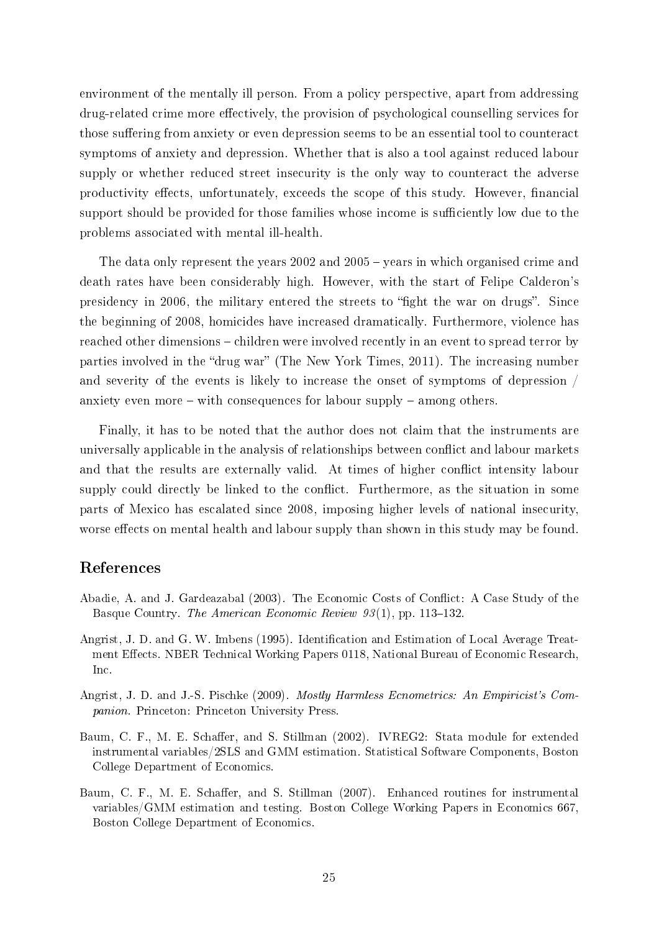environment of the mentally ill person. From a policy perspective, apart from addressing drug-related crime more effectively, the provision of psychological counselling services for those suffering from anxiety or even depression seems to be an essential tool to counteract symptoms of anxiety and depression. Whether that is also a tool against reduced labour supply or whether reduced street insecurity is the only way to counteract the adverse productivity effects, unfortunately, exceeds the scope of this study. However, financial support should be provided for those families whose income is sufficiently low due to the problems associated with mental ill-health.

The data only represent the years  $2002$  and  $2005$  – years in which organised crime and death rates have been considerably high. However, with the start of Felipe Calderon's presidency in 2006, the military entered the streets to "fight the war on drugs". Since the beginning of 2008, homicides have increased dramatically. Furthermore, violence has reached other dimensions – children were involved recently in an event to spread terror by parties involved in the "drug war" [\(The New York Times, 2011\)](#page-28-4). The increasing number and severity of the events is likely to increase the onset of symptoms of depression / anxiety even more  $-$  with consequences for labour supply  $-$  among others.

Finally, it has to be noted that the author does not claim that the instruments are universally applicable in the analysis of relationships between conflict and labour markets and that the results are externally valid. At times of higher conflict intensity labour supply could directly be linked to the conflict. Furthermore, as the situation in some parts of Mexico has escalated since 2008, imposing higher levels of national insecurity, worse effects on mental health and labour supply than shown in this study may be found.

## References

- <span id="page-24-0"></span>Abadie, A. and J. Gardeazabal (2003). The Economic Costs of Conflict: A Case Study of the Basque Country. The American Economic Review  $93(1)$ , pp. 113–132.
- <span id="page-24-1"></span>Angrist, J. D. and G. W. Imbens (1995). Identification and Estimation of Local Average Treatment Effects. NBER Technical Working Papers 0118, National Bureau of Economic Research, Inc.
- <span id="page-24-4"></span>Angrist, J. D. and J.-S. Pischke (2009). Mostly Harmless Ecnometrics: An Empiricist's Companion. Princeton: Princeton University Press.
- <span id="page-24-3"></span>Baum, C. F., M. E. Schaffer, and S. Stillman (2002). IVREG2: Stata module for extended instrumental variables/2SLS and GMM estimation. Statistical Software Components, Boston College Department of Economics.
- <span id="page-24-2"></span>Baum, C. F., M. E. Schaffer, and S. Stillman (2007). Enhanced routines for instrumental variables/GMM estimation and testing. Boston College Working Papers in Economics 667, Boston College Department of Economics.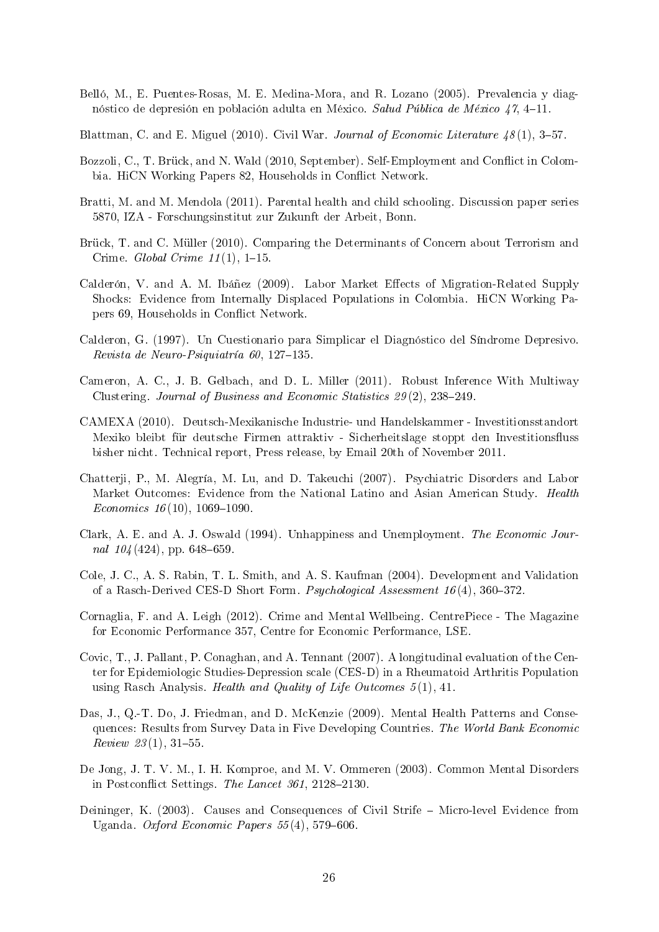<span id="page-25-4"></span>Belló, M., E. Puentes-Rosas, M. E. Medina-Mora, and R. Lozano (2005). Prevalencia y diagnóstico de depresión en población adulta en México. Salud Pública de México  $47, 4-11$ .

<span id="page-25-0"></span>Blattman, C. and E. Miguel (2010). Civil War. Journal of Economic Literature  $\frac{18(1)}{3}$  -57.

- <span id="page-25-2"></span>Bozzoli, C., T. Brück, and N. Wald (2010, September). Self-Employment and Conflict in Colombia. HiCN Working Papers 82, Households in Conflict Network.
- <span id="page-25-3"></span>Bratti, M. and M. Mendola (2011). Parental health and child schooling. Discussion paper series 5870, IZA - Forschungsinstitut zur Zukunft der Arbeit, Bonn.
- <span id="page-25-10"></span>Brück, T. and C. Müller (2010). Comparing the Determinants of Concern about Terrorism and Crime. Global Crime  $11(1)$ , 1–15.
- <span id="page-25-1"></span>Calderón, V. and A. M. Ibáñez (2009). Labor Market Effects of Migration-Related Supply Shocks: Evidence from Internally Displaced Populations in Colombia. HiCN Working Papers 69, Households in Conflict Network.
- <span id="page-25-14"></span>Calderon, G. (1997). Un Cuestionario para Simplicar el Diagnóstico del Síndrome Depresivo.  $Revista de Neuro-Psiquiatria 60, 127-135.$
- <span id="page-25-12"></span>Cameron, A. C., J. B. Gelbach, and D. L. Miller (2011). Robust Inference With Multiway Clustering. Journal of Business and Economic Statistics  $29(2)$ ,  $238-249$ .
- <span id="page-25-7"></span>CAMEXA (2010). Deutsch-Mexikanische Industrie- und Handelskammer - Investitionsstandort Mexiko bleibt für deutsche Firmen attraktiv - Sicherheitslage stoppt den Investitionsfluss bisher nicht. Technical report, Press release, by Email 20th of November 2011.
- <span id="page-25-5"></span>Chatterji, P., M. Alegría, M. Lu, and D. Takeuchi (2007). Psychiatric Disorders and Labor Market Outcomes: Evidence from the National Latino and Asian American Study. Health Economics  $16(10)$ ,  $1069-1090$ .
- <span id="page-25-11"></span>Clark, A. E. and A. J. Oswald (1994). Unhappiness and Unemployment. The Economic Journal  $104(424)$ , pp. 648-659.
- <span id="page-25-15"></span>Cole, J. C., A. S. Rabin, T. L. Smith, and A. S. Kaufman (2004). Development and Validation of a Rasch-Derived CES-D Short Form. Psychological Assessment  $16(4)$ , 360–372.
- <span id="page-25-8"></span>Cornaglia, F. and A. Leigh (2012). Crime and Mental Wellbeing. CentrePiece - The Magazine for Economic Performance 357, Centre for Economic Performance, LSE.
- <span id="page-25-16"></span>Covic, T., J. Pallant, P. Conaghan, and A. Tennant (2007). A longitudinal evaluation of the Center for Epidemiologic Studies-Depression scale (CES-D) in a Rheumatoid Arthritis Population using Rasch Analysis. Health and Quality of Life Outcomes  $5(1)$ , 41.
- <span id="page-25-6"></span>Das, J., Q.-T. Do, J. Friedman, and D. McKenzie (2009). Mental Health Patterns and Consequences: Results from Survey Data in Five Developing Countries. The World Bank Economic  $Review 23(1), 31-55.$
- <span id="page-25-9"></span>De Jong, J. T. V. M., I. H. Komproe, and M. V. Ommeren (2003). Common Mental Disorders in Postconflict Settings. The Lancet  $361$ ,  $2128-2130$ .
- <span id="page-25-13"></span>Deininger, K. (2003). Causes and Consequences of Civil Strife – Micro-level Evidence from Uganda. Oxford Economic Papers  $55(4)$ , 579-606.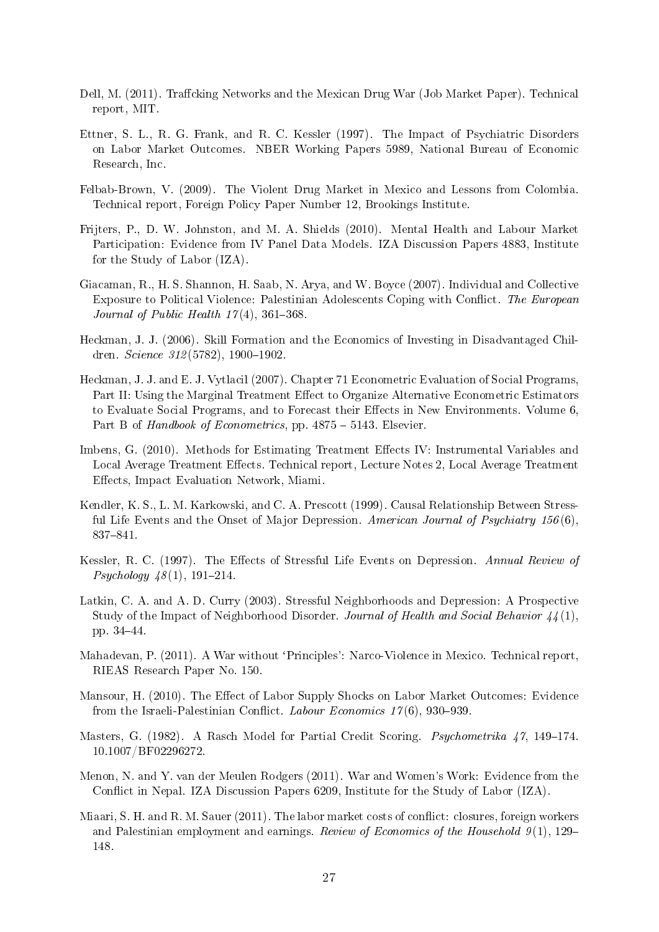- <span id="page-26-11"></span>Dell, M. (2011). Traffcking Networks and the Mexican Drug War (Job Market Paper). Technical report, MIT.
- <span id="page-26-12"></span>Ettner, S. L., R. G. Frank, and R. C. Kessler (1997). The Impact of Psychiatric Disorders on Labor Market Outcomes. NBER Working Papers 5989, National Bureau of Economic Research, Inc.
- <span id="page-26-9"></span>Felbab-Brown, V. (2009). The Violent Drug Market in Mexico and Lessons from Colombia. Technical report, Foreign Policy Paper Number 12, Brookings Institute.
- <span id="page-26-3"></span>Frijters, P., D. W. Johnston, and M. A. Shields (2010). Mental Health and Labour Market Participation: Evidence from IV Panel Data Models. IZA Discussion Papers 4883, Institute for the Study of Labor (IZA).
- <span id="page-26-8"></span>Giacaman, R., H. S. Shannon, H. Saab, N. Arya, and W. Boyce (2007). Individual and Collective Exposure to Political Violence: Palestinian Adolescents Coping with Conflict. The European Journal of Public Health  $17(4)$ , 361-368.
- <span id="page-26-2"></span>Heckman, J. J. (2006). Skill Formation and the Economics of Investing in Disadvantaged Children. Science  $312(5782)$ , 1900-1902.
- <span id="page-26-13"></span>Heckman, J. J. and E. J. Vytlacil (2007). Chapter 71 Econometric Evaluation of Social Programs, Part II: Using the Marginal Treatment Effect to Organize Alternative Econometric Estimators to Evaluate Social Programs, and to Forecast their Effects in New Environments. Volume 6. Part B of Handbook of Econometrics, pp.  $4875 - 5143$ . Elsevier.
- <span id="page-26-14"></span>Imbens, G. (2010). Methods for Estimating Treatment Effects IV: Instrumental Variables and Local Average Treatment Effects. Technical report, Lecture Notes 2, Local Average Treatment Effects, Impact Evaluation Network, Miami.
- <span id="page-26-6"></span>Kendler, K. S., L. M. Karkowski, and C. A. Prescott (1999). Causal Relationship Between Stressful Life Events and the Onset of Major Depression. American Journal of Psychiatry  $156(6)$ . 837-841.
- <span id="page-26-5"></span>Kessler, R. C. (1997). The Effects of Stressful Life Events on Depression. Annual Review of  $Psychology \, 48(1), \, 191-214.$
- <span id="page-26-7"></span>Latkin, C. A. and A. D. Curry (2003). Stressful Neighborhoods and Depression: A Prospective Study of the Impact of Neighborhood Disorder. Journal of Health and Social Behavior 44 (1), pp. 34–44.
- <span id="page-26-10"></span>Mahadevan, P. (2011). A War without 'Principles': Narco-Violence in Mexico. Technical report, RIEAS Research Paper No. 150.
- <span id="page-26-15"></span>Mansour, H. (2010). The Effect of Labor Supply Shocks on Labor Market Outcomes: Evidence from the Israeli-Palestinian Conflict. Labour Economics  $17(6)$ , 930–939.
- <span id="page-26-4"></span>Masters, G. (1982). A Rasch Model for Partial Credit Scoring. *Psychometrika*  $47$ , 149–174. 10.1007/BF02296272.
- <span id="page-26-0"></span>Menon, N. and Y. van der Meulen Rodgers (2011). War and Women's Work: Evidence from the Conflict in Nepal. IZA Discussion Papers 6209, Institute for the Study of Labor (IZA).
- <span id="page-26-1"></span>Miaari, S. H. and R. M. Sauer (2011). The labor market costs of conflict: closures, foreign workers and Palestinian employment and earnings. Review of Economics of the Household  $9(1)$ , 129– 148.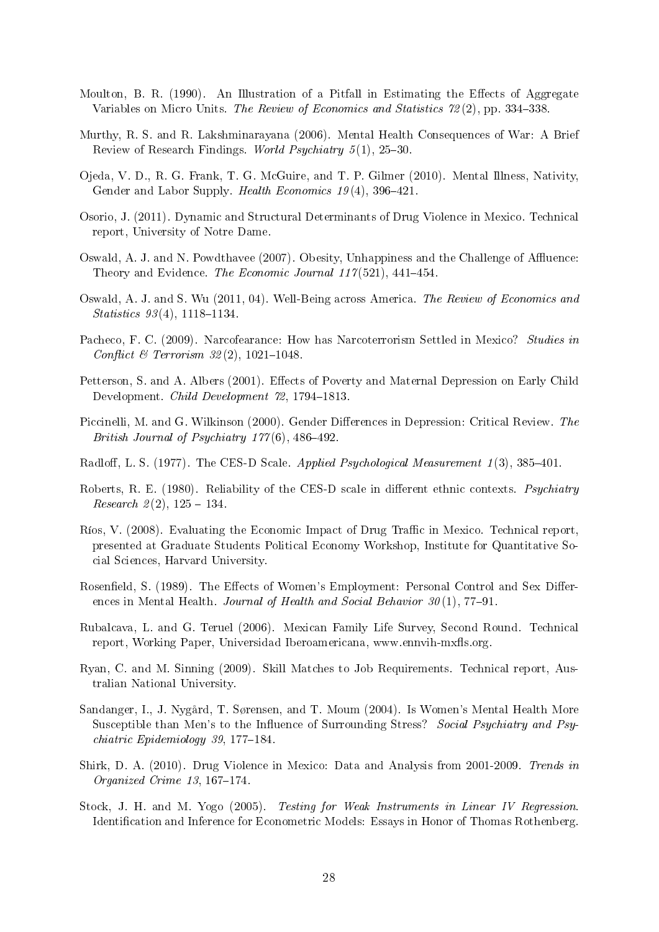- <span id="page-27-7"></span>Moulton, B. R.  $(1990)$ . An Illustration of a Pitfall in Estimating the Effects of Aggregate Variables on Micro Units. The Review of Economics and Statistics 72(2), pp. 334–338.
- <span id="page-27-6"></span>Murthy, R. S. and R. Lakshminarayana (2006). Mental Health Consequences of War: A Brief Review of Research Findings. World Psychiatry  $5(1)$ , 25-30.
- <span id="page-27-1"></span>Ojeda, V. D., R. G. Frank, T. G. McGuire, and T. P. Gilmer (2010). Mental Illness, Nativity, Gender and Labor Supply. Health Economics  $19(4)$ , 396-421.
- <span id="page-27-3"></span>Osorio, J. (2011). Dynamic and Structural Determinants of Drug Violence in Mexico. Technical report, University of Notre Dame.
- <span id="page-27-13"></span>Oswald, A. J. and N. Powdthavee (2007). Obesity, Unhappiness and the Challenge of Affluence: Theory and Evidence. The Economic Journal  $117(521)$ , 441-454.
- <span id="page-27-14"></span>Oswald, A. J. and S. Wu (2011, 04). Well-Being across America. The Review of Economics and  $Statistics 93(4), 1118-1134.$
- <span id="page-27-5"></span>Pacheco, F. C. (2009). Narcofearance: How has Narcoterrorism Settled in Mexico? Studies in Conflict & Terrorism  $32(2)$ , 1021-1048.
- <span id="page-27-0"></span>Petterson, S. and A. Albers (2001). Effects of Poverty and Maternal Depression on Early Child Development. Child Development 72, 1794-1813.
- <span id="page-27-16"></span>Piccinelli, M. and G. Wilkinson (2000). Gender Differences in Depression: Critical Review. The British Journal of Psychiatry  $177(6)$ , 486-492.
- <span id="page-27-10"></span>Radloff, L. S. (1977). The CES-D Scale. Applied Psychological Measurement  $1(3)$ ,  $385-401$ .
- <span id="page-27-12"></span>Roberts, R. E. (1980). Reliability of the CES-D scale in different ethnic contexts. Psychiatry *Research* 2(2),  $125 - 134$ .
- <span id="page-27-4"></span>Ríos, V. (2008). Evaluating the Economic Impact of Drug Traffic in Mexico. Technical report, presented at Graduate Students Political Economy Workshop, Institute for Quantitative Social Sciences, Harvard University.
- <span id="page-27-15"></span>Rosenfield, S. (1989). The Effects of Women's Employment: Personal Control and Sex Differences in Mental Health. Journal of Health and Social Behavior  $30(1)$ , 77-91.
- <span id="page-27-9"></span>Rubalcava, L. and G. Teruel (2006). Mexican Family Life Survey, Second Round. Technical report, Working Paper, Universidad Iberoamericana, www.ennvih-mxfls.org.
- <span id="page-27-11"></span>Ryan, C. and M. Sinning (2009). Skill Matches to Job Requirements. Technical report, Australian National University.
- <span id="page-27-17"></span>Sandanger, I., J. Nygård, T. Sørensen, and T. Moum (2004). Is Women's Mental Health More Susceptible than Men's to the Influence of Surrounding Stress? Social Psychiatry and Psy $chiatric$  Epidemiology 39, 177-184.
- <span id="page-27-2"></span>Shirk, D. A. (2010). Drug Violence in Mexico: Data and Analysis from 2001-2009. Trends in Organized Crime  $13, 167-174$ .
- <span id="page-27-8"></span>Stock, J. H. and M. Yogo (2005). Testing for Weak Instruments in Linear IV Regression. Identification and Inference for Econometric Models: Essays in Honor of Thomas Rothenberg.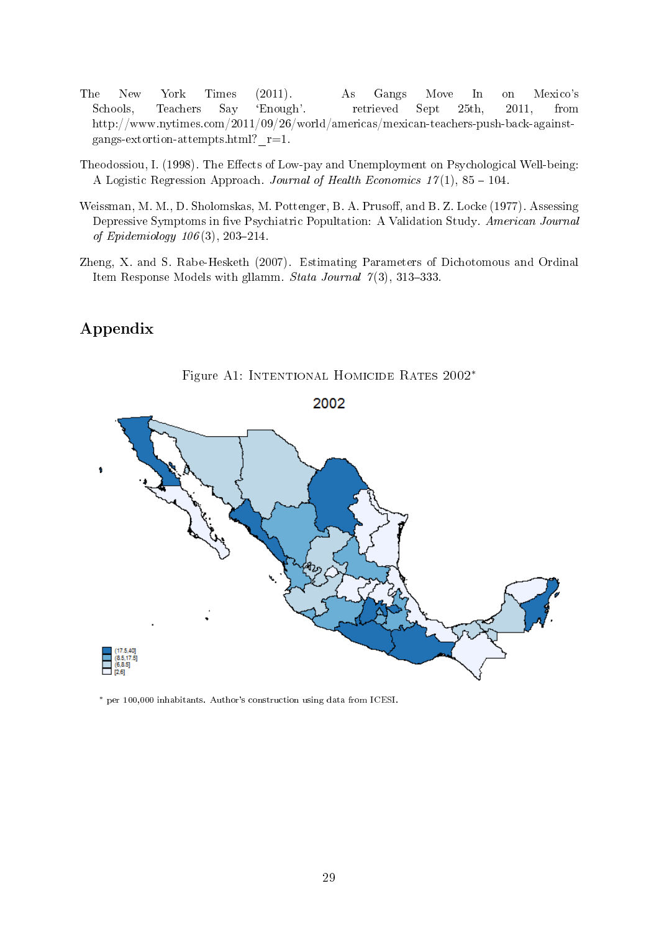- <span id="page-28-4"></span>The New York Times (2011). As Gangs Move In on Mexico's Schools, Teachers Say `Enough'. retrieved Sept 25th, 2011, from http://www.nytimes.com/2011/09/26/world/americas/mexican-teachers-push-back-againstgangs-extortion-attempts.html? $r=1$ .
- <span id="page-28-1"></span>Theodossiou, I. (1998). The Effects of Low-pay and Unemployment on Psychological Well-being: A Logistic Regression Approach. Journal of Health Economics  $17(1)$ , 85 - 104.
- <span id="page-28-3"></span>Weissman, M. M., D. Sholomskas, M. Pottenger, B. A. Prusoff, and B. Z. Locke (1977). Assessing Depressive Symptoms in five Psychiatric Popultation: A Validation Study. American Journal of Epidemiology  $106(3)$ ,  $203-214$ .
- <span id="page-28-2"></span>Zheng, X. and S. Rabe-Hesketh (2007). Estimating Parameters of Dichotomous and Ordinal Item Response Models with gllamm. Stata Journal  $7(3)$ , 313-333.

## Appendix

<span id="page-28-0"></span>

Figure A1: Intentional Homicide Rates 2002<sup>∗</sup>

<sup>∗</sup> per 100,000 inhabitants. Author's construction using data from ICESI.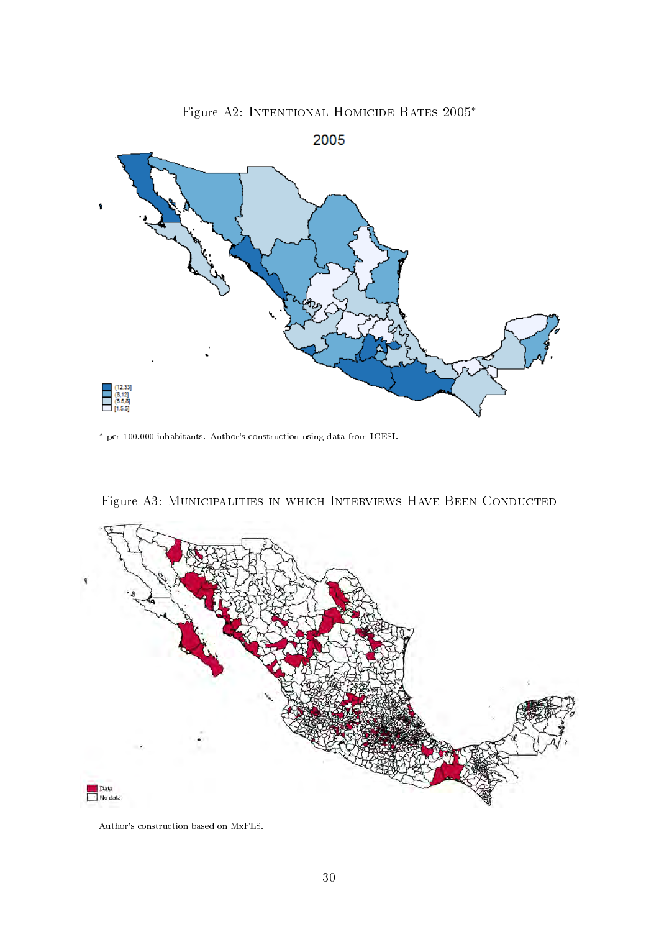<span id="page-29-0"></span>

Figure A2: Intentional Homicide Rates 2005<sup>∗</sup>

<sup>∗</sup> per 100,000 inhabitants. Author's construction using data from ICESI.

<span id="page-29-1"></span>

Figure A3: Municipalities in which Interviews Have Been Conducted

Author's construction based on MxFLS.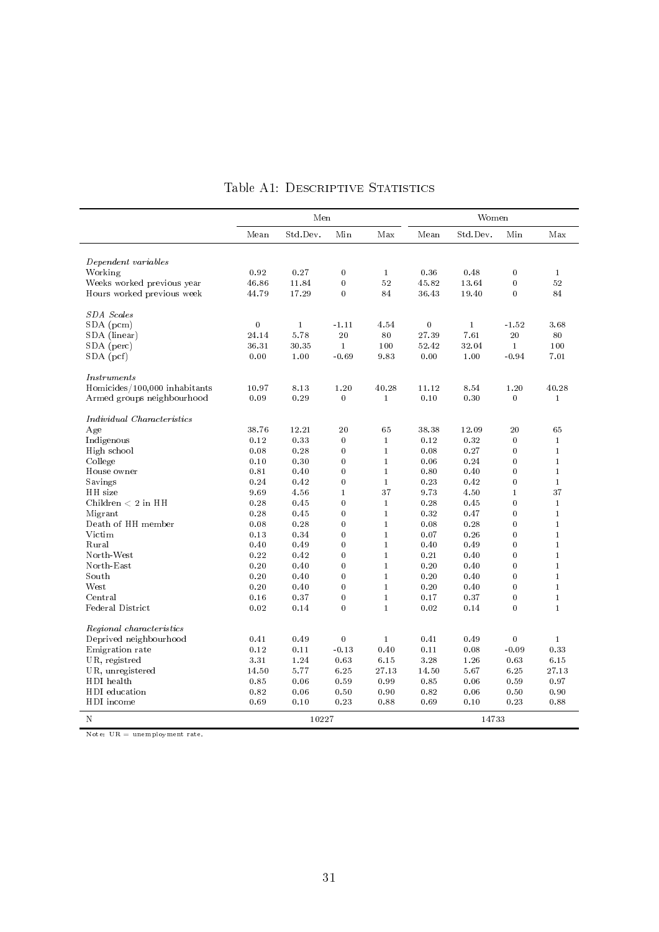<span id="page-30-0"></span>

|                               | Men      |              |                  | Women        |          |              |                |              |
|-------------------------------|----------|--------------|------------------|--------------|----------|--------------|----------------|--------------|
|                               | Mean     | Std.Dev.     | Min              | Max          | Mean     | Std.Dev.     | Min            | Max          |
|                               |          |              |                  |              |          |              |                |              |
| Dependent variables           |          |              |                  |              |          |              |                |              |
| Working                       | 0.92     | 0.27         | $\bf{0}$         | 1            | 0.36     | 0.48         | $\bf{0}$       | $\mathbf{1}$ |
| Weeks worked previous year    | 46.86    | 11.84        | $\boldsymbol{0}$ | $5\,2$       | 45.82    | 13.64        | $\overline{0}$ | 52           |
| Hours worked previous week    | 44.79    | 17.29        | $\bf{0}$         | 84           | 36.43    | 19.40        | $\bf{0}$       | 84           |
| <b>SDA</b> Scales             |          |              |                  |              |          |              |                |              |
| $SDA$ (pcm)                   | $\bf{0}$ | $\mathbf{1}$ | $-1.11$          | 4.54         | $\bf{0}$ | $\mathbf{1}$ | $-1.52$        | 3.68         |
| SDA (linear)                  | 24.14    | 5.78         | 20               | 80           | 27.39    | 7.61         | 20             | 80           |
| SDA (perc)                    | 36.31    | 30.35        | $\mathbf{1}$     | 100          | 52.42    | 32.04        | $\mathbf{1}$   | 100          |
| $SDA$ (pcf)                   | 0.00     | 1.00         | $-0.69$          | 9.83         | 0.00     | 1.00         | $-0.94$        | 7.01         |
| <i>Instruments</i>            |          |              |                  |              |          |              |                |              |
| Homicides/100,000 inhabitants | 10.97    | 8.13         | 1.20             | 40.28        | 11.12    | 8.54         | 1.20           | 40.28        |
| Armed groups neighbourhood    | 0.09     | 0.29         | $\overline{0}$   | $\mathbf{1}$ | 0.10     | 0.30         | $\bf{0}$       | $\mathbf{1}$ |
|                               |          |              |                  |              |          |              |                |              |
| Individual Characteristics    |          |              |                  |              |          |              |                |              |
| Age                           | 38.76    | 12.21        | 20               | 65           | 38.38    | 12.09        | $^{20}$        | 65           |
| Indigenous                    | 0.12     | 0.33         | $\bf{0}$         | $\mathbf{1}$ | 0.12     | 0.32         | $\bf{0}$       | $\mathbf{1}$ |
| High school                   | 0.08     | 0.28         | $\bf{0}$         | $\mathbf{1}$ | 0.08     | 0.27         | $\bf{0}$       | $\mathbf{1}$ |
| College                       | 0.10     | 0.30         | $\overline{0}$   | $\mathbf{1}$ | 0.06     | 0.24         | $\bf{0}$       | $\mathbf{1}$ |
| House owner                   | 0.81     | 0.40         | $\mathbf{0}$     | $\mathbf{1}$ | 0.80     | 0.40         | $\mathbf{0}$   | $\mathbf{1}$ |
| Savings                       | 0.24     | 0.42         | $\mathbf{0}$     | $\mathbf{1}$ | 0.23     | 0.42         | $\bf{0}$       | $\mathbf{1}$ |
| HH size                       | 9.69     | 4.56         | $\mathbf{1}$     | 37           | 9.73     | 4.50         | $\mathbf{1}$   | 37           |
| Children $< 2$ in HH          | 0.28     | 0.45         | $\bf{0}$         | $\mathbf{1}$ | 0.28     | 0.45         | $\bf{0}$       | $\mathbf{1}$ |
| Migrant                       | 0.28     | 0.45         | $\bf{0}$         | $\mathbf{1}$ | 0.32     | 0.47         | $\bf{0}$       | $\mathbf{1}$ |
| Death of HH member            | 0.08     | 0.28         | $\bf{0}$         | $\mathbf{1}$ | 0.08     | 0.28         | $\bf{0}$       | $\mathbf{1}$ |
| Victim                        | 0.13     | 0.34         | $\bf{0}$         | $\mathbf{1}$ | 0.07     | 0.26         | $\bf{0}$       | $\mathbf{1}$ |
| Rural                         | 0.40     | 0.49         | $\bf{0}$         | $\mathbf{1}$ | 0.40     | 0.49         | $\bf{0}$       | $\mathbf{1}$ |
| North-West                    | 0.22     | 0.42         | $\bf{0}$         | $\mathbf{1}$ | 0.21     | 0.40         | $\bf{0}$       | $\mathbf{1}$ |
| North-East                    | 0.20     | 0.40         | $\bf{0}$         | $\mathbf{1}$ | 0.20     | 0.40         | $\bf{0}$       | $\mathbf{1}$ |
| South                         | 0.20     | 0.40         | $\bf{0}$         | $\mathbf{1}$ | 0.20     | 0.40         | $\bf{0}$       | $\mathbf{1}$ |
| West                          | 0.20     | 0.40         | $\mathbf{0}$     | $\mathbf{1}$ | 0.20     | 0.40         | $\bf{0}$       | $\mathbf{1}$ |
| Central                       | 0.16     | 0.37         | $\mathbf{0}$     | $\mathbf{1}$ | 0.17     | 0.37         | $\overline{0}$ | $\mathbf{1}$ |
| Federal District              | 0.02     | 0.14         | $\mathbf{0}$     | $\mathbf{1}$ | 0.02     | 0.14         | $\overline{0}$ | $\mathbf{1}$ |
| Regional characteristics      |          |              |                  |              |          |              |                |              |
| Deprived neighbourhood        | 0.41     | 0.49         | $\bf{0}$         | $\mathbf{1}$ | 0.41     | 0.49         | $\bf{0}$       | $\mathbf{1}$ |
| Emigration rate               | 0.12     | 0.11         | $-0.13$          | 0.40         | 0.11     | 0.08         | $-0.09$        | 0.33         |
| UR, registred                 | 3.31     | 1.24         | 0.63             | 6.15         | 3.28     | 1.26         | 0.63           | 6.15         |
| UR, unregistered              | 14.50    | 5.77         | 6.25             | 27.13        | 14.50    | 5.67         | 6.25           | 27.13        |
| HDI health                    | 0.85     | 0.06         | 0.59             | 0.99         | 0.85     | 0.06         | 0.59           | 0.97         |
| HDI education                 | 0.82     | 0.06         | 0.50             | 0.90         | 0.82     | 0.06         | 0.50           | 0.90         |
| HDI income                    | 0.69     | 0.10         | 0.23             | 0.88         | 0.69     | 0.10         | 0.23           | 0.88         |
| Ν                             |          | 10227        |                  |              |          | 14733        |                |              |

## Table A1: DESCRIPTIVE STATISTICS

Note:  $UR =$  unemployment rate.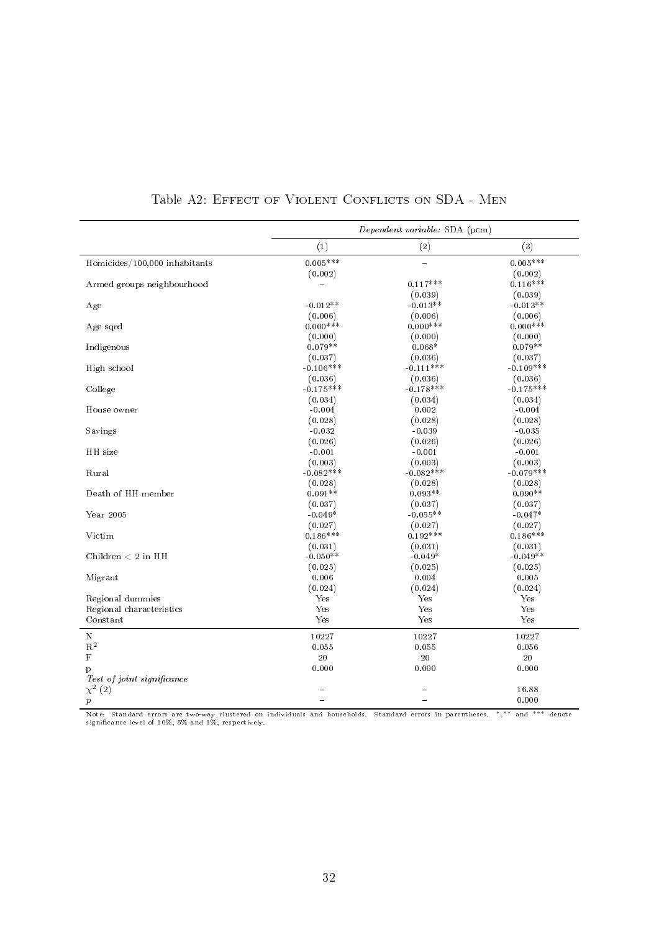<span id="page-31-0"></span>

|                               | Dependent variable: SDA (pcm) |             |             |  |  |  |
|-------------------------------|-------------------------------|-------------|-------------|--|--|--|
|                               | (1)                           | (2)         | (3)         |  |  |  |
| Homicides/100,000 inhabitants | $0.005***$                    | $\equiv$    | $0.005***$  |  |  |  |
|                               | (0.002)                       |             | (0.002)     |  |  |  |
| Armed groups neighbourhood    |                               | $0.117***$  | $0.116***$  |  |  |  |
|                               |                               | (0.039)     | (0.039)     |  |  |  |
| Age                           | $-0.012**$                    | $-0.013**$  | $-0.013**$  |  |  |  |
|                               | (0.006)                       | (0.006)     | (0.006)     |  |  |  |
| Age sqrd                      | $0.000***$                    | $0.000***$  | $0.000***$  |  |  |  |
|                               | (0.000)                       | (0.000)     | (0.000)     |  |  |  |
| Indigenous                    | $0.079**$                     | $0.068*$    | $0.079**$   |  |  |  |
|                               | (0.037)                       | (0.036)     | (0.037)     |  |  |  |
| High school                   | $-0.106***$                   | $-0.111***$ | $-0.109***$ |  |  |  |
|                               | (0.036)                       | (0.036)     | (0.036)     |  |  |  |
| College                       | $-0.175***$                   | $-0.178***$ | $-0.175***$ |  |  |  |
|                               | (0.034)                       | (0.034)     | (0.034)     |  |  |  |
| House owner                   | $-0.004$                      | 0.002       | $-0.004$    |  |  |  |
|                               | (0.028)                       | (0.028)     | (0.028)     |  |  |  |
| Savings                       | $-0.032$                      | $-0.039$    | $-0.035$    |  |  |  |
|                               | (0.026)                       | (0.026)     | (0.026)     |  |  |  |
| HH size                       | $-0.001$                      | $-0.001$    | $-0.001$    |  |  |  |
|                               | (0.003)                       | (0.003)     | (0.003)     |  |  |  |
| Rural                         | $-0.082***$                   | $-0.082***$ | $-0.079***$ |  |  |  |
|                               | (0.028)                       | (0.028)     | (0.028)     |  |  |  |
| Death of HH member            | $0.091**$                     | $0.093**$   | $0.090**$   |  |  |  |
|                               | (0.037)                       | (0.037)     | (0.037)     |  |  |  |
| Year 2005                     | $-0.049*$                     | $-0.055**$  | $-0.047*$   |  |  |  |
|                               | (0.027)                       | (0.027)     | (0.027)     |  |  |  |
| Victim                        | $0.186***$                    | $0.192***$  | $0.186***$  |  |  |  |
|                               | (0.031)                       | (0.031)     | (0.031)     |  |  |  |
| Children $< 2$ in HH          | $-0.050**$                    | $-0.049*$   | $-0.049**$  |  |  |  |
|                               | (0.025)                       | (0.025)     | (0.025)     |  |  |  |
| Migrant                       | 0.006                         | 0.004       | 0.005       |  |  |  |
|                               | (0.024)                       | (0.024)     | (0.024)     |  |  |  |
| Regional dummies              | Yes                           | Yes         | Yes         |  |  |  |
| Regional characteristics      | Yes                           | Yes         | Yes         |  |  |  |
| Constant                      | Yes                           | Yes         | Yes         |  |  |  |
| $\mathbf N$                   | 10227                         | 10227       | 10227       |  |  |  |
| $\mathbf{R}^2$                | 0.055                         | 0.055       | 0.056       |  |  |  |
| $\mathbf F$                   | $20\,$                        | $20\,$      | 20          |  |  |  |
| p                             | 0.000                         | 0.000       | 0.000       |  |  |  |
| Test of joint significance    |                               |             |             |  |  |  |
| $\chi^2(2)$                   |                               |             | 16.88       |  |  |  |
| $\boldsymbol{p}$              |                               |             | 0.000       |  |  |  |

Table A2: EFFECT OF VIOLENT CONFLICTS ON SDA - MEN

Note: Standard errors are two-way clustered on individuals and households. Standard errors in parentheses. <sup>∗</sup>, ∗∗ and ∗∗∗ denote signicance level of 10%, 5% and 1%, respectively.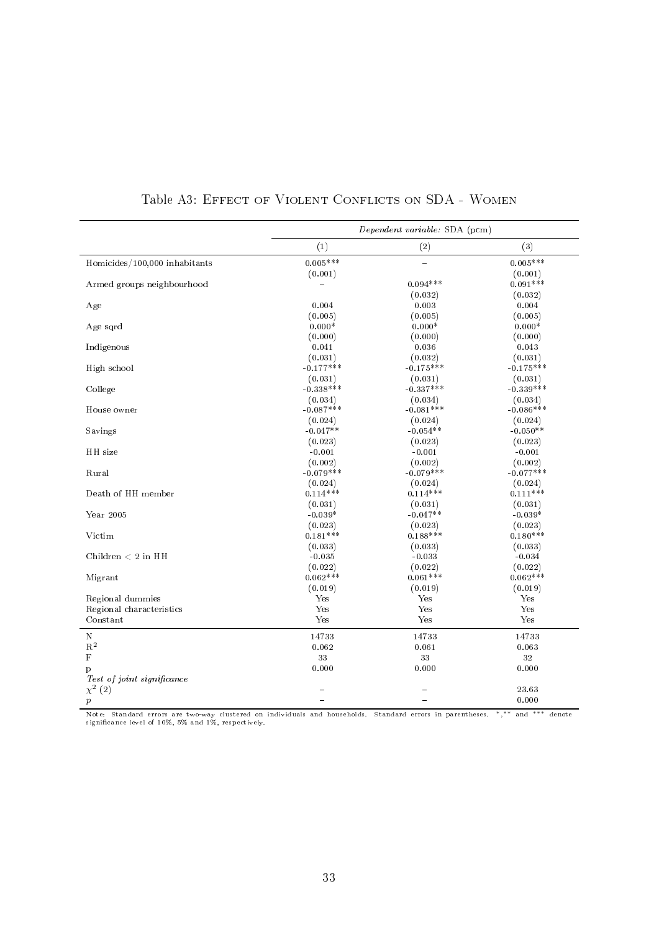<span id="page-32-0"></span>

|                               | Dependent variable: SDA (pcm) |             |             |  |  |
|-------------------------------|-------------------------------|-------------|-------------|--|--|
|                               | (1)                           | (2)         | (3)         |  |  |
| Homicides/100,000 inhabitants | $0.005***$                    | $\equiv$    | $0.005***$  |  |  |
|                               | (0.001)                       |             | (0.001)     |  |  |
| Armed groups neighbourhood    |                               | $0.094***$  | $0.091***$  |  |  |
|                               |                               | (0.032)     | (0.032)     |  |  |
| Age                           | 0.004                         | 0.003       | 0.004       |  |  |
|                               | (0.005)                       | (0.005)     | (0.005)     |  |  |
| Age sqrd                      | $0.000*$                      | $0.000*$    | $0.000*$    |  |  |
|                               | (0.000)                       | (0.000)     | (0.000)     |  |  |
| Indigenous                    | 0.041                         | 0.036       | 0.043       |  |  |
|                               | (0.031)                       | (0.032)     | (0.031)     |  |  |
| High school                   | $-0.177***$                   | $-0.175***$ | $-0.175***$ |  |  |
|                               | (0.031)                       | (0.031)     | (0.031)     |  |  |
| College                       | $-0.338***$                   | $-0.337***$ | $-0.339***$ |  |  |
|                               | (0.034)                       | (0.034)     | (0.034)     |  |  |
| House owner                   | $-0.087***$                   | $-0.081***$ | $-0.086***$ |  |  |
|                               | (0.024)                       | (0.024)     | (0.024)     |  |  |
| Savings                       | $-0.047**$                    | $-0.054**$  | $-0.050**$  |  |  |
|                               | (0.023)                       | (0.023)     | (0.023)     |  |  |
| HH size                       | $-0.001$                      | $-0.001$    | $-0.001$    |  |  |
|                               | (0.002)                       | (0.002)     | (0.002)     |  |  |
| Rural                         | $-0.079***$                   | $-0.079***$ | $-0.077***$ |  |  |
|                               | (0.024)                       | (0.024)     | (0.024)     |  |  |
| Death of HH member            | $0.114***$                    | $0.114***$  | $0.111***$  |  |  |
|                               | (0.031)                       | (0.031)     | (0.031)     |  |  |
| Year 2005                     | $-0.039*$                     | $-0.047**$  | $-0.039*$   |  |  |
|                               | (0.023)                       | (0.023)     | (0.023)     |  |  |
| Victim                        | $0.181***$                    | $0.188***$  | $0.180***$  |  |  |
|                               | (0.033)                       | (0.033)     | (0.033)     |  |  |
| Children $< 2$ in HH          | $-0.035$                      | $-0.033$    | $-0.034$    |  |  |
|                               | (0.022)                       | (0.022)     | (0.022)     |  |  |
| Migrant                       | $0.062***$                    | $0.061***$  | $0.062***$  |  |  |
|                               | (0.019)                       | (0.019)     | (0.019)     |  |  |
| Regional dummies              | Yes                           | Yes         | Yes         |  |  |
| Regional characteristics      | Yes                           | Yes         | Yes         |  |  |
| Constant                      | Yes                           | Yes         | Yes         |  |  |
| $\mathbf N$                   | 14733                         | 14733       | 14733       |  |  |
| $\mathbf{R}^2$                | 0.062                         | 0.061       | 0.063       |  |  |
| $\mathbf F$                   | $3\sqrt{3}$                   | 33          | 32          |  |  |
| p                             | 0.000                         | 0.000       | 0.000       |  |  |
| Test of joint significance    |                               |             |             |  |  |
| $\chi^2(2)$                   |                               |             | 23.63       |  |  |
| $\boldsymbol{p}$              |                               |             | 0.000       |  |  |

Table A3: EFFECT OF VIOLENT CONFLICTS ON SDA - WOMEN

Note: Standard errors are two-way clustered on individuals and households. Standard errors in parentheses. <sup>∗</sup>, ∗∗ and ∗∗∗ denote signicance level of 10%, 5% and 1%, respectively.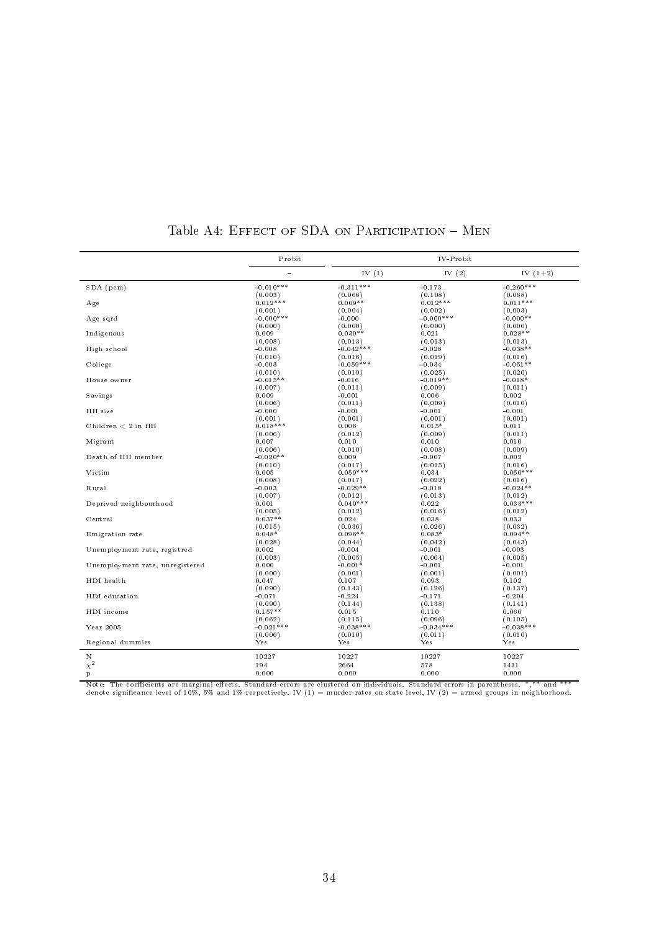<span id="page-33-0"></span>

|                                                                 | Probit                 | IV-Probit           |                         |                       |  |  |
|-----------------------------------------------------------------|------------------------|---------------------|-------------------------|-----------------------|--|--|
|                                                                 | L,                     | IV $(1)$            | IV $(2)$                | IV $(1+2)$            |  |  |
| $SDA$ (pcm)                                                     | $-0.010***$            | $-0.311***$         | $-0.173$                | $-0.260***$           |  |  |
|                                                                 | (0.003)                | (0.066)             | (0.108)                 | (0.068)               |  |  |
| Age                                                             | $0.012***$             | $0.009**$           | $0.012***$              | $0.011***$            |  |  |
| Age sqrd                                                        | (0.001)<br>$-0.000***$ | (0.004)<br>$-0.000$ | (0.002)<br>$-0.000$ *** | (0.003)<br>$-0.000**$ |  |  |
|                                                                 | (0.000)                | (0.000)             | (0.000)                 | (0.000)               |  |  |
| Indigenous                                                      | 0.009                  | $0.030**$           | 0.021                   | $0.028**$             |  |  |
|                                                                 | (0.008)                | (0.013)             | (0.013)                 | (0.013)               |  |  |
| High school                                                     | $-0.008$               | $-0.042***$         | $-0.028$                | $-0.038**$            |  |  |
|                                                                 | (0.010)                | (0.016)             | (0.019)                 | (0.016)               |  |  |
| College                                                         | $-0.003$               | $-0.059***$         | $-0.034$                | $-0.051**$            |  |  |
|                                                                 | (0.010)                | (0.019)             | (0.025)                 | (0.020)               |  |  |
| House owner                                                     | $-0.015**$             | $-0.016$            | $-0.019**$              | $-0.018*$             |  |  |
|                                                                 | (0.007)                | (0.011)             | (0.009)                 | (0.011)               |  |  |
| Savings                                                         | 0.009<br>(0.006)       | $-0.001$<br>(0.011) | 0.006<br>(0.009)        | 0.002<br>(0.010)      |  |  |
| HH size                                                         | $-0.000$               | $-0.001$            | $-0.001$                | $-0.001$              |  |  |
|                                                                 | (0.001)                | (0.001)             | (0.001)                 | (0.001)               |  |  |
| Children $< 2$ in HH                                            | $0.018***$             | 0.006               | $0.015*$                | 0.011                 |  |  |
|                                                                 | (0.006)                | (0.012)             | (0.009)                 | (0.011)               |  |  |
| Migrant                                                         | 0.007                  | 0.010               | 0.010                   | 0.010                 |  |  |
|                                                                 | (0.006)                | (0.010)             | (0.008)                 | (0.009)               |  |  |
| Death of HH member                                              | $-0.020**$             | 0.009               | $-0.007$                | 0.002                 |  |  |
|                                                                 | (0.010)                | (0.017)             | (0.015)                 | (0.016)               |  |  |
| Victim                                                          | 0.005                  | $0.059***$          | 0.034                   | $0.050***$            |  |  |
|                                                                 | (0.008)                | (0.017)             | (0.022)                 | (0.016)               |  |  |
| Rural                                                           | $-0.003$               | $-0.029**$          | $-0.018$                | $-0.024**$            |  |  |
|                                                                 | (0.007)                | (0.012)             | (0.013)                 | (0.012)               |  |  |
| Deprived neighbourhood                                          | 0.001                  | $0.040***$          | 0.022                   | $0.033***$            |  |  |
|                                                                 | (0.005)                | (0.012)             | (0.016)                 | (0.012)               |  |  |
| Central                                                         | $0.037**$<br>(0.015)   | 0.024<br>(0.036)    | 0.038                   | 0.033                 |  |  |
| Emigration rate                                                 | $0.048*$               | $0.096**$           | (0.026)<br>$0.083*$     | (0.032)<br>$0.094**$  |  |  |
|                                                                 | (0.028)                | (0.044)             | (0.042)                 | (0.043)               |  |  |
| Unemployment rate, registred                                    | 0.002                  | $-0.004$            | $-0.001$                | $-0.003$              |  |  |
|                                                                 | (0.003)                | (0.005)             | (0.004)                 | (0.005)               |  |  |
| Unemployment rate, unregistered                                 | 0.000                  | $-0.001*$           | $-0.001$                | $-0.001$              |  |  |
|                                                                 | (0.000)                | (0.001)             | (0.001)                 | (0.001)               |  |  |
| HDI health                                                      | 0.047                  | 0.107               | 0.093                   | 0.102                 |  |  |
|                                                                 | (0.090)                | (0.143)             | (0.126)                 | (0.137)               |  |  |
| HDI education                                                   | $-0.071$               | $-0.224$            | $-0.171$                | $-0.204$              |  |  |
|                                                                 | (0.090)                | (0.144)             | (0.138)                 | (0.141)               |  |  |
| HDI income                                                      | $0.157**$              | 0.015               | 0.110                   | 0.060                 |  |  |
|                                                                 | (0.062)                | (0.115)             | (0.096)                 | (0.105)               |  |  |
| Year $2005$                                                     | $-0.021***$<br>(0.006) | $-0.038***$         | $-0.034***$             | $-0.038***$           |  |  |
| Regional dummies                                                | Yes                    | (0.010)<br>Yes      | (0.011)<br>Yes          | (0.010)<br>Yes        |  |  |
| Ν                                                               | 10227                  | 10227               | 10227                   | 10227                 |  |  |
| $\chi^2$                                                        | 194                    | 2664                | 578                     | 1411                  |  |  |
| $\mathbf{p}$                                                    | 0.000                  | 0.000               | 0.000                   | 0.000                 |  |  |
| $N = 4$<br>$\alpha$ . $\alpha$<br>$\overline{1}$ $\overline{1}$ |                        |                     |                         |                       |  |  |

## Table A4: EFFECT OF SDA ON PARTICIPATION  $-$  MEN

Note: The coefficients are marginal effects. Standard errors are clustered on individuals. Standard errors in parentheses. \*,\*\* and \*\*\*<br>denote significance level of 10%, 5% and 1% respectively. IV (1) = murder rates on sta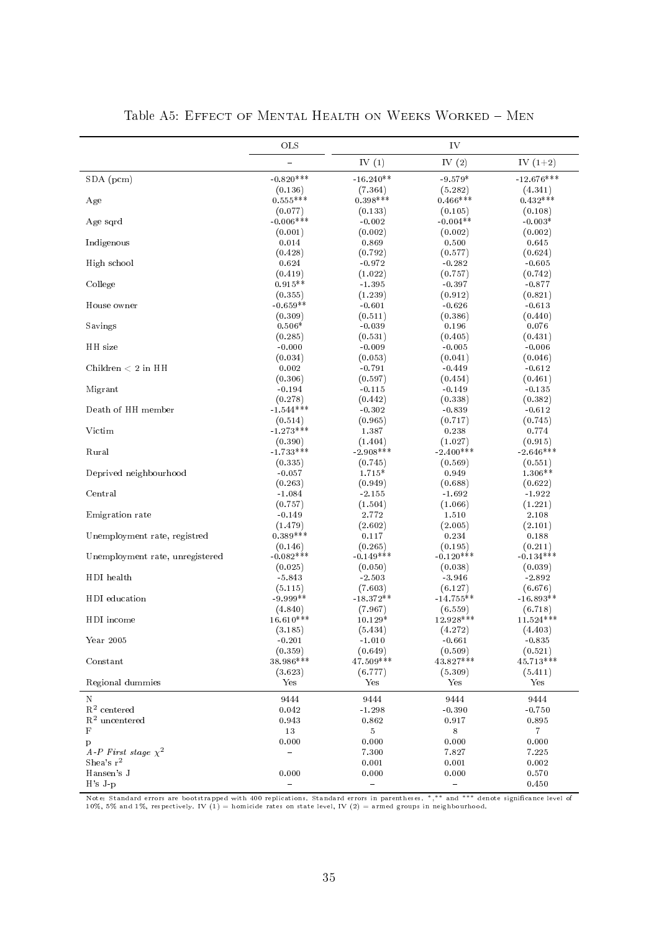<span id="page-34-0"></span>

|                                 | OLS                    | IV                     |                        |                        |  |
|---------------------------------|------------------------|------------------------|------------------------|------------------------|--|
|                                 |                        | IV $(1)$               | IV $(2)$               | IV $(1+2)$             |  |
| SDA (pcm)                       | $-0.820***$            | $-16.240**$            | $-9.579*$              | $-12.676***$           |  |
|                                 | (0.136)<br>$0.555***$  | (7.364)<br>$0.398***$  | (5.282)<br>$0.466***$  | (4.341)<br>$0.432***$  |  |
| Age                             | (0.077)                | (0.133)                | (0.105)                | (0.108)                |  |
| Age sqrd                        | $-0.006***$            | $-0.002$               | $-0.004**$             | $-0.003*$              |  |
|                                 | (0.001)                | (0.002)                | (0.002)                | (0.002)                |  |
| Indigenous                      | 0.014                  | 0.869                  | 0.500                  | 0.645                  |  |
|                                 | (0.428)                | (0.792)                | (0.577)                | (0.624)                |  |
| High school                     | 0.624                  | $-0.972$               | $-0.282$               | $-0.605$               |  |
| College                         | (0.419)<br>$0.915**$   | (1.022)<br>$-1.395$    | (0.757)<br>$-0.397$    | (0.742)<br>$-0.877$    |  |
|                                 | (0.355)                | (1.239)                | (0.912)                | (0.821)                |  |
| House owner                     | $-0.659**$             | $-0.601$               | $-0.626$               | $-0.613$               |  |
|                                 | (0.309)                | (0.511)                | (0.386)                | (0.440)                |  |
| Savings                         | $0.506*$               | $-0.039$               | 0.196                  | 0.076                  |  |
|                                 | (0.285)                | (0.531)                | (0.405)                | (0.431)                |  |
| HH size                         | $-0.000$               | $-0.009$               | $-0.005$               | $-0.006$               |  |
|                                 | (0.034)                | (0.053)                | (0.041)                | (0.046)                |  |
| Children $< 2$ in HH            | 0.002<br>(0.306)       | $-0.791$               | $-0.449$<br>(0.454)    | $-0.612$               |  |
| Migrant                         | $-0.194$               | (0.597)<br>$-0.115$    | $-0.149$               | (0.461)<br>$-0.135$    |  |
|                                 | (0.278)                | (0.442)                | (0.338)                | (0.382)                |  |
| Death of HH member              | $-1.544***$            | $-0.302$               | $-0.839$               | $-0.612$               |  |
|                                 | (0.514)                | (0.965)                | (0.717)                | (0.745)                |  |
| Victim                          | $-1.273***$            | 1.387                  | 0.238                  | 0.774                  |  |
|                                 | (0.390)                | (1.404)                | (1.027)                | (0.915)                |  |
| Rural                           | $-1.733***$            | $-2.908***$            | $-2.400***$            | $-2.646***$            |  |
|                                 | (0.335)                | (0.745)<br>1.715*      | (0.569)<br>0.949       | (0.551)<br>1.306**     |  |
| Deprived neighbourhood          | $-0.057$<br>(0.263)    | (0.949)                | (0.688)                | (0.622)                |  |
| Central                         | $-1.084$               | $-2.155$               | $-1.692$               | $-1.922$               |  |
|                                 | (0.757)                | (1.504)                | (1.066)                | (1.221)                |  |
| Emigration rate                 | $-0.149$               | 2.772                  | 1.510                  | 2.108                  |  |
|                                 | (1.479)                | (2.602)                | (2.005)                | (2.101)                |  |
| Unemployment rate, registred    | $0.389***$             | 0.117                  | 0.234                  | 0.188                  |  |
|                                 | (0.146)                | (0.265)                | (0.195)                | (0.211)                |  |
| Unemployment rate, unregistered | $-0.082***$<br>(0.025) | $-0.149***$<br>(0.050) | $-0.120***$<br>(0.038) | $-0.134***$<br>(0.039) |  |
| HDI health                      | $-5.843$               | $-2.503$               | $-3.946$               | $-2.892$               |  |
|                                 | (5.115)                | (7.603)                | (6.127)                | (6.676)                |  |
| HDI education                   | $-9.999**$             | $-18.372**$            | $-14.755**$            | $-16.893**$            |  |
|                                 | (4.840)                | (7.967)                | (6.559)                | (6.718)                |  |
| HDI income                      | 16.610***              | 10.129*                | 12.928***              | $11.524***$            |  |
|                                 | (3.185)                | (5.434)                | (4.272)                | (4.403)                |  |
| Year 2005                       | $-0.201$<br>(0.359)    | $-1.010$               | $-0.661$               | $-0.835$               |  |
| Constant                        | 38.986***              | (0.649)<br>47.509***   | (0.509)<br>43.827***   | (0.521)<br>45.713***   |  |
|                                 | (3.623)                | (6.777)                | (5.309)                | (5.411)                |  |
| Regional dummies                | Yes                    | Yes                    | Yes                    | Yes                    |  |
| Ν                               | 9444                   | 9444                   | 9444                   | 9444                   |  |
| $\mathbf{R}^2$ centered         | 0.042                  | $-1.298$               | $-0.390$               | $-0.750$               |  |
| $R2$ uncentered                 | 0.943                  | 0.862                  | 0.917                  | 0.895                  |  |
| $_{\rm F}$                      | 13                     | 5                      | 8                      | 7 <sup>1</sup>         |  |
| p                               | 0.000                  | 0.000                  | 0.000                  | 0.000                  |  |
| A-P First stage $\chi^2$        | $\equiv$               | 7.300                  | 7.827                  | 7.225                  |  |
| Shea's $r^2$                    |                        | 0.001                  | 0.001                  | 0.002                  |  |
| Hansen's J<br>$H's J-p$         | 0.000<br>$\equiv$      | 0.000<br>$\equiv$      | 0.000<br>$\equiv$      | 0.570<br>0.450         |  |
|                                 |                        |                        |                        |                        |  |

Table A5: EFFECT OF MENTAL HEALTH ON WEEKS WORKED - MEN

Note: Standard errors are bootstrapped with 400 replications. Standard errors in parentheses. \*,\*\* and \*\*\* denote significance level of<br>10%, 5% and 1%, respectively. IV (1) = homicide rates on state level, IV (2) = armed g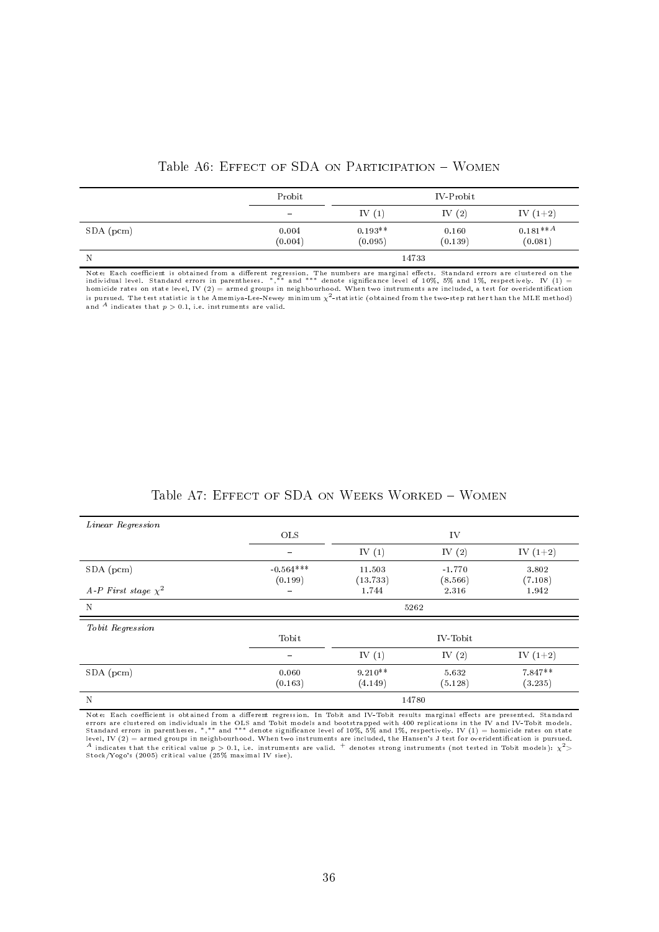| Table A6: EFFECT OF SDA ON PARTICIPATION - WOMEN |
|--------------------------------------------------|
|--------------------------------------------------|

<span id="page-35-0"></span>

|           | Probit                   |                      | IV-Probit        |                                    |
|-----------|--------------------------|----------------------|------------------|------------------------------------|
|           | $\overline{\phantom{a}}$ | IV $(1)$             | IV $(2)$         | IV $(1+2)$                         |
| SDA (pcm) | 0.004<br>(0.004)         | $0.193**$<br>(0.095) | 0.160<br>(0.139) | $0.181***$ <sup>A</sup><br>(0.081) |
| N         |                          | 14733                |                  |                                    |

Note: Each coefficient is obtained from a different regression. The numbers are marginal effects. Standard errors are clustered on the<br>individual level. Standard errors in parentheses. \*,\*\* and \*\*\* denote significance leve is pursued. The test statistic is the Amemiya-Lee-Newey minimum  $\chi^2$ -statistic (obtained from the two-step rather than the MLE method) and <sup>A</sup> indicates that  $p > 0.1$ , i.e. instruments are valid.

| Table A7: EFFECT OF SDA ON WEEKS WORKED - WOMEN |  |  |  |  |
|-------------------------------------------------|--|--|--|--|
|-------------------------------------------------|--|--|--|--|

<span id="page-35-1"></span>

| Linear Regression        |                          |           |          |            |
|--------------------------|--------------------------|-----------|----------|------------|
|                          | <b>OLS</b>               |           | IV       |            |
|                          | $\overline{\phantom{0}}$ | IV $(1)$  | IV $(2)$ | IV $(1+2)$ |
| $SDA$ (pcm)              | $-0.564***$              | 11.503    | $-1.770$ | 3.802      |
|                          | (0.199)                  | (13.733)  | (8.566)  | (7.108)    |
| A-P First stage $\chi^2$ | $\overline{\phantom{0}}$ | 1.744     | 2.316    | 1.942      |
| N                        |                          |           | 5262     |            |
| Tobit Regression         |                          |           |          |            |
|                          | Tobit                    |           | IV-Tobit |            |
|                          | $\overline{\phantom{0}}$ | IV $(1)$  | IV $(2)$ | IV $(1+2)$ |
| $SDA$ (pcm)              | 0.060                    | $9.210**$ | 5.632    | 7.847**    |
|                          | (0.163)                  | (4.149)   | (5.128)  | (3.235)    |
| N                        |                          |           | 14780    |            |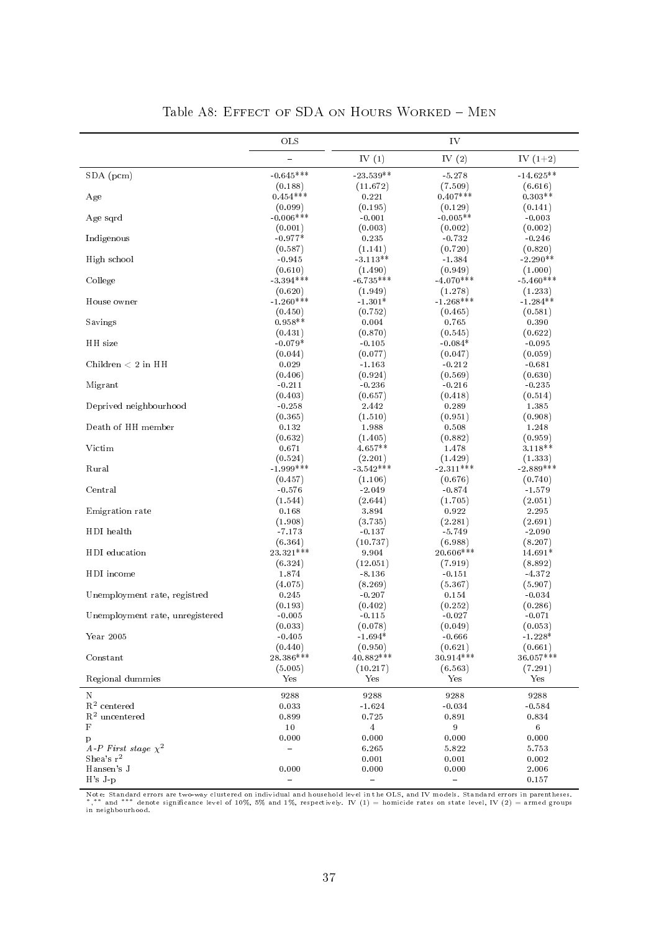|                                 | OLS                    |                        | ${\rm IV}$             |                        |
|---------------------------------|------------------------|------------------------|------------------------|------------------------|
|                                 | $\equiv$               | IV $(1)$               | IV $(2)$               | IV $(1+2)$             |
| SDA (pcm)                       | $-0.645***$            | $-23.539**$            | $-5.278$               | $-14.625**$            |
| Age                             | (0.188)<br>$0.454***$  | (11.672)<br>0.221      | (7.509)<br>$0.407***$  | (6.616)<br>$0.303**$   |
| Age sqrd                        | (0.099)<br>$-0.006***$ | (0.195)<br>$-0.001$    | (0.129)<br>$-0.005**$  | (0.141)<br>$-0.003$    |
|                                 | (0.001)                | (0.003)                | (0.002)                | (0.002)                |
| Indigenous                      | $-0.977*$<br>(0.587)   | 0.235<br>(1.141)       | $-0.732$<br>(0.720)    | $-0.246$<br>(0.820)    |
| High school                     | $-0.945$               | $-3.113**$             | $-1.384$               | $-2.290**$             |
| College                         | (0.610)<br>$-3.394***$ | (1.490)<br>$-6.735***$ | (0.949)<br>$-4.070***$ | (1.000)<br>$-5.460***$ |
| House owner                     | (0.620)<br>$-1.260***$ | (1.949)<br>$-1.301*$   | (1.278)<br>$-1.268***$ | (1.233)<br>$-1.284**$  |
| Savings                         | (0.450)<br>$0.958**$   | (0.752)<br>0.004       | (0.465)<br>0.765       | (0.581)<br>0.390       |
|                                 | (0.431)                | (0.870)                | (0.545)                | (0.622)                |
| HH size                         | $-0.079*$              | $-0.105$               | $-0.084*$              | $-0.095$               |
| Children $< 2$ in HH            | (0.044)<br>0.029       | (0.077)<br>$-1.163$    | (0.047)<br>$-0.212$    | (0.059)<br>$-0.681$    |
|                                 | (0.406)                | (0.924)                | (0.569)                | (0.630)                |
| Migrant                         | $-0.211$               | $-0.236$               | $-0.216$               | $-0.235$               |
|                                 | (0.403)                | (0.657)                | (0.418)                | (0.514)                |
| Deprived neighbourhood          | $-0.258$               | 2.442                  | 0.289                  | 1.385                  |
|                                 | (0.365)                | (1.510)                | (0.951)                | (0.908)                |
| Death of HH member              | 0.132<br>(0.632)       | 1.988<br>(1.405)       | 0.508<br>(0.882)       | 1.248<br>(0.959)       |
| Victim                          | 0.671                  | $4.657**$              | 1.478                  | $3.118**$              |
|                                 | (0.524)                | (2.201)                | (1.429)                | (1.333)                |
| Rural                           | $-1.999***$            | $-3.542***$            | $-2.311***$            | $-2.889***$            |
|                                 | (0.457)                | (1.106)                | (0.676)                | (0.740)                |
| Central                         | $-0.576$               | $-2.049$<br>(2.644)    | $-0.874$<br>(1.705)    | $-1.579$<br>(2.051)    |
| Emigration rate                 | (1.544)<br>0.168       | 3.894                  | 0.922                  | 2.295                  |
|                                 | (1.908)                | (3.735)                | (2.281)                | (2.691)                |
| HDI health                      | $-7.173$               | $-0.137$               | $-5.749$               | $-2.090$               |
|                                 | (6.364)                | (10.737)               | (6.988)                | (8.207)                |
| HDI education                   | 23.321***              | 9.904                  | 20.606***              | 14.691*                |
|                                 | (6.324)                | (12.051)               | (7.919)                | (8.892)                |
| HDI income                      | 1.874<br>(4.075)       | $-8.136$<br>(8.269)    | $-0.151$<br>(5.367)    | $-4.372$<br>(5.907)    |
| Unemployment rate, registred    | 0.245                  | $-0.207$               | 0.154                  | $-0.034$               |
|                                 | (0.193)                | (0.402)                | (0.252)                | (0.286)                |
| Unemployment rate, unregistered | $-0.005$               | $-0.115$               | $-0.027$               | $-0.071$               |
|                                 | (0.033)                | (0.078)                | (0.049)                | (0.053)                |
| Year 2005                       | $-0.405$               | $-1.694*$              | $-0.666$               | $-1.228*$              |
| Constant                        | (0.440)<br>28.386***   | (0.950)<br>$40.882***$ | (0.621)<br>30.914***   | (0.661)<br>36.057***   |
| Regional dummies                | (5.005)<br>Yes         | (10.217)<br>Yes        | (6.563)<br>Yes         | (7.291)<br>Yes         |
|                                 |                        |                        |                        |                        |
| Ν<br>$R^2$ centered             | 9288<br>0.033          | 9288<br>$-1.624$       | 9288<br>$-0.034$       | 9288<br>$-0.584$       |
| $R^2$ uncentered                | 0.899                  | 0.725                  | 0.891                  | 0.834                  |
| F                               | 10                     | $\overline{4}$         | 9                      | $\,6\,$                |
| p                               | 0.000                  | 0.000                  | 0.000                  | 0.000                  |
| A-P First stage $\chi^2$        | $\equiv$               | 6.265                  | 5.822                  | 5.753                  |
| Shea's $r^2$                    |                        | 0.001                  | 0.001                  | 0.002                  |
| Hansen's J<br>$H's J-p$         | 0.000                  | 0.000<br>$\equiv$      | 0.000                  | 2.006<br>0.157         |
|                                 |                        |                        |                        |                        |

|  |  |  |  | Table A8: EFFECT OF SDA ON HOURS WORKED - MEN |  |  |
|--|--|--|--|-----------------------------------------------|--|--|
|--|--|--|--|-----------------------------------------------|--|--|

Note: Standard errors are two-way clustered on individual and household level in the OLS, and IV models. Standard errors in parentheses.<br>\*,\*\* and \*\*\* denote significance level of 10%, 5% and 1%, respectively. IV (1) = homi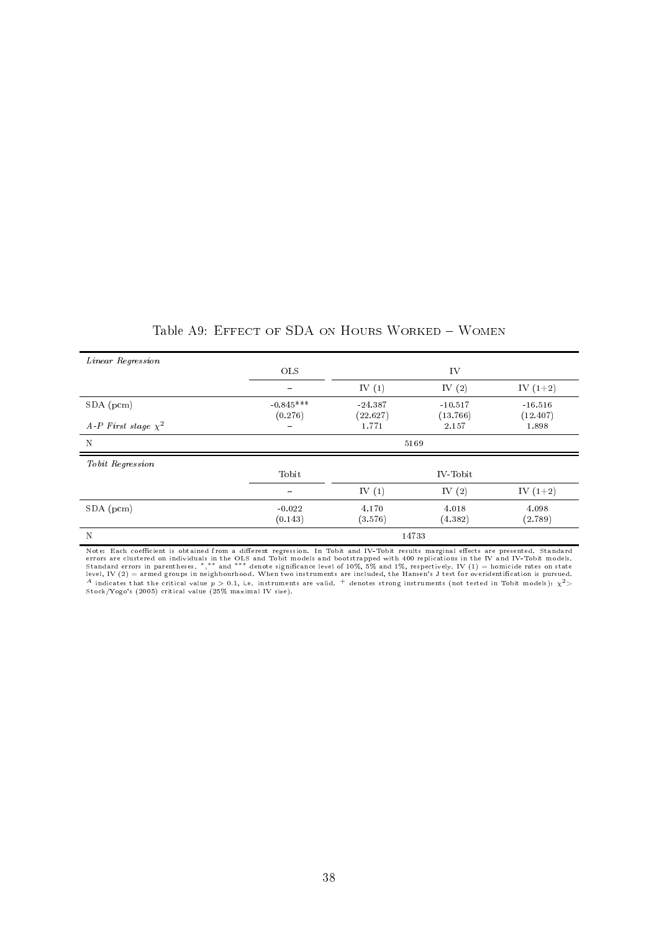| Linear Regression        |                          |                   |                   |                   |
|--------------------------|--------------------------|-------------------|-------------------|-------------------|
|                          | <b>OLS</b>               |                   | IV                |                   |
|                          | $\overline{\phantom{0}}$ | IV $(1)$          | IV $(2)$          | IV $(1+2)$        |
| $SDA$ (pcm)              | $-0.845***$              | $-24.387$         | $-10.517$         | $-16.516$         |
| A-P First stage $\chi^2$ | (0.276)<br>$\equiv$      | (22.627)<br>1.771 | (13.766)<br>2.157 | (12.407)<br>1.898 |
| N                        |                          |                   | 5169              |                   |
| Tobit Regression         |                          |                   |                   |                   |
|                          | Tobit                    |                   | IV-Tobit          |                   |
|                          |                          | IV $(1)$          | IV $(2)$          | IV $(1+2)$        |
| $SDA$ (pcm)              | $-0.022$<br>(0.143)      | 4.170<br>(3.576)  | 4.018<br>(4.382)  | 4.098<br>(2.789)  |
| N                        |                          |                   | 14733             |                   |

Table A9: EFFECT OF SDA ON HOURS WORKED - WOMEN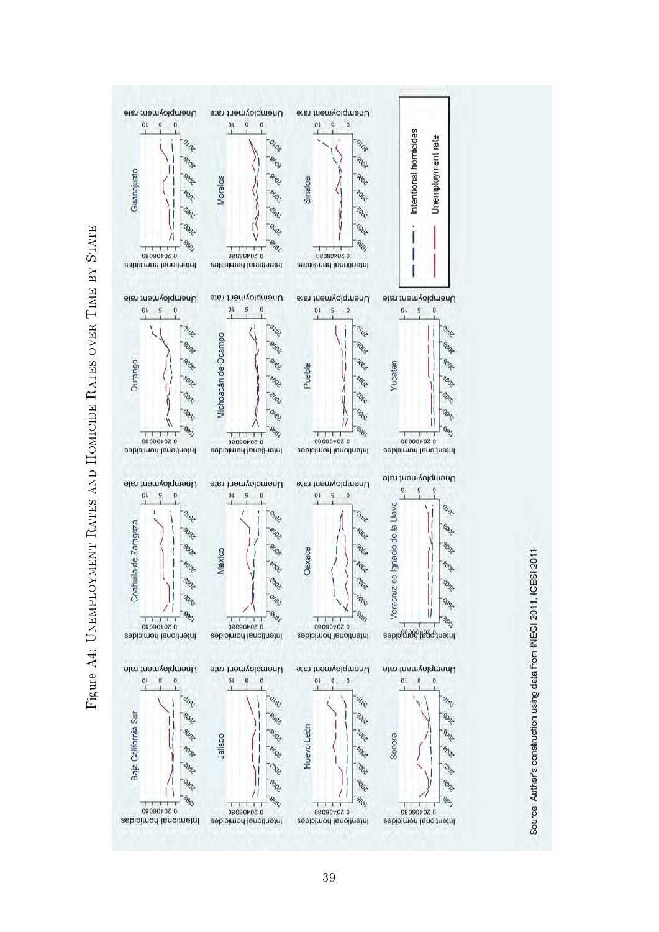

<span id="page-38-0"></span>Figure A4: UNEMPLOYMENT RATES AND HOMICIDE RATES OVER TIME BY STATE Figure A4: Unemployment Rates and Homicide Rates over Time by State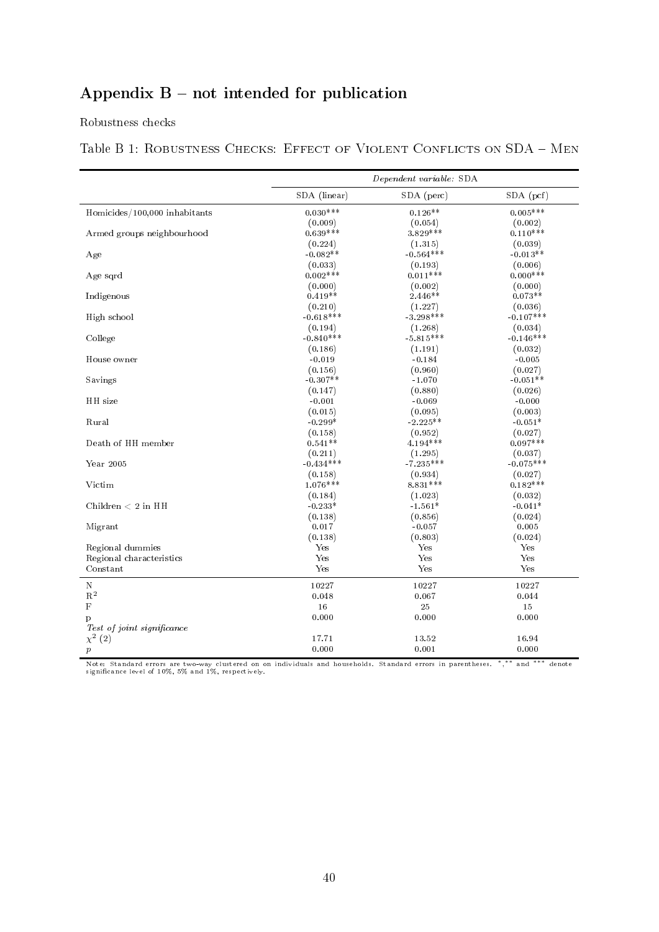# Appendix  $B$  – not intended for publication

Robustness checks

## Table B 1: ROBUSTNESS CHECKS: EFFECT OF VIOLENT CONFLICTS ON SDA - MEN

|                               |              | Dependent variable: SDA |             |
|-------------------------------|--------------|-------------------------|-------------|
|                               | SDA (linear) | SDA (perc)              | $SDA$ (pcf) |
| Homicides/100,000 inhabitants | $0.030***$   | $0.126**$               | $0.005***$  |
|                               | (0.009)      | (0.054)                 | (0.002)     |
| Armed groups neighbourhood    | $0.639***$   | $3.829***$              | $0.110***$  |
|                               | (0.224)      | (1.315)                 | (0.039)     |
| Age                           | $-0.082**$   | $-0.564***$             | $-0.013**$  |
|                               | (0.033)      | (0.193)                 | (0.006)     |
| Age sqrd                      | $0.002***$   | $0.011***$              | $0.000***$  |
|                               | (0.000)      | (0.002)                 | (0.000)     |
| Indigenous                    | $0.419**$    | $2.446**$               | $0.073**$   |
|                               | (0.210)      | (1.227)                 | (0.036)     |
| High school                   | $-0.618***$  | $-3.298***$             | $-0.107***$ |
|                               | (0.194)      | (1.268)                 | (0.034)     |
| College                       | $-0.840***$  | $-5.815***$             | $-0.146***$ |
|                               | (0.186)      | (1.191)                 | (0.032)     |
| House owner                   | $-0.019$     | $-0.184$                | $-0.005$    |
|                               | (0.156)      | (0.960)                 | (0.027)     |
| Savings                       | $-0.307**$   | $-1.070$                | $-0.051**$  |
|                               | (0.147)      | (0.880)                 | (0.026)     |
| HH size                       | $-0.001$     | $-0.069$                | $-0.000$    |
|                               | (0.015)      | (0.095)                 | (0.003)     |
| Rural                         | $-0.299*$    | $-2.225**$              | $-0.051*$   |
|                               | (0.158)      | (0.952)                 | (0.027)     |
| Death of HH member            | $0.541**$    | $4.194***$              | $0.097***$  |
|                               | (0.211)      | (1.295)                 | (0.037)     |
| Year 2005                     | $-0.434***$  | $-7.235***$             | $-0.075***$ |
|                               | (0.158)      | (0.934)                 | (0.027)     |
| Victim                        | $1.076***$   | 8.831***                | $0.182***$  |
|                               | (0.184)      | (1.023)                 | (0.032)     |
| Children $< 2$ in HH          | $-0.233*$    | $-1.561*$               | $-0.041*$   |
|                               | (0.138)      | (0.856)                 | (0.024)     |
| Migrant                       | 0.017        | $-0.057$                | 0.005       |
|                               | (0.138)      | (0.803)                 | (0.024)     |
| Regional dummies              | Yes          | Yes                     | Yes         |
| Regional characteristics      | Yes          | Yes                     | Yes         |
| Constant                      | Yes          | Yes                     | Yes         |
| N                             | 10227        | 10227                   | 10227       |
| $\mathbf{R}^2$                | 0.048        | 0.067                   | 0.044       |
| $\mathbf F$                   | 16           | 25                      | 15          |
| p                             | 0.000        | 0.000                   | 0.000       |
| Test of joint significance    |              |                         |             |
| $\chi^{2}$ (2)                | 17.71        | 13.52                   | 16.94       |
| $\boldsymbol{p}$              | 0.000        | 0.001                   | 0.000       |

Note: Standard errors are two-way clustered on on individuals and households. Standard errors in parentheses. \*,\*\* and \*\*\* denote<br>significance level of 10%, 5% and 1%, respectively.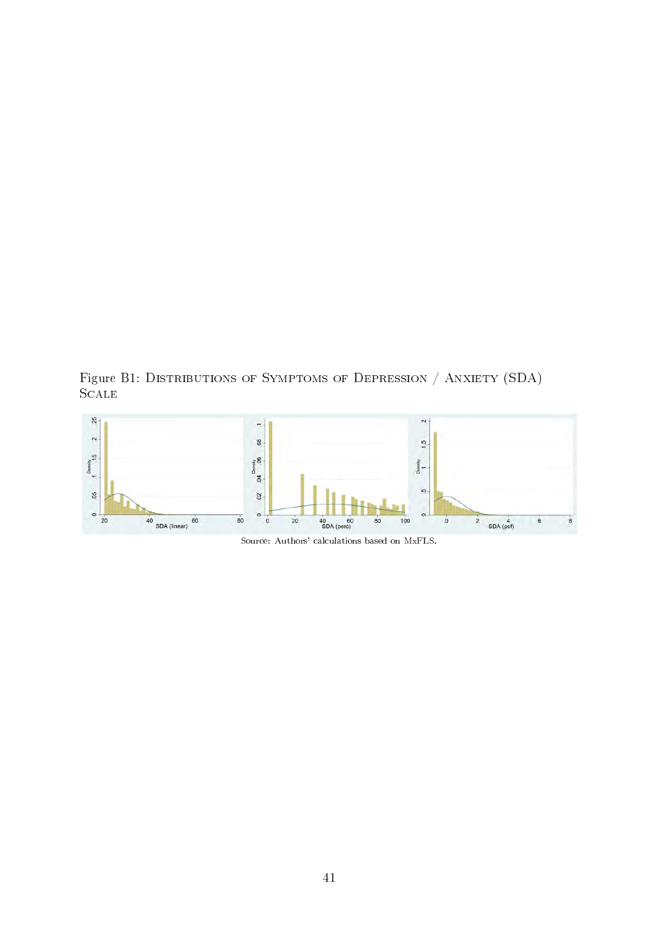Figure B1: DISTRIBUTIONS OF SYMPTOMS OF DEPRESSION / ANXIETY (SDA) **SCALE** 



Source: Authors' calculations based on MxFLS.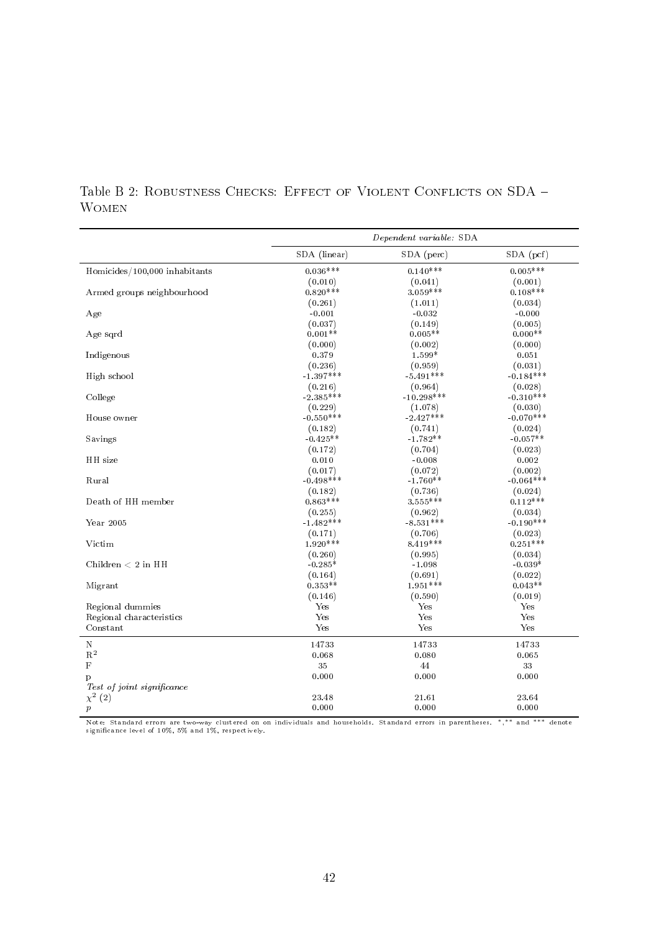|                               |                        | Dependent variable: SDA |                        |
|-------------------------------|------------------------|-------------------------|------------------------|
|                               | SDA (linear)           | SDA (perc)              | SDA (pcf)              |
| Homicides/100,000 inhabitants | $0.036***$             | $0.140***$              | $0.005***$             |
|                               | (0.010)                | (0.041)                 | (0.001)                |
| Armed groups neighbourhood    | $0.820***$             | $3.059***$              | $0.108***$             |
|                               | (0.261)                | (1.011)                 | (0.034)                |
| Age                           | $-0.001$               | $-0.032$                | $-0.000$               |
|                               | (0.037)                | (0.149)                 | (0.005)                |
| Age sqrd                      | $0.001**$              | $0.005**$               | $0.000**$              |
|                               | (0.000)                | (0.002)                 | (0.000)                |
| Indigenous                    | 0.379                  | 1.599*                  | 0.051                  |
|                               | (0.236)                | (0.959)                 | (0.031)                |
| High school                   | $1.397***$             | $-5.491***$             | $-0.184***$            |
|                               | (0.216)                | (0.964)                 | (0.028)                |
| College                       | $-2.385***$            | $-10.298***$            | $-0.310***$            |
|                               | (0.229)                | (1.078)                 | (0.030)                |
| House owner                   | $-0.550***$            | $-2.427***$             | $-0.070***$            |
|                               | (0.182)                | (0.741)                 | (0.024)                |
| Savings                       | $-0.425**$             | $-1.782**$              | $-0.057**$             |
|                               | (0.172)                | (0.704)                 | (0.023)                |
| HH size                       | 0.010                  | $-0.008$                | 0.002                  |
|                               | (0.017)<br>$-0.498***$ | (0.072)                 | (0.002)<br>$-0.064***$ |
| Rural                         |                        | $-1.760**$              |                        |
|                               | (0.182)<br>$0.863***$  | (0.736)<br>$3.555***$   | (0.024)<br>$0.112***$  |
| Death of HH member            | (0.255)                | (0.962)                 | (0.034)                |
| Year 2005                     | $-1.482***$            | $-8.531***$             | $-0.190***$            |
|                               | (0.171)                | (0.706)                 | (0.023)                |
| Victim                        | $1.920***$             | $8.419***$              | $0.251***$             |
|                               | (0.260)                | (0.995)                 | (0.034)                |
| Children $< 2$ in HH          | $-0.285*$              | $-1.098$                | $-0.039*$              |
|                               | (0.164)                | (0.691)                 | (0.022)                |
| Migrant                       | $0.353**$              | $1.951***$              | $0.043**$              |
|                               | (0.146)                | (0.590)                 | (0.019)                |
| Regional dummies              | Yes                    | Yes                     | Yes                    |
| Regional characteristics      | Yes                    | Yes                     | Yes                    |
| Constant                      | Yes                    | Yes                     | Yes                    |
| $\mathbf N$                   | 14733                  | 14733                   | 14733                  |
| $\mathbf{R}^2$                | 0.068                  | 0.080                   | 0.065                  |
| $\mathbf F$                   | 35                     | 44                      | 33                     |
| p                             | 0.000                  | 0.000                   | 0.000                  |
| Test of joint significance    |                        |                         |                        |
| $\chi^{2}$ (2)                | 23.48                  | 21.61                   | 23.64                  |
| $\boldsymbol{p}$              | 0.000                  | 0.000                   | 0.000                  |

Table B 2: ROBUSTNESS CHECKS: EFFECT OF VIOLENT CONFLICTS ON SDA -Women

Note: Standard errors are two-way clustered on on individuals and households. Standard errors in parentheses. \*,\*\* and \*\*\* denote<br>significance level of 10%, 5% and 1%, respectively.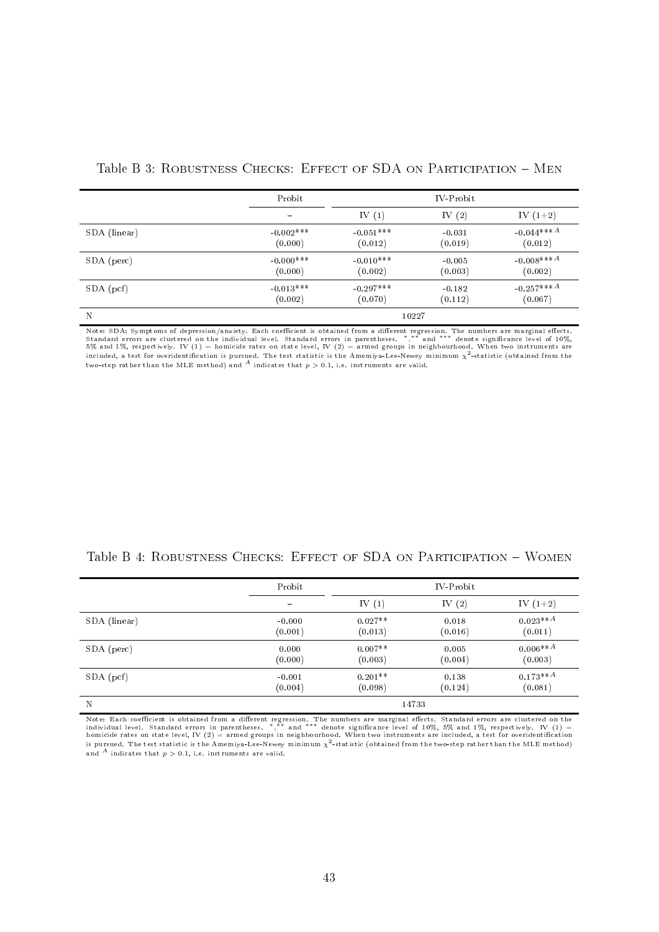|              | Probit                   |             | IV-Probit |                          |  |
|--------------|--------------------------|-------------|-----------|--------------------------|--|
|              | $\overline{\phantom{0}}$ | IV $(1)$    | IV $(2)$  | IV $(1+2)$               |  |
| SDA (linear) | $-0.002***$              | $-0.051***$ | $-0.031$  | $-0.044***A$             |  |
|              | (0.000)                  | (0.012)     | (0.019)   | (0.012)                  |  |
| SDA (perc)   | $-0.000$ ***             | $-0.010***$ | $-0.005$  | $-0.008***A$             |  |
|              | (0.000)                  | (0.002)     | (0.003)   | (0.002)                  |  |
| $SDA$ (pcf)  | $-0.013***$              | $-0.297***$ | $-0.182$  | $-0.257***$ <sup>A</sup> |  |
|              | (0.002)                  | (0.070)     | (0.112)   | (0.067)                  |  |
| N            |                          | 10227       |           |                          |  |

Note: SDA: Symptoms of depression/anxiety. Each coefficient is obtained from a different regression. The numbers are marginal effects.<br>Standard errors are clustered on the individual level. Standard errors in parentheses. included, a test for overidentification is pursued. The test statistic is the Amemiya-Lee-Newey minimum  $\chi^2$ -statistic (obtained from the two-step rather than the MLE method) and  $^A$  indicates that  $p > 0.1$ , i.e. instruments are valid.

|              | Probit                       |           | IV-Probit |            |
|--------------|------------------------------|-----------|-----------|------------|
|              | $\qquad \qquad \blacksquare$ | IV $(1)$  | IV $(2)$  | IV $(1+2)$ |
| SDA (linear) | $-0.000$                     | $0.027**$ | 0.018     | $0.023**A$ |
|              | (0.001)                      | (0.013)   | (0.016)   | (0.011)    |
| SDA (perc)   | 0.000                        | $0.007**$ | 0.005     | $0.006**A$ |
|              | (0.000)                      | (0.003)   | (0.004)   | (0.003)    |
| $SDA$ (pcf)  | $-0.001$                     | $0.201**$ | 0.138     | $0.173**A$ |
|              | (0.004)                      | (0.098)   | (0.124)   | (0.081)    |
| N            |                              |           | 14733     |            |

Note: Each coefficient is obtained from a different regression. The numbers are marginal effects. Standard errors are clustered on the<br>individual level. Standard errors in parentheses. \*,\*\* and \*\*\* denote significance leve is pursued. The test statistic is the Amemiya-Lee-Newey minimum  $\chi^2$ -statistic (obtained from the two-step rather than the MLE method) and <sup>A</sup> indicates that  $p > 0.1$ , i.e. instruments are valid.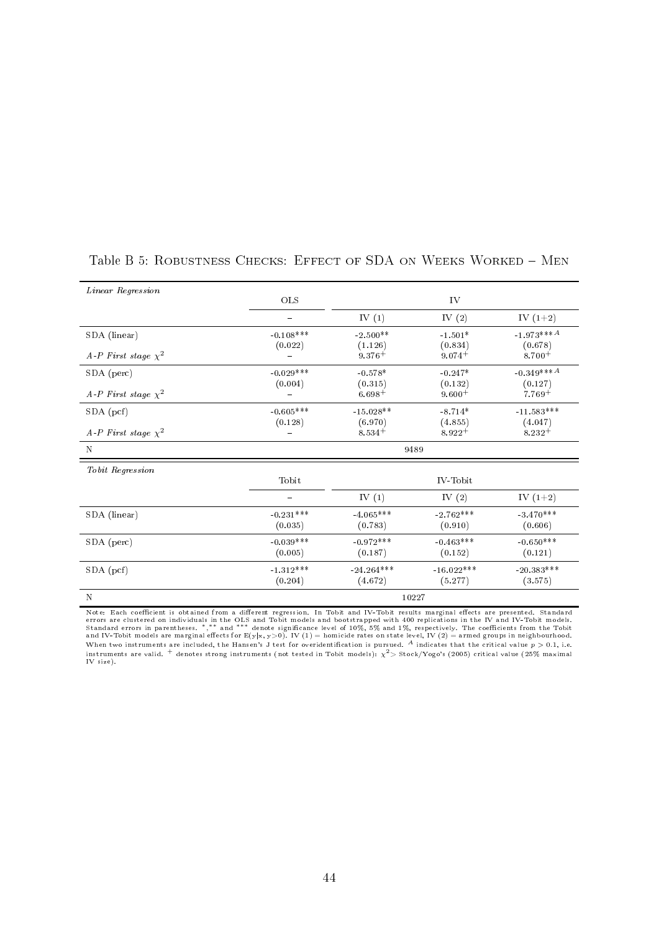| Linear Regression        |                            |                         |                         |                             |
|--------------------------|----------------------------|-------------------------|-------------------------|-----------------------------|
|                          | OLS                        |                         | IV                      |                             |
|                          | $\overline{\phantom{0}}$   | IV $(1)$                | IV $(2)$                | IV $(1+2)$                  |
| SDA (linear)             | $-0.108***$                | $-2.500**$              | $-1.501*$               | $-1.973***$ <sup>A</sup>    |
| A-P First stage $\chi^2$ | (0.022)                    | (1.126)<br>$9.376 +$    | (0.834)<br>$9.074+$     | (0.678)<br>$8.700 +$        |
| SDA (perc)               | $-0.029***$                | $-0.578*$               | $-0.247*$               | $-0.349***A$                |
| A-P First stage $\chi^2$ | (0.004)                    | (0.315)<br>$6.698 +$    | (0.132)<br>$9.600+$     | (0.127)<br>$7.769+$         |
| SDA (pcf)                | $\,\mathchar`-0.605^{***}$ | $-15.028**$             | $-8.714*$               | $\text{-}11.583***$         |
| A-P First stage $\chi^2$ | (0.128)                    | (6.970)<br>$8.534+$     | (4.855)<br>$8.922 +$    | (4.047)<br>$8.232 +$        |
| N                        |                            | 9489                    |                         |                             |
| Tobit Regression         |                            |                         |                         |                             |
|                          | Tobit                      |                         | IV-Tobit                |                             |
|                          |                            | IV $(1)$                | IV $(2)$                | IV $(1+2)$                  |
| SDA (linear)             | $-0.231***$<br>(0.035)     | $-4.065***$<br>(0.783)  | $-2.762***$<br>(0.910)  | $-3.470***$<br>(0.606)      |
| SDA (perc)               | $-0.039***$<br>(0.005)     | $-0.972***$<br>(0.187)  | $-0.463***$<br>(0.152)  | $-0.650^{***}\,$<br>(0.121) |
| $SDA$ (pcf)              | $-1.312***$<br>(0.204)     | $-24.264***$<br>(4.672) | $-16.022***$<br>(5.277) | $-20.383***$<br>(3.575)     |
| N                        |                            | 10227                   |                         |                             |

### Table B 5: ROBUSTNESS CHECKS: EFFECT OF SDA ON WEEKS WORKED - MEN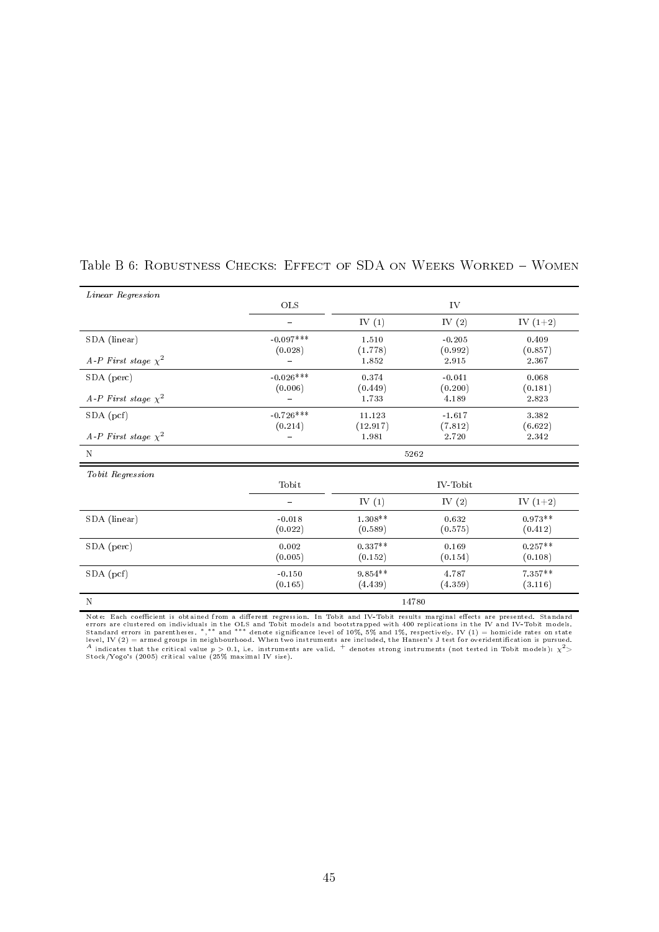| Linear Regression        |             |           |          |            |  |
|--------------------------|-------------|-----------|----------|------------|--|
|                          | OLS         | IV        |          |            |  |
|                          |             | IV $(1)$  | IV $(2)$ | IV $(1+2)$ |  |
| SDA (linear)             | $-0.097***$ | 1.510     | $-0.205$ | 0.409      |  |
|                          | (0.028)     | (1.778)   | (0.992)  | (0.857)    |  |
| A-P First stage $\chi^2$ |             | 1.852     | 2.915    | 2.367      |  |
| SDA (perc)               | $-0.026***$ | 0.374     | $-0.041$ | 0.068      |  |
|                          | (0.006)     | (0.449)   | (0.200)  | (0.181)    |  |
| A-P First stage $\chi^2$ |             | 1.733     | 4.189    | 2.823      |  |
| $SDA$ (pcf)              | $-0.726***$ | 11.123    | $-1.617$ | 3382       |  |
|                          | (0.214)     | (12.917)  | (7.812)  | (6.622)    |  |
| A-P First stage $\chi^2$ |             | 1.981     | 2.720    | 2342       |  |
| N                        | 5262        |           |          |            |  |
| Tobit Regression         |             |           |          |            |  |
|                          | Tobit       |           | IV-Tobit |            |  |
|                          |             | IV $(1)$  | IV $(2)$ | IV $(1+2)$ |  |
| SDA (linear)             | $-0.018$    | 1.308**   | 0.632    | $0.973**$  |  |
|                          | (0.022)     | (0.589)   | (0.575)  | (0.412)    |  |
| SDA (perc)               | 0.002       | $0.337**$ | 0.169    | $0.257**$  |  |
|                          | (0.005)     | (0.152)   | (0.154)  | (0.108)    |  |
| $SDA$ (pcf)              | $-0.150$    | $9.854**$ | 4.787    | $7.357**$  |  |
|                          | (0.165)     | (4.439)   | (4.359)  | (3.116)    |  |
| $\mathbf N$              | 14780       |           |          |            |  |

### Table B 6: ROBUSTNESS CHECKS: EFFECT OF SDA ON WEEKS WORKED - WOMEN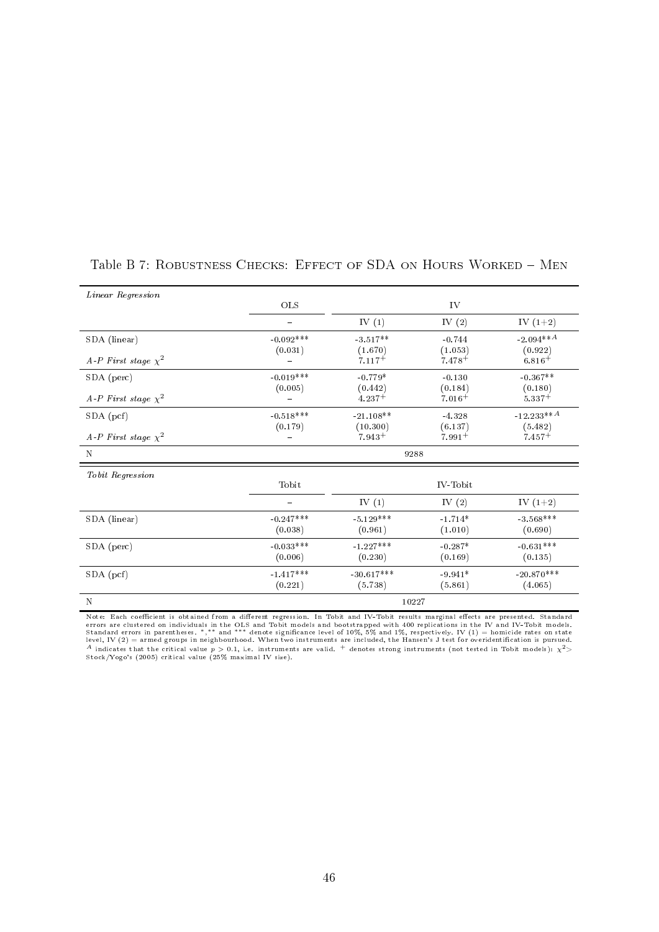| Linear Regression        |             |                      |                      |                          |  |
|--------------------------|-------------|----------------------|----------------------|--------------------------|--|
|                          | OLS         | IV                   |                      |                          |  |
|                          |             | IV $(1)$             | IV $(2)$             | IV $(1+2)$               |  |
| SDA (linear)             | $-0.092***$ | $-3.517**$           | $-0.744$             | $-2.094***$ <sup>A</sup> |  |
| A-P First stage $\chi^2$ | (0.031)     | (1.670)<br>$7.117+$  | (1.053)<br>$7.478+$  | (0.922)<br>$6.816+$      |  |
| SDA (perc)               | $-0.019***$ | $-0.779*$            | $-0.130$             | $-0.367**$               |  |
| A-P First stage $\chi^2$ | (0.005)     | (0.442)<br>$4.237+$  | (0.184)<br>$7.016+$  | (0.180)<br>$5.337+$      |  |
| $SDA$ (pcf)              | $-0.518***$ | $-21.108**$          | $-4.328$             | $-12.233**A$             |  |
| A-P First stage $\chi^2$ | (0.179)     | (10.300)<br>$7.943+$ | (6.137)<br>$7.991 +$ | (5.482)<br>$7.457+$      |  |
| $\mathbf N$              | 9288        |                      |                      |                          |  |
| Tobit Regression         |             |                      |                      |                          |  |
|                          | Tobit       |                      | IV-Tobit             |                          |  |
|                          |             | IV $(1)$             | IV $(2)$             | IV $(1+2)$               |  |
| SDA (linear)             | $-0.247***$ | $-5.129***$          | $-1.714*$            | $-3.568***$              |  |
|                          | (0.038)     | (0.961)              | (1.010)              | (0.690)                  |  |
| SDA (perc)               | $-0.033***$ | $-1.227***$          | $-0.287*$            | $-0.631***$              |  |
|                          | (0.006)     | (0.230)              | (0.169)              | (0.135)                  |  |
| $SDA$ (pcf)              | $-1.417***$ | $-30.617***$         | $-9.941*$            | $-20.870***$             |  |
|                          | (0.221)     | (5.738)              | (5.861)              | (4.065)                  |  |
| $\mathbf N$              | 10227       |                      |                      |                          |  |

### Table B 7: ROBUSTNESS CHECKS: EFFECT OF SDA ON HOURS WORKED - MEN